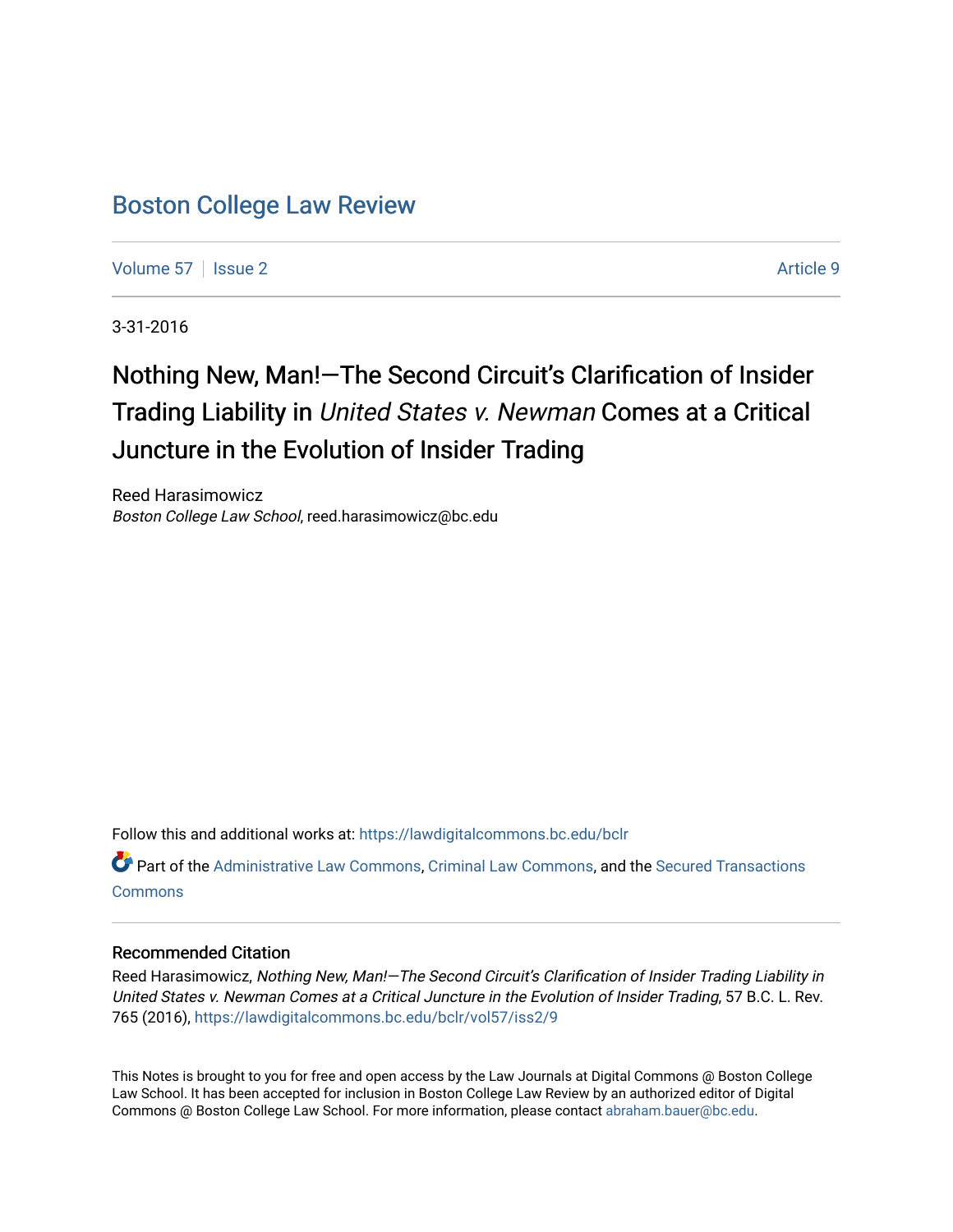## [Boston College Law Review](https://lawdigitalcommons.bc.edu/bclr)

[Volume 57](https://lawdigitalcommons.bc.edu/bclr/vol57) | [Issue 2](https://lawdigitalcommons.bc.edu/bclr/vol57/iss2) Article 9

3-31-2016

# Nothing New, Man!—The Second Circuit's Clarification of Insider Trading Liability in United States v. Newman Comes at a Critical Juncture in the Evolution of Insider Trading

Reed Harasimowicz Boston College Law School, reed.harasimowicz@bc.edu

Follow this and additional works at: [https://lawdigitalcommons.bc.edu/bclr](https://lawdigitalcommons.bc.edu/bclr?utm_source=lawdigitalcommons.bc.edu%2Fbclr%2Fvol57%2Fiss2%2F9&utm_medium=PDF&utm_campaign=PDFCoverPages) 

Part of the [Administrative Law Commons,](http://network.bepress.com/hgg/discipline/579?utm_source=lawdigitalcommons.bc.edu%2Fbclr%2Fvol57%2Fiss2%2F9&utm_medium=PDF&utm_campaign=PDFCoverPages) [Criminal Law Commons,](http://network.bepress.com/hgg/discipline/912?utm_source=lawdigitalcommons.bc.edu%2Fbclr%2Fvol57%2Fiss2%2F9&utm_medium=PDF&utm_campaign=PDFCoverPages) and the [Secured Transactions](http://network.bepress.com/hgg/discipline/876?utm_source=lawdigitalcommons.bc.edu%2Fbclr%2Fvol57%2Fiss2%2F9&utm_medium=PDF&utm_campaign=PDFCoverPages)  **[Commons](http://network.bepress.com/hgg/discipline/876?utm_source=lawdigitalcommons.bc.edu%2Fbclr%2Fvol57%2Fiss2%2F9&utm_medium=PDF&utm_campaign=PDFCoverPages)** 

#### Recommended Citation

Reed Harasimowicz, Nothing New, Man!-The Second Circuit's Clarification of Insider Trading Liability in United States v. Newman Comes at a Critical Juncture in the Evolution of Insider Trading, 57 B.C. L. Rev. 765 (2016), [https://lawdigitalcommons.bc.edu/bclr/vol57/iss2/9](https://lawdigitalcommons.bc.edu/bclr/vol57/iss2/9?utm_source=lawdigitalcommons.bc.edu%2Fbclr%2Fvol57%2Fiss2%2F9&utm_medium=PDF&utm_campaign=PDFCoverPages) 

This Notes is brought to you for free and open access by the Law Journals at Digital Commons @ Boston College Law School. It has been accepted for inclusion in Boston College Law Review by an authorized editor of Digital Commons @ Boston College Law School. For more information, please contact [abraham.bauer@bc.edu.](mailto:abraham.bauer@bc.edu)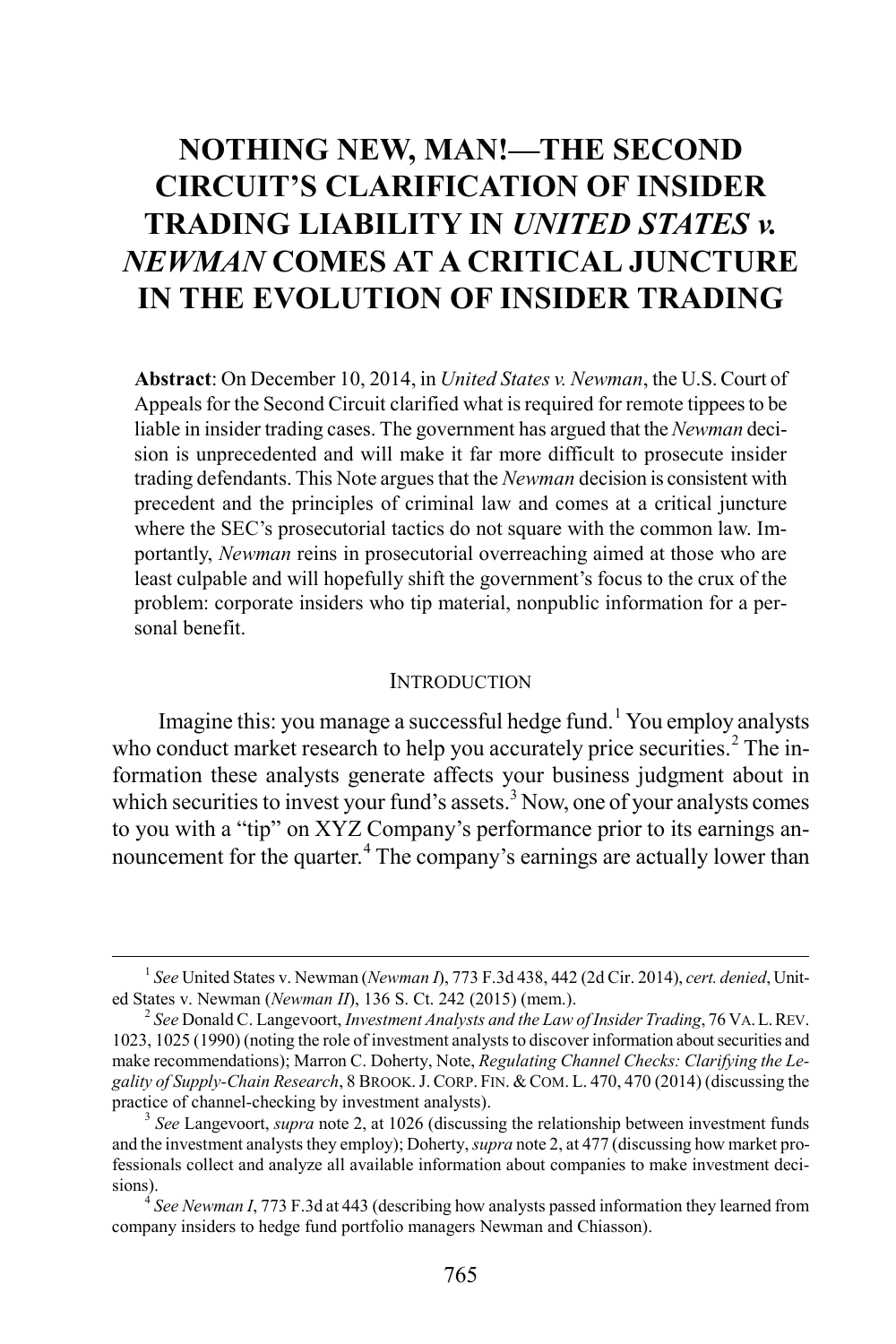# **NOTHING NEW, MAN!—THE SECOND CIRCUIT'S CLARIFICATION OF INSIDER TRADING LIABILITY IN** *UNITED STATES v. NEWMAN* **COMES AT A CRITICAL JUNCTURE IN THE EVOLUTION OF INSIDER TRADING**

**Abstract**: On December 10, 2014, in *United States v. Newman*, the U.S. Court of Appeals for the Second Circuit clarified what is required for remote tippees to be liable in insider trading cases. The government has argued that the *Newman* decision is unprecedented and will make it far more difficult to prosecute insider trading defendants. This Note argues that the *Newman* decision is consistent with precedent and the principles of criminal law and comes at a critical juncture where the SEC's prosecutorial tactics do not square with the common law. Importantly, *Newman* reins in prosecutorial overreaching aimed at those who are least culpable and will hopefully shift the government's focus to the crux of the problem: corporate insiders who tip material, nonpublic information for a personal benefit.

#### **INTRODUCTION**

Imagine this: you manage a successful hedge fund.<sup>[1](#page-1-0)</sup> You employ analysts who conduct market research to help you accurately price securities.<sup>[2](#page-1-1)</sup> The information these analysts generate affects your business judgment about in which securities to invest your fund's assets.<sup>[3](#page-1-2)</sup> Now, one of your analysts comes to you with a "tip" on XYZ Company's performance prior to its earnings an-nouncement for the quarter.<sup>[4](#page-1-3)</sup> The company's earnings are actually lower than

<span id="page-1-0"></span> <sup>1</sup> *See* United States v. Newman (*Newman I*), 773 F.3d 438, 442 (2d Cir. 2014), *cert. denied*, United States v. Newman (*Newman II*), 136 S. Ct. 242 (2015) (mem.). <sup>2</sup> *See* Donald C. Langevoort, *Investment Analysts and the Law of Insider Trading*, 76 VA.L.REV.

<span id="page-1-1"></span><sup>1023, 1025 (1990) (</sup>noting the role of investment analysts to discover information about securities and make recommendations); Marron C. Doherty, Note, *Regulating Channel Checks: Clarifying the Le*gality of Supply-Chain Research, 8 BROOK. J. CORP. FIN. & COM. L. 470, 470 (2014) (discussing the practice of channel-checking by investment analysts).

<span id="page-1-2"></span> $3$  *See* Langevoort, *supra* note 2, at 1026 (discussing the relationship between investment funds and the investment analysts they employ); Doherty, *supra* note 2, at 477 (discussing how market professionals collect and analyze all available information about companies to make investment decisions). <sup>4</sup> *See Newman I*, 773 F.3d at 443 (describing how analysts passed information they learned from

<span id="page-1-3"></span>company insiders to hedge fund portfolio managers Newman and Chiasson).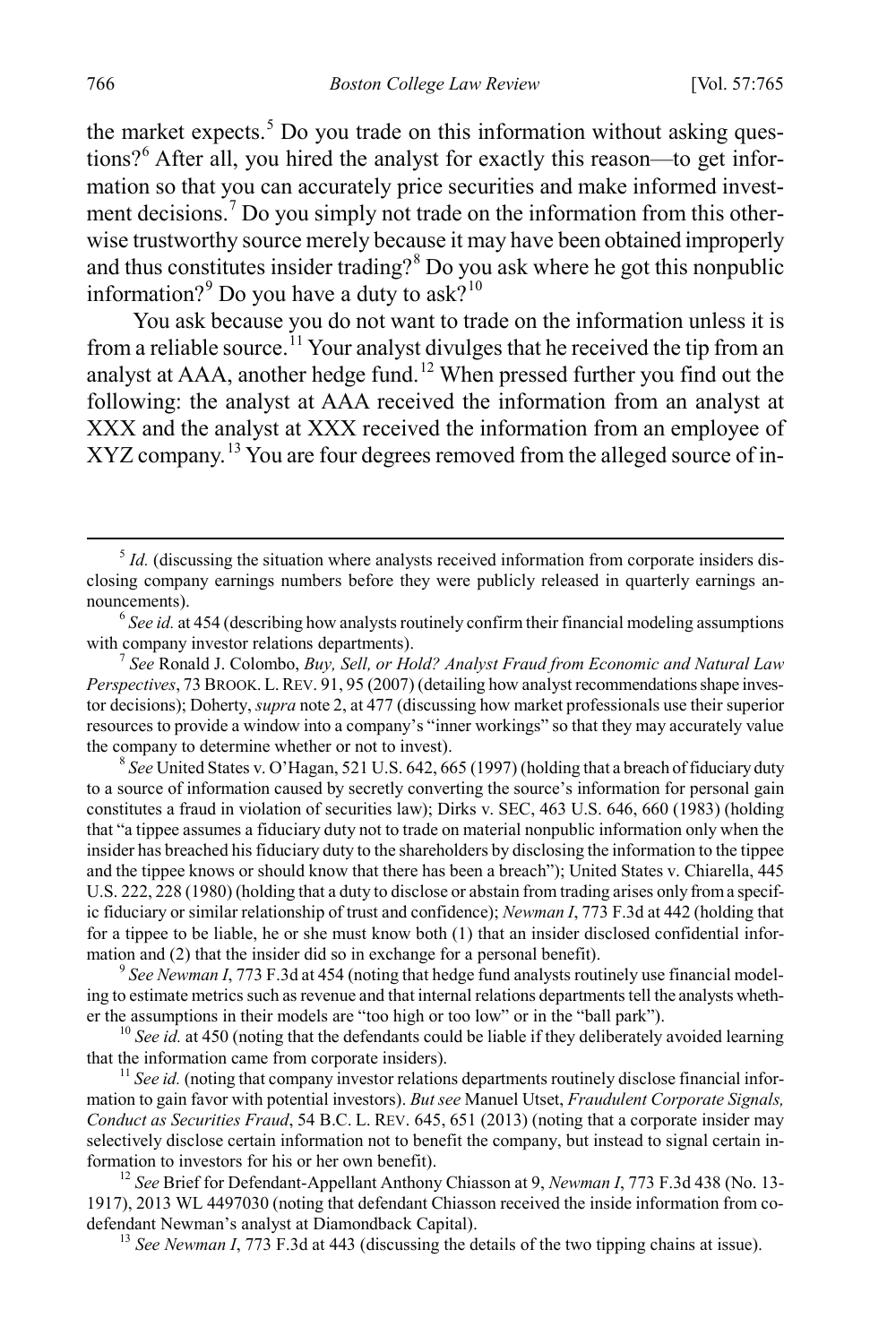the market expects. [5](#page-2-0) Do you trade on this information without asking questions?[6](#page-2-1) After all, you hired the analyst for exactly this reason—to get information so that you can accurately price securities and make informed invest-ment decisions.<sup>[7](#page-2-2)</sup> Do you simply not trade on the information from this otherwise trustworthy source merely because it may have been obtained improperly and thus constitutes insider trading?[8](#page-2-3) Do you ask where he got this nonpublic information?<sup>[9](#page-2-4)</sup> Do you have a duty to ask?<sup>[10](#page-2-5)</sup>

You ask because you do not want to trade on the information unless it is from a reliable source.<sup>[11](#page-2-6)</sup> Your analyst divulges that he received the tip from an analyst at AAA, another hedge fund.<sup>[12](#page-2-7)</sup> When pressed further you find out the following: the analyst at AAA received the information from an analyst at XXX and the analyst at XXX received the information from an employee of XYZ company.<sup>[13](#page-2-8)</sup> You are four degrees removed from the alleged source of in-

<span id="page-2-3"></span>to a source of information caused by secretly converting the source's information for personal gain constitutes a fraud in violation of securities law); Dirks v. SEC, 463 U.S. 646, 660 (1983) (holding that "a tippee assumes a fiduciary duty not to trade on material nonpublic information only when the insider has breached his fiduciary duty to the shareholders by disclosing the information to the tippee and the tippee knows or should know that there has been a breach"); United States v. Chiarella, 445 U.S. 222, 228 (1980) (holding that a duty to disclose or abstain from trading arises only from a specific fiduciary or similar relationship of trust and confidence); *Newman I*, 773 F.3d at 442 (holding that for a tippee to be liable, he or she must know both (1) that an insider disclosed confidential information and (2) that the insider did so in exchange for a personal benefit).<br><sup>9</sup> *See Newman I*, 773 F.3d at 454 (noting that hedge fund analysts routinely use financial model-

<span id="page-2-4"></span>ing to estimate metrics such as revenue and that internal relations departments tell the analysts whether the assumptions in their models are "too high or too low" or in the "ball park").<br><sup>10</sup> *See id.* at 450 (noting that the defendants could be liable if they deliberately avoided learning

<span id="page-2-5"></span>that the information came from corporate insiders).<br><sup>11</sup> *See id.* (noting that company investor relations departments routinely disclose financial infor-

<span id="page-2-6"></span>mation to gain favor with potential investors). *But see* Manuel Utset, *Fraudulent Corporate Signals, Conduct as Securities Fraud*, 54 B.C. L. REV. 645, 651 (2013) (noting that a corporate insider may selectively disclose certain information not to benefit the company, but instead to signal certain information to investors for his or her own benefit). <sup>12</sup> *See* Brief for Defendant-Appellant Anthony Chiasson at 9, *Newman <sup>I</sup>*, 773 F.3d 438 (No. 13-

<span id="page-2-8"></span><span id="page-2-7"></span>1917), 2013 WL 4497030 (noting that defendant Chiasson received the inside information from codefendant Newman's analyst at Diamondback Capital). <sup>13</sup> *See Newman I*, 773 F.3d at 443 (discussing the details of the two tipping chains at issue).

<span id="page-2-0"></span> $5$  *Id.* (discussing the situation where analysts received information from corporate insiders disclosing company earnings numbers before they were publicly released in quarterly earnings announcements). <sup>6</sup> *See id.* at 454 (describing how analysts routinely confirm their financial modeling assumptions

<span id="page-2-1"></span>with company investor relations departments).<br><sup>7</sup> *See* Ronald J. Colombo, *Buy, Sell, or Hold? Analyst Fraud from Economic and Natural Law* 

<span id="page-2-2"></span>*Perspectives*, 73 BROOK. L.REV. 91, 95 (2007) (detailing how analyst recommendations shape investor decisions); Doherty, *supra* note 2, at 477 (discussing how market professionals use their superior resources to provide a window into a company's "inner workings" so that they may accurately value the company to determine whether or not to invest). <sup>8</sup> *See* United States v. O'Hagan, 521 U.S. 642, 665 (1997) (holding that a breach of fiduciary duty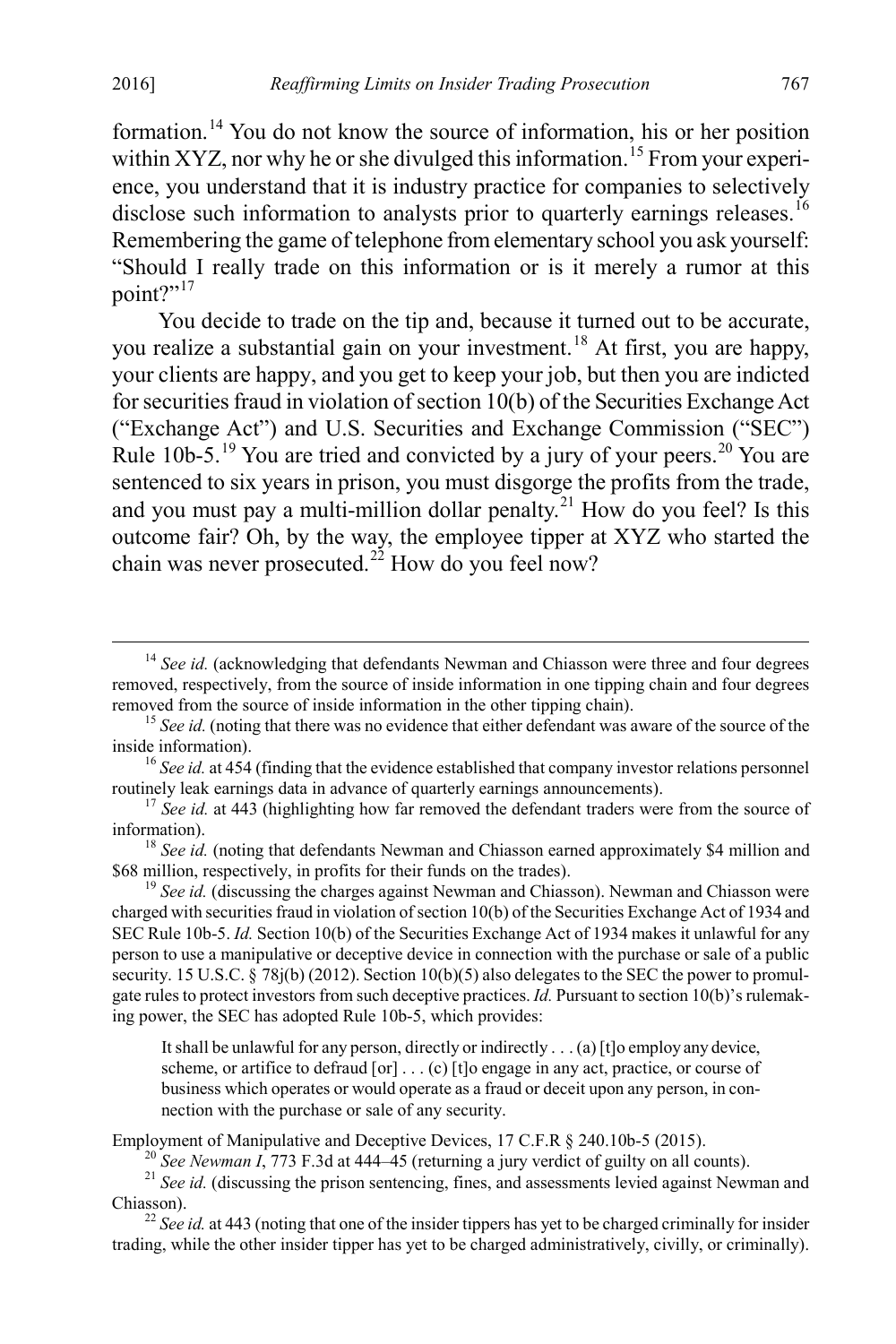formation.[14](#page-3-0) You do not know the source of information, his or her position within XYZ, nor why he or she divulged this information.<sup>[15](#page-3-1)</sup> From your experience, you understand that it is industry practice for companies to selectively disclose such information to analysts prior to quarterly earnings releases.<sup>[16](#page-3-2)</sup> Remembering the game of telephone from elementary school you ask yourself: "Should I really trade on this information or is it merely a rumor at this point?"<sup>[17](#page-3-3)</sup>

You decide to trade on the tip and, because it turned out to be accurate, you realize a substantial gain on your investment.[18](#page-3-4) At first, you are happy, your clients are happy, and you get to keep your job, but then you are indicted for securities fraud in violation of section 10(b) of the Securities Exchange Act ("Exchange Act") and U.S. Securities and Exchange Commission ("SEC") Rule 10b-5.<sup>[19](#page-3-5)</sup> You are tried and convicted by a jury of your peers.<sup>[20](#page-3-6)</sup> You are sentenced to six years in prison, you must disgorge the profits from the trade, and you must pay a multi-million dollar penalty.<sup>[21](#page-3-7)</sup> How do you feel? Is this outcome fair? Oh, by the way, the employee tipper at XYZ who started the chain was never prosecuted.<sup>22</sup> How do you feel now?

<span id="page-3-5"></span><sup>19</sup> See id. (discussing the charges against Newman and Chiasson). Newman and Chiasson were charged with securities fraud in violation of section 10(b) of the Securities Exchange Act of 1934 and SEC Rule 10b-5. *Id.* Section 10(b) of the Securities Exchange Act of 1934 makes it unlawful for any person to use a manipulative or deceptive device in connection with the purchase or sale of a public security. 15 U.S.C. § 78j(b) (2012). Section 10(b)(5) also delegates to the SEC the power to promulgate rules to protect investors from such deceptive practices. *Id.* Pursuant to section 10(b)'s rulemaking power, the SEC has adopted Rule 10b-5, which provides:

It shall be unlawful for any person, directly or indirectly . . . (a) [t]o employ any device, scheme, or artifice to defraud  $[or] \dots (c)$   $[t]$ o engage in any act, practice, or course of business which operates or would operate as a fraud or deceit upon any person, in connection with the purchase or sale of any security.

<span id="page-3-7"></span><span id="page-3-6"></span>Employment of Manipulative and Deceptive Devices, 17 C.F.R § 240.10b-5 (2015).<br><sup>20</sup> See Newman I, 773 F.3d at 444–45 (returning a jury verdict of guilty on all counts).<br><sup>21</sup> See id. (discussing the prison sentencing, fine

<span id="page-3-8"></span> $^{22}$  *See id.* at 443 (noting that one of the insider tippers has yet to be charged criminally for insider trading, while the other insider tipper has yet to be charged administratively, civilly, or criminally).

<span id="page-3-0"></span><sup>&</sup>lt;sup>14</sup> See id. (acknowledging that defendants Newman and Chiasson were three and four degrees removed, respectively, from the source of inside information in one tipping chain and four degrees removed from the source of inside information in the other tipping chain).

<span id="page-3-1"></span><sup>&</sup>lt;sup>15</sup> *See id.* (noting that there was no evidence that either defendant was aware of the source of the inside information).

<span id="page-3-2"></span><sup>&</sup>lt;sup>16</sup> *See id.* at 454 (finding that the evidence established that company investor relations personnel

<span id="page-3-3"></span>routinely leak earnings data in advance of quarterly earnings announcements).<br><sup>17</sup> *See id.* at 443 (highlighting how far removed the defendant traders were from the source of information).

<span id="page-3-4"></span><sup>&</sup>lt;sup>18</sup> *See id.* (noting that defendants Newman and Chiasson earned approximately \$4 million and \$68 million, respectively, in profits for their funds on the trades).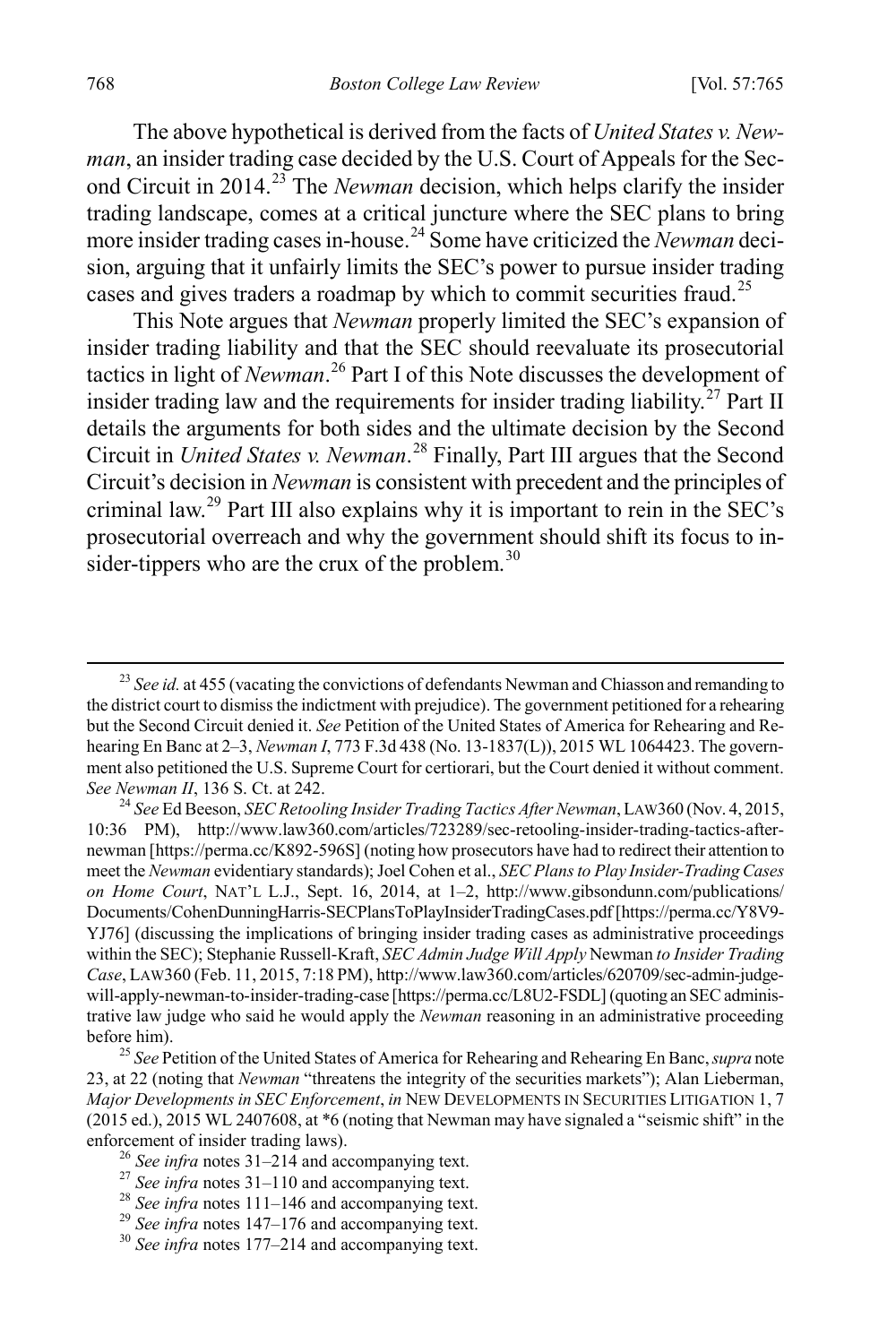The above hypothetical is derived from the facts of *United States v. Newman*, an insider trading case decided by the U.S. Court of Appeals for the Second Circuit in 2014. [23](#page-4-0) The *Newman* decision, which helps clarify the insider trading landscape, comes at a critical juncture where the SEC plans to bring more insider trading cases in-house.[24](#page-4-1) Some have criticized the *Newman* decision, arguing that it unfairly limits the SEC's power to pursue insider trading cases and gives traders a roadmap by which to commit securities fraud.<sup>[25](#page-4-2)</sup>

This Note argues that *Newman* properly limited the SEC's expansion of insider trading liability and that the SEC should reevaluate its prosecutorial tactics in light of *Newman*. [26](#page-4-3) Part I of this Note discusses the development of insider trading law and the requirements for insider trading liability.<sup>[27](#page-4-4)</sup> Part II details the arguments for both sides and the ultimate decision by the Second Circuit in *United States v. Newman*. [28](#page-4-5) Finally, Part III argues that the Second Circuit's decision in *Newman* is consistent with precedent and the principles of criminal law.[29](#page-4-6) Part III also explains why it is important to rein in the SEC's prosecutorial overreach and why the government should shift its focus to in-sider-tippers who are the crux of the problem.<sup>[30](#page-4-7)</sup>

<span id="page-4-1"></span>10:36 PM), http://www.law360.com/articles/723289/sec-retooling-insider-trading-tactics-afternewman [https://perma.cc/K892-596S] (noting how prosecutors have had to redirect their attention to meet the *Newman* evidentiary standards); Joel Cohen et al., *SEC Plans to Play Insider-Trading Cases on Home Court*, NAT'L L.J., Sept. 16, 2014, at 1–2, http://www.gibsondunn.com/publications/ Documents/CohenDunningHarris-SECPlansToPlayInsiderTradingCases.pdf [https://perma.cc/Y8V9- YJ76] (discussing the implications of bringing insider trading cases as administrative proceedings within the SEC); Stephanie Russell-Kraft, *SEC Admin Judge Will Apply* Newman *to Insider Trading Case*, LAW360 (Feb. 11, 2015, 7:18 PM), http://www.law360.com/articles/620709/sec-admin-judgewill-apply-newman-to-insider-trading-case [https://perma.cc/L8U2-FSDL] (quoting an SEC administrative law judge who said he would apply the *Newman* reasoning in an administrative proceeding before him). <sup>25</sup> *See* Petition of the United States of America for Rehearing and Rehearing En Banc, *supra* note

<span id="page-4-2"></span>23, at 22 (noting that *Newman* "threatens the integrity of the securities markets"); Alan Lieberman, *Major Developments in SEC Enforcement*, *in* NEW DEVELOPMENTS IN SECURITIES LITIGATION 1, 7 (2015 ed.), 2015 WL 2407608, at \*6 (noting that Newman may have signaled a "seismic shift" in the

<span id="page-4-0"></span><sup>&</sup>lt;sup>23</sup> *See id.* at 455 (vacating the convictions of defendants Newman and Chiasson and remanding to the district court to dismiss the indictment with prejudice). The government petitioned for a rehearing but the Second Circuit denied it. *See* Petition of the United States of America for Rehearing and Rehearing En Banc at 2–3, *Newman I*, 773 F.3d 438 (No. 13-1837(L)), 2015 WL 1064423. The government also petitioned the U.S. Supreme Court for certiorari, but the Court denied it without comment. *See Newman II*, 136 S. Ct. at 242.<br><sup>24</sup> *See* Ed Beeson, *SEC Retooling Insider Trading Tactics After Newman*, LAW360 (Nov. 4, 2015,

<span id="page-4-5"></span><span id="page-4-4"></span>

<span id="page-4-3"></span><sup>&</sup>lt;sup>26</sup> See infra notes 31–214 and accompanying text.<br><sup>27</sup> See infra notes 31–110 and accompanying text.<br><sup>28</sup> See infra notes 111–146 and accompanying text.<br><sup>29</sup> See infra notes 147–176 and accompanying text.<br><sup>30</sup> See infra

<span id="page-4-6"></span>

<span id="page-4-7"></span>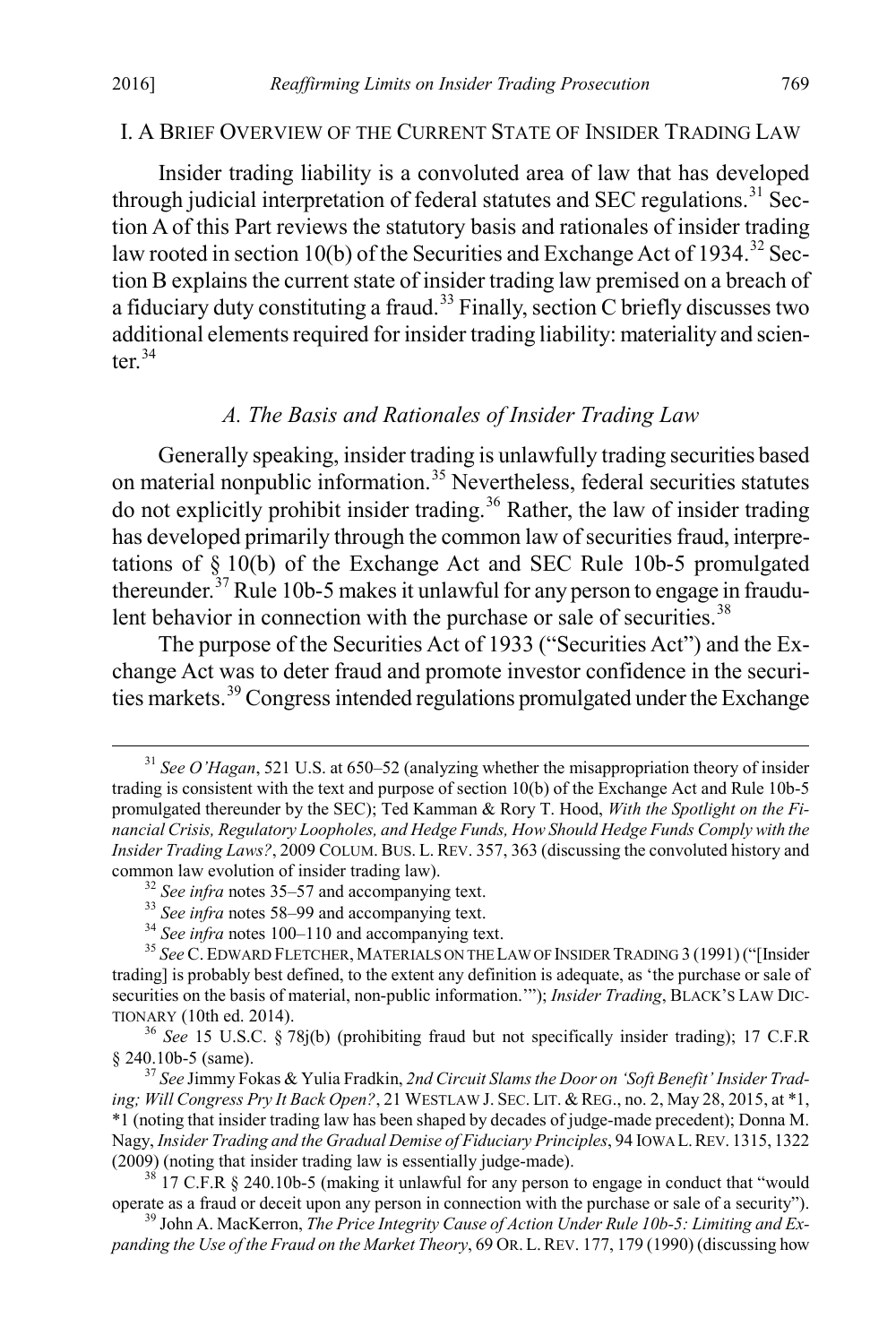#### I. A BRIEF OVERVIEW OF THE CURRENT STATE OF INSIDER TRADING LAW

Insider trading liability is a convoluted area of law that has developed through judicial interpretation of federal statutes and SEC regulations.<sup>[31](#page-5-0)</sup> Section A of this Part reviews the statutory basis and rationales of insider trading law rooted in section 10(b) of the Securities and Exchange Act of 1934.<sup>[32](#page-5-1)</sup> Section B explains the current state of insider trading law premised on a breach of a fiduciary duty constituting a fraud.<sup>[33](#page-5-2)</sup> Finally, section C briefly discusses two additional elements required for insider trading liability: materiality and scienter $34$ 

#### *A. The Basis and Rationales of Insider Trading Law*

Generally speaking, insider trading is unlawfully trading securities based on material nonpublic information.<sup>[35](#page-5-4)</sup> Nevertheless, federal securities statutes do not explicitly prohibit insider trading.<sup>[36](#page-5-5)</sup> Rather, the law of insider trading has developed primarily through the common law of securities fraud, interpretations of § 10(b) of the Exchange Act and SEC Rule 10b-5 promulgated thereunder.<sup>[37](#page-5-6)</sup> Rule 10b-5 makes it unlawful for any person to engage in fraudu-lent behavior in connection with the purchase or sale of securities.<sup>[38](#page-5-7)</sup>

The purpose of the Securities Act of 1933 ("Securities Act") and the Exchange Act was to deter fraud and promote investor confidence in the securities markets.[39](#page-5-8) Congress intended regulations promulgated under the Exchange

<span id="page-5-0"></span> <sup>31</sup> *See O'Hagan*, 521 U.S. at 650–52 (analyzing whether the misappropriation theory of insider trading is consistent with the text and purpose of section 10(b) of the Exchange Act and Rule 10b-5 promulgated thereunder by the SEC); Ted Kamman & Rory T. Hood, *With the Spotlight on the Financial Crisis, Regulatory Loopholes, and Hedge Funds, How Should Hedge Funds Comply with the Insider Trading Laws?*, 2009 COLUM. BUS. L. REV. 357, 363 (discussing the convoluted history and common law evolution of insider trading law).<br>
<sup>32</sup> See infra notes 35–57 and accompanying text.<br>
<sup>33</sup> See infra notes 58–99 and accompanying text.<br>
<sup>34</sup> See infra notes 100–110 and accompanying text.<br>
<sup>35</sup> See C. EDWARD

<span id="page-5-4"></span><span id="page-5-3"></span><span id="page-5-2"></span><span id="page-5-1"></span>trading] is probably best defined, to the extent any definition is adequate, as 'the purchase or sale of securities on the basis of material, non-public information.'"); *Insider Trading*, BLACK'S LAW DIC-

<span id="page-5-5"></span>TIONARY (10th ed. 2014). <sup>36</sup> *See* 15 U.S.C. § 78j(b) (prohibiting fraud but not specifically insider trading); 17 C.F.R

<span id="page-5-6"></span><sup>&</sup>lt;sup>37</sup> See Jimmy Fokas & Yulia Fradkin, 2nd Circuit Slams the Door on 'Soft Benefit' Insider Trad*ing; Will Congress Pry It Back Open?*, 21 WESTLAW J. SEC. LIT. & REG., no. 2, May 28, 2015, at \*1, \*1 (noting that insider trading law has been shaped by decades of judge-made precedent); Donna M. Nagy, *Insider Trading and the Gradual Demise of Fiduciary Principles*, 94 IOWA L.REV. 1315, 1322 (2009) (noting that insider trading law is essentially judge-made).<br><sup>38</sup> 17 C.F.R § 240.10b-5 (making it unlawful for any person to engage in conduct that "would

<span id="page-5-7"></span>operate as a fraud or deceit upon any person in connection with the purchase or sale of a security").<br><sup>39</sup> John A. MacKerron, *The Price Integrity Cause of Action Under Rule 10b-5: Limiting and Ex-*

<span id="page-5-8"></span>*panding the Use of the Fraud on the Market Theory*, 69 OR. L.REV. 177, 179 (1990) (discussing how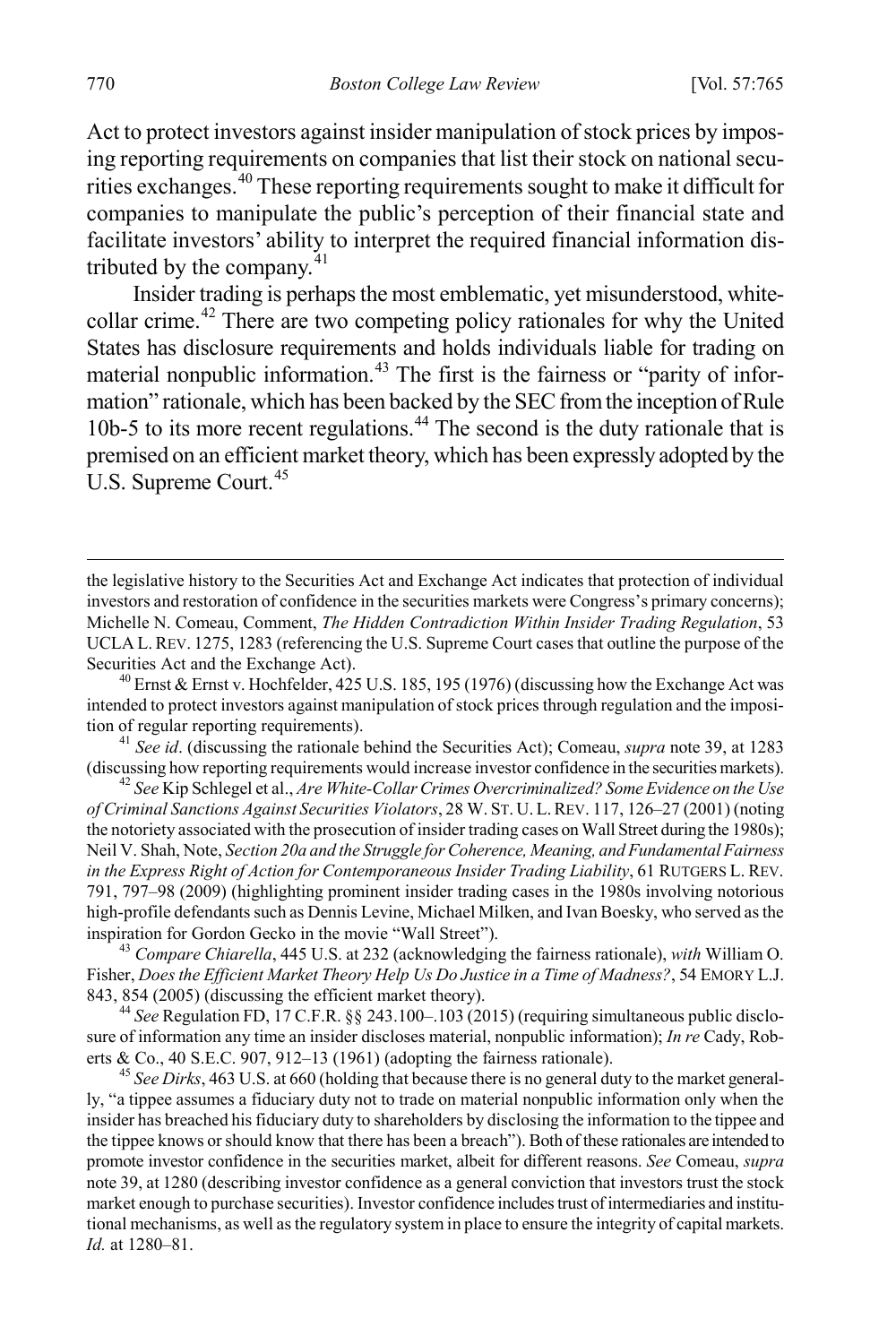Act to protect investors against insider manipulation of stock prices by imposing reporting requirements on companies that list their stock on national securities exchanges.[40](#page-6-0) These reporting requirements sought to make it difficult for companies to manipulate the public's perception of their financial state and facilitate investors' ability to interpret the required financial information distributed by the company. $41$ 

Insider trading is perhaps the most emblematic, yet misunderstood, whitecollar crime.[42](#page-6-2) There are two competing policy rationales for why the United States has disclosure requirements and holds individuals liable for trading on material nonpublic information.<sup>[43](#page-6-3)</sup> The first is the fairness or "parity of information" rationale, which has been backed by the SEC from the inception of Rule 10b-5 to its more recent regulations.<sup>[44](#page-6-4)</sup> The second is the duty rationale that is premised on an efficient market theory, which has been expressly adopted by the U.S. Supreme Court.<sup>[45](#page-6-5)</sup>

<span id="page-6-1"></span>tion of regular reporting requirements).<br><sup>41</sup> *See id*. (discussing the rationale behind the Securities Act); Comeau, *supra* note 39, at 1283<br>(discussing how reporting requirements would increase investor confidence in th

<span id="page-6-2"></span><sup>42</sup> See Kip Schlegel et al., *Are White-Collar Crimes Overcriminalized? Some Evidence on the Use of Criminal Sanctions Against Securities Violators*, 28 W. ST. U. L.REV. 117, 126–27 (2001) (noting the notoriety associated with the prosecution of insider trading cases on Wall Street during the 1980s); Neil V. Shah, Note, *Section 20a and the Struggle for Coherence, Meaning, and Fundamental Fairness in the Express Right of Action for Contemporaneous Insider Trading Liability*, 61 RUTGERS L. REV. 791, 797–98 (2009) (highlighting prominent insider trading cases in the 1980s involving notorious high-profile defendants such as Dennis Levine, Michael Milken, and Ivan Boesky, who served as the inspiration for Gordon Gecko in the movie "Wall Street").

<span id="page-6-3"></span><sup>43</sup> *Compare Chiarella*, 445 U.S. at 232 (acknowledging the fairness rationale), *with* William O. Fisher, *Does the Efficient Market Theory Help Us Do Justice in a Time of Madness?*, 54 EMORY L.J. 843, 854 (2005) (discussing the efficient market theory). <sup>44</sup> *See* Regulation FD, 17 C.F.R. §§ 243.100–.103 (2015) (requiring simultaneous public disclo-

<span id="page-6-4"></span>sure of information any time an insider discloses material, nonpublic information); *In re* Cady, Roberts & Co., 40 S.E.C. 907, 912–13 (1961) (adopting the fairness rationale). <sup>45</sup> *See Dirks*, 463 U.S. at 660 (holding that because there is no general duty to the market general-

<span id="page-6-5"></span>ly, "a tippee assumes a fiduciary duty not to trade on material nonpublic information only when the insider has breached his fiduciary duty to shareholders by disclosing the information to the tippee and the tippee knows or should know that there has been a breach"). Both of these rationales are intended to promote investor confidence in the securities market, albeit for different reasons. *See* Comeau, *supra* note 39, at 1280 (describing investor confidence as a general conviction that investors trust the stock market enough to purchase securities). Investor confidence includes trust of intermediaries and institutional mechanisms, as well as the regulatory system in place to ensure the integrity of capital markets. *Id.* at 1280–81.

the legislative history to the Securities Act and Exchange Act indicates that protection of individual investors and restoration of confidence in the securities markets were Congress's primary concerns); Michelle N. Comeau, Comment, *The Hidden Contradiction Within Insider Trading Regulation*, 53 UCLA L. REV. 1275, 1283 (referencing the U.S. Supreme Court cases that outline the purpose of the Securities Act and the Exchange Act).<br><sup>40</sup> Ernst & Ernst v. Hochfelder, 425 U.S. 185, 195 (1976) (discussing how the Exchange Act was

<span id="page-6-0"></span>intended to protect investors against manipulation of stock prices through regulation and the imposi-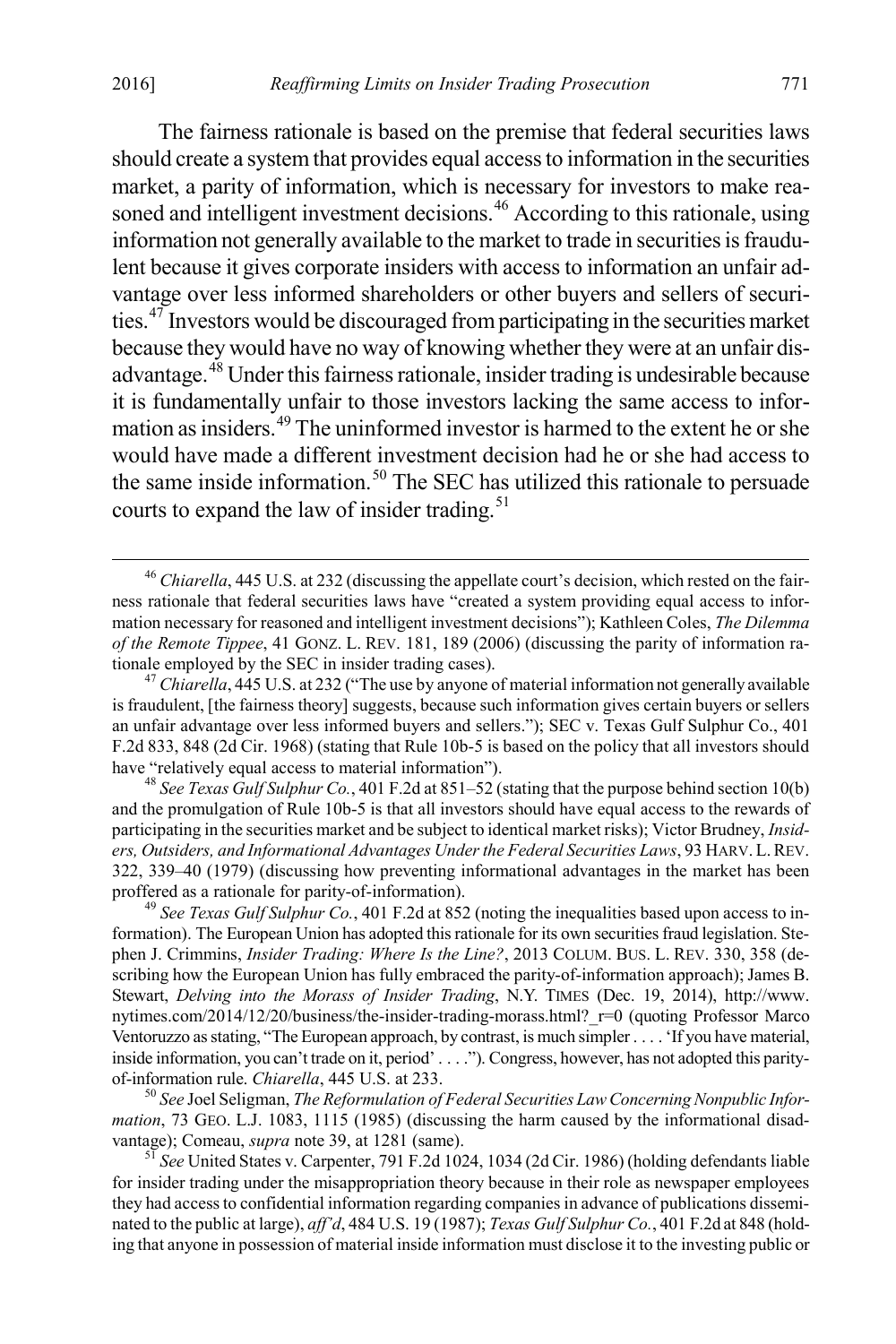The fairness rationale is based on the premise that federal securities laws should create a system that provides equal access to information in the securities market, a parity of information, which is necessary for investors to make rea-soned and intelligent investment decisions.<sup>[46](#page-7-0)</sup> According to this rationale, using information not generally available to the market to trade in securities is fraudulent because it gives corporate insiders with access to information an unfair advantage over less informed shareholders or other buyers and sellers of securities.[47](#page-7-1) Investors would be discouraged from participating in the securities market because they would have no way of knowing whether they were at an unfair dis-advantage.<sup>[48](#page-7-2)</sup> Under this fairness rationale, insider trading is undesirable because it is fundamentally unfair to those investors lacking the same access to infor-mation as insiders.<sup>[49](#page-7-3)</sup> The uninformed investor is harmed to the extent he or she would have made a different investment decision had he or she had access to the same inside information.<sup>[50](#page-7-4)</sup> The SEC has utilized this rationale to persuade courts to expand the law of insider trading.<sup>[51](#page-7-5)</sup>

<span id="page-7-2"></span>and the promulgation of Rule 10b-5 is that all investors should have equal access to the rewards of participating in the securities market and be subject to identical market risks); Victor Brudney, *Insiders, Outsiders, and Informational Advantages Under the Federal Securities Laws*, 93 HARV. L.REV. 322, 339–40 (1979) (discussing how preventing informational advantages in the market has been

<span id="page-7-3"></span><sup>49</sup> See *Texas Gulf Sulphur Co.*, 401 F.2d at 852 (noting the inequalities based upon access to information). The European Union has adopted this rationale for its own securities fraud legislation. Stephen J. Crimmins, *Insider Trading: Where Is the Line?*, 2013 COLUM. BUS. L. REV. 330, 358 (describing how the European Union has fully embraced the parity-of-information approach); James B. Stewart, *Delving into the Morass of Insider Trading*, N.Y. TIMES (Dec. 19, 2014), http://www. nytimes.com/2014/12/20/business/the-insider-trading-morass.html? r=0 (quoting Professor Marco Ventoruzzo asstating, "The European approach, by contrast, is much simpler . . . . 'If you have material, inside information, you can't trade on it, period' . . . ."). Congress, however, has not adopted this parityof-information rule. *Chiarella*, 445 U.S. at 233.<br><sup>50</sup> See Joel Seligman, *The Reformulation of Federal Securities Law Concerning Nonpublic Infor-*

<span id="page-7-4"></span>*mation*, 73 GEO. L.J. 1083, 1115 (1985) (discussing the harm caused by the informational disad-<br>vantage); Comeau, *supra* note 39, at 1281 (same).

<span id="page-7-5"></span><sup>51</sup> See United States v. Carpenter, 791 F.2d 1024, 1034 (2d Cir. 1986) (holding defendants liable for insider trading under the misappropriation theory because in their role as newspaper employees they had access to confidential information regarding companies in advance of publications disseminated to the public at large), *aff'd*, 484 U.S. 19 (1987); *Texas Gulf Sulphur Co.*, 401 F.2d at 848 (holding that anyone in possession of material inside information must disclose it to the investing public or

<span id="page-7-0"></span><sup>&</sup>lt;sup>46</sup> *Chiarella*, 445 U.S. at 232 (discussing the appellate court's decision, which rested on the fairness rationale that federal securities laws have "created a system providing equal access to information necessary for reasoned and intelligent investment decisions"); Kathleen Coles, *The Dilemma of the Remote Tippee*, 41 GONZ. L. REV. 181, 189 (2006) (discussing the parity of information rationale employed by the SEC in insider trading cases). <sup>47</sup> *Chiarella*, 445 U.S. at 232 ("The use by anyone of material information not generally available

<span id="page-7-1"></span>is fraudulent, [the fairness theory] suggests, because such information gives certain buyers or sellers an unfair advantage over less informed buyers and sellers."); SEC v. Texas Gulf Sulphur Co., 401 F.2d 833, 848 (2d Cir. 1968) (stating that Rule 10b-5 is based on the policy that all investors should have "relatively equal access to material information").<br><sup>48</sup> *See Texas Gulf Sulphur Co.*, 401 F.2d at 851–52 (stating that the purpose behind section 10(b)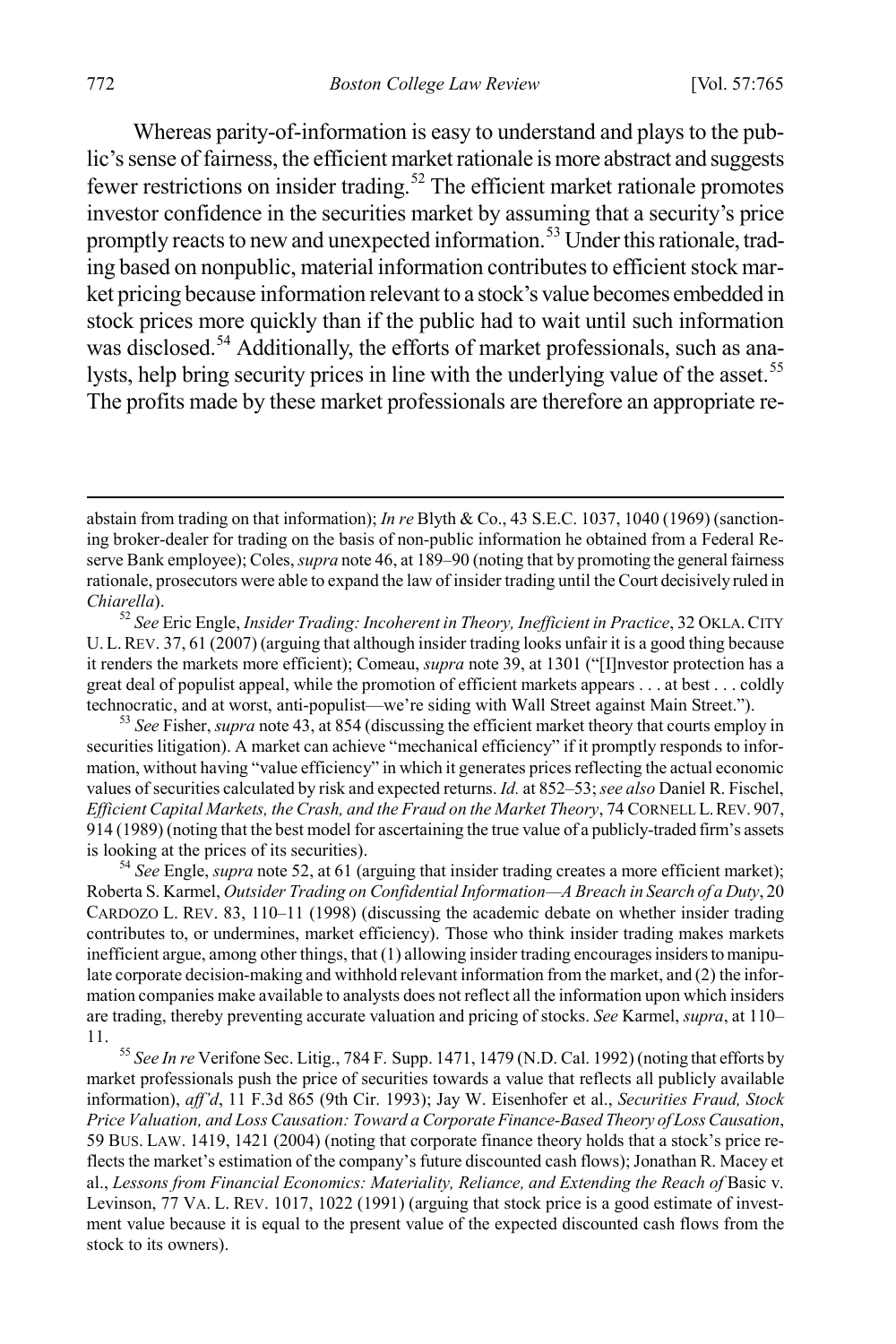Whereas parity-of-information is easy to understand and plays to the public's sense of fairness, the efficient market rationale is more abstract and suggests fewer restrictions on insider trading.[52](#page-8-0) The efficient market rationale promotes investor confidence in the securities market by assuming that a security's price promptly reacts to new and unexpected information.<sup>[53](#page-8-1)</sup> Under this rationale, trading based on nonpublic, material information contributes to efficient stock market pricing because information relevant to a stock's value becomes embedded in stock prices more quickly than if the public had to wait until such information was disclosed.<sup>[54](#page-8-2)</sup> Additionally, the efforts of market professionals, such as ana-lysts, help bring security prices in line with the underlying value of the asset.<sup>[55](#page-8-3)</sup> The profits made by these market professionals are therefore an appropriate re-

<span id="page-8-1"></span>securities litigation). A market can achieve "mechanical efficiency" if it promptly responds to information, without having "value efficiency" in which it generates prices reflecting the actual economic values of securities calculated by risk and expected returns. *Id.* at 852–53; *see also* Daniel R. Fischel, *Efficient Capital Markets, the Crash, and the Fraud on the Market Theory*, 74 CORNELL L.REV. 907, 914 (1989) (noting that the best model for ascertaining the true value of a publicly-traded firm's assets is looking at the prices of its securities). <sup>54</sup> *See* Engle, *supra* note 52, at 61 (arguing that insider trading creates a more efficient market);

<span id="page-8-2"></span>Roberta S. Karmel, *Outsider Trading on Confidential Information—A Breach in Search of a Duty*, 20 CARDOZO L. REV. 83, 110–11 (1998) (discussing the academic debate on whether insider trading contributes to, or undermines, market efficiency). Those who think insider trading makes markets inefficient argue, among other things, that (1) allowing insider trading encourages insiders to manipulate corporate decision-making and withhold relevant information from the market, and (2) the information companies make available to analysts does not reflect all the information upon which insiders are trading, thereby preventing accurate valuation and pricing of stocks. *See* Karmel, *supra*, at 110– 11. <sup>55</sup> *See In re* Verifone Sec. Litig., 784 F. Supp. 1471, 1479 (N.D. Cal. 1992) (noting that efforts by

<span id="page-8-3"></span>market professionals push the price of securities towards a value that reflects all publicly available information), *aff'd*, 11 F.3d 865 (9th Cir. 1993); Jay W. Eisenhofer et al., *Securities Fraud, Stock Price Valuation, and Loss Causation: Toward a Corporate Finance-Based Theory of Loss Causation*, 59 BUS. LAW. 1419, 1421 (2004) (noting that corporate finance theory holds that a stock's price reflects the market's estimation of the company's future discounted cash flows); Jonathan R. Macey et al., *Lessons from Financial Economics: Materiality, Reliance, and Extending the Reach of Basic v.* Levinson, 77 VA. L. REV. 1017, 1022 (1991) (arguing that stock price is a good estimate of investment value because it is equal to the present value of the expected discounted cash flows from the stock to its owners).

abstain from trading on that information); *In re* Blyth & Co., 43 S.E.C. 1037, 1040 (1969) (sanctioning broker-dealer for trading on the basis of non-public information he obtained from a Federal Reserve Bank employee); Coles, *supra* note 46, at 189–90 (noting that by promoting the general fairness rationale, prosecutors were able to expand the law of insider trading until the Court decisively ruled in *Chiarella*). <sup>52</sup> *See* Eric Engle, *Insider Trading: Incoherent in Theory, Inefficient in Practice*, 32 OKLA.CITY

<span id="page-8-0"></span>U. L.REV. 37, 61 (2007) (arguing that although insider trading looks unfair it is a good thing because it renders the markets more efficient); Comeau, *supra* note 39, at 1301 ("[I]nvestor protection has a great deal of populist appeal, while the promotion of efficient markets appears . . . at best . . . coldly technocratic, and at worst, anti-populist—we're siding with Wall Street against Main Street."). <sup>53</sup> *See* Fisher, *supra* note 43, at 854 (discussing the efficient market theory that courts employ in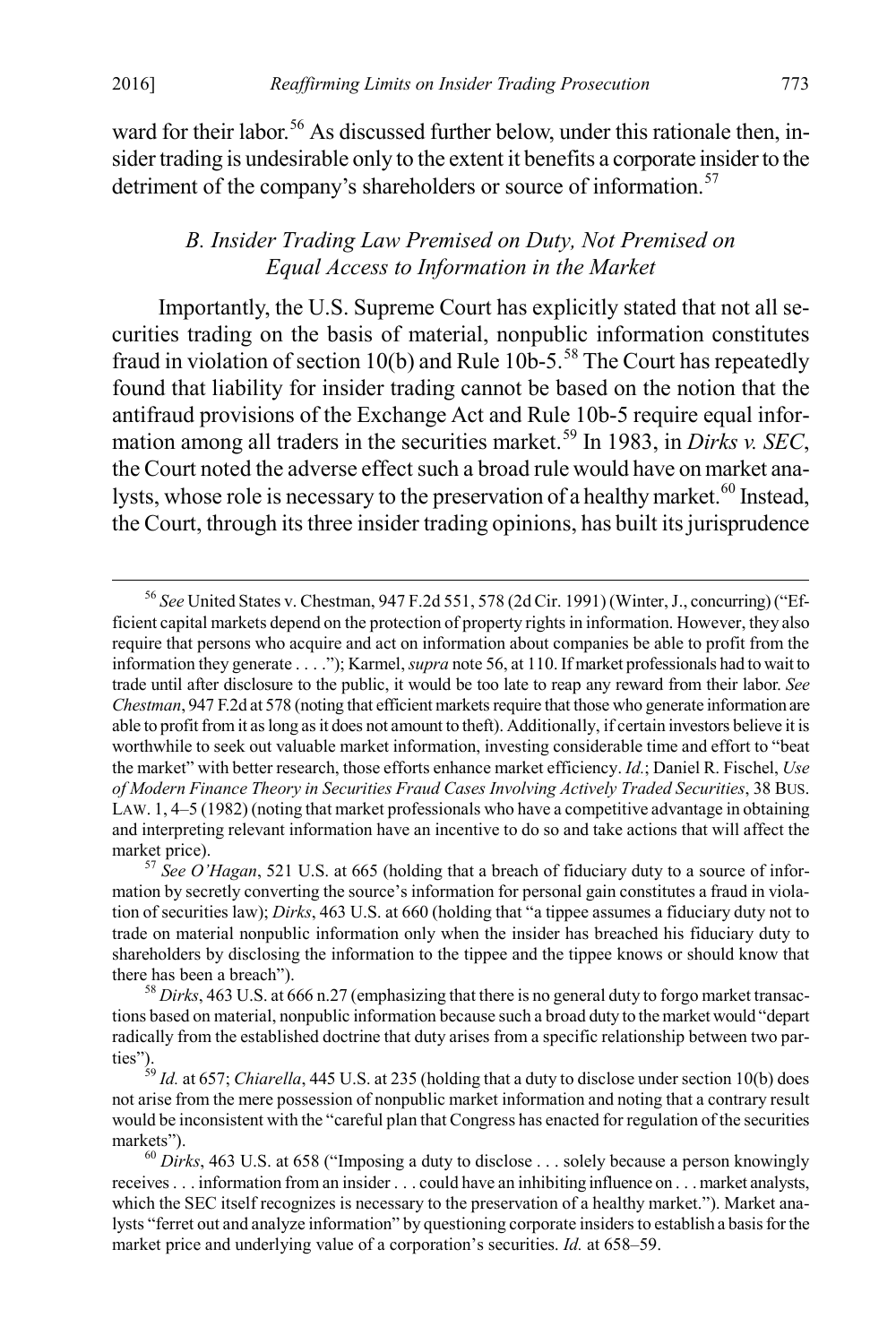ward for their labor.<sup>[56](#page-9-0)</sup> As discussed further below, under this rationale then, insider trading is undesirable only to the extent it benefits a corporate insider to the detriment of the company's shareholders or source of information.<sup>[57](#page-9-1)</sup>

#### *B. Insider Trading Law Premised on Duty, Not Premised on Equal Access to Information in the Market*

Importantly, the U.S. Supreme Court has explicitly stated that not all securities trading on the basis of material, nonpublic information constitutes fraud in violation of section 10(b) and Rule  $10b-5$ .<sup>58</sup> The Court has repeatedly found that liability for insider trading cannot be based on the notion that the antifraud provisions of the Exchange Act and Rule 10b-5 require equal infor-mation among all traders in the securities market.<sup>[59](#page-9-3)</sup> In 1983, in *Dirks v. SEC*, the Court noted the adverse effect such a broad rule would have on market ana-lysts, whose role is necessary to the preservation of a healthy market.<sup>[60](#page-9-4)</sup> Instead, the Court, through its three insider trading opinions, has built its jurisprudence

<span id="page-9-0"></span> <sup>56</sup> *See* United States v. Chestman, 947 F.2d 551, 578 (2d Cir. 1991) (Winter, J., concurring) ("Efficient capital markets depend on the protection of property rights in information. However, they also require that persons who acquire and act on information about companies be able to profit from the information they generate . . . ."); Karmel, *supra* note 56, at 110. If market professionals had to wait to trade until after disclosure to the public, it would be too late to reap any reward from their labor. *See Chestman*, 947 F.2d at 578 (noting that efficient markets require that those who generate information are able to profit from it as long as it does not amount to theft). Additionally, if certain investors believe it is worthwhile to seek out valuable market information, investing considerable time and effort to "beat the market" with better research, those efforts enhance market efficiency. *Id.*; Daniel R. Fischel, *Use of Modern Finance Theory in Securities Fraud Cases Involving Actively Traded Securities*, 38 BUS. LAW. 1,  $4-5$  (1982) (noting that market professionals who have a competitive advantage in obtaining and interpreting relevant information have an incentive to do so and take actions that will affect the market price).<br><sup>57</sup> *See O'Hagan*, 521 U.S. at 665 (holding that a breach of fiduciary duty to a source of infor-

<span id="page-9-1"></span>mation by secretly converting the source's information for personal gain constitutes a fraud in violation of securities law); *Dirks*, 463 U.S. at 660 (holding that "a tippee assumes a fiduciary duty not to trade on material nonpublic information only when the insider has breached his fiduciary duty to shareholders by disclosing the information to the tippee and the tippee knows or should know that there has been a breach").<br><sup>58</sup> *Dirks*, 463 U.S. at 666 n.27 (emphasizing that there is no general duty to forgo market transac-

<span id="page-9-2"></span>tions based on material, nonpublic information because such a broad duty to the market would "depart radically from the established doctrine that duty arises from a specific relationship between two parties").

<span id="page-9-3"></span><sup>59</sup> *Id.* at 657; *Chiarella*, 445 U.S. at 235 (holding that a duty to disclose under section 10(b) does not arise from the mere possession of nonpublic market information and noting that a contrary result would be inconsistent with the "careful plan that Congress has enacted for regulation of the securities markets").<br><sup>60</sup> *Dirks*, 463 U.S. at 658 ("Imposing a duty to disclose . . . solely because a person knowingly

<span id="page-9-4"></span>receives . . . information from an insider . . . could have an inhibiting influence on . . . market analysts, which the SEC itself recognizes is necessary to the preservation of a healthy market."). Market analysts "ferret out and analyze information" by questioning corporate insiders to establish a basis for the market price and underlying value of a corporation's securities. *Id.* at 658–59.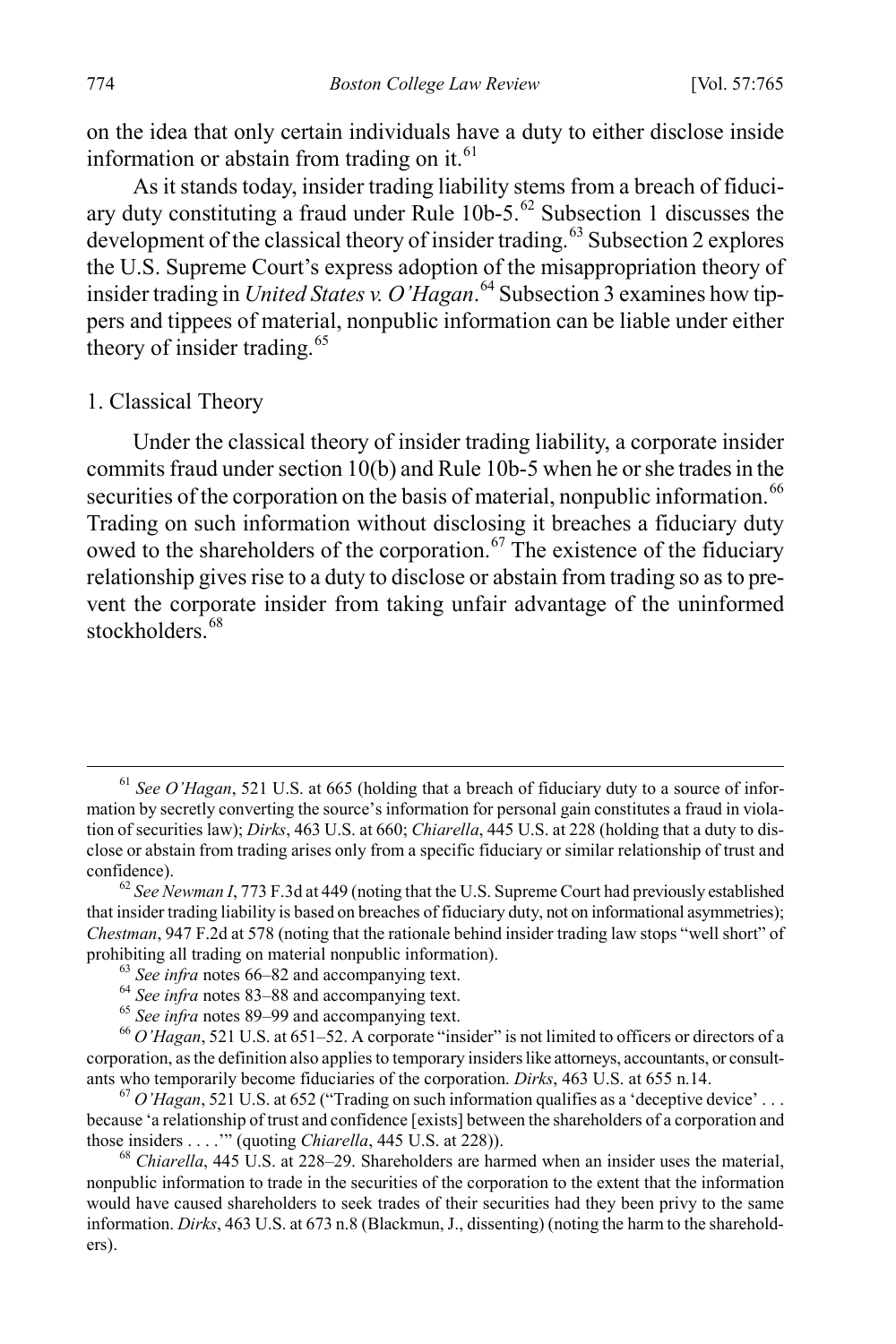on the idea that only certain individuals have a duty to either disclose inside information or abstain from trading on it. $61$ 

As it stands today, insider trading liability stems from a breach of fiduciary duty constituting a fraud under Rule  $10b-5$ .<sup>[62](#page-10-1)</sup> Subsection 1 discusses the development of the classical theory of insider trading.<sup>[63](#page-10-2)</sup> Subsection 2 explores the U.S. Supreme Court's express adoption of the misappropriation theory of insider trading in *United States v. O'Hagan*. [64](#page-10-3) Subsection 3 examines how tippers and tippees of material, nonpublic information can be liable under either theory of insider trading.<sup>[65](#page-10-4)</sup>

#### 1. Classical Theory

Under the classical theory of insider trading liability, a corporate insider commits fraud under section 10(b) and Rule 10b-5 when he or she trades in the securities of the corporation on the basis of material, nonpublic information.<sup>[66](#page-10-5)</sup> Trading on such information without disclosing it breaches a fiduciary duty owed to the shareholders of the corporation.<sup>[67](#page-10-6)</sup> The existence of the fiduciary relationship gives rise to a duty to disclose or abstain from trading so as to prevent the corporate insider from taking unfair advantage of the uninformed stockholders.<sup>[68](#page-10-7)</sup>

<span id="page-10-6"></span>because 'a relationship of trust and confidence [exists] between the shareholders of a corporation and those insiders ...." (quoting *Chiarella*, 445 U.S. at 228)).

<span id="page-10-7"></span><sup>68</sup> *Chiarella*, 445 U.S. at 228–29. Shareholders are harmed when an insider uses the material, nonpublic information to trade in the securities of the corporation to the extent that the information would have caused shareholders to seek trades of their securities had they been privy to the same information. *Dirks*, 463 U.S. at 673 n.8 (Blackmun, J., dissenting) (noting the harm to the shareholders).

<span id="page-10-0"></span> <sup>61</sup> *See O'Hagan*, 521 U.S. at 665 (holding that a breach of fiduciary duty to a source of information by secretly converting the source's information for personal gain constitutes a fraud in violation of securities law); *Dirks*, 463 U.S. at 660; *Chiarella*, 445 U.S. at 228 (holding that a duty to disclose or abstain from trading arises only from a specific fiduciary or similar relationship of trust and confidence). <sup>62</sup> *See Newman I*, 773 F.3d at 449 (noting that the U.S. Supreme Court had previously established

<span id="page-10-1"></span>that insider trading liability is based on breaches of fiduciary duty, not on informational asymmetries); *Chestman*, 947 F.2d at 578 (noting that the rationale behind insider trading law stops "well short" of prohibiting all trading on material nonpublic information).<br>
<sup>63</sup> See infra notes 66–82 and accompanying text.<br>
<sup>64</sup> See infra notes 83–88 and accompanying text.<br>
<sup>65</sup> See infra notes 89–99 and accompanying text.<br>
<sup>66</sup> O'

<span id="page-10-5"></span><span id="page-10-4"></span><span id="page-10-3"></span><span id="page-10-2"></span>corporation, as the definition also applies to temporary insiders like attorneys, accountants, or consultants who temporarily become fiduciaries of the corporation. *Dirks*, 463 U.S. at 655 n.14. <sup>67</sup> *O'Hagan*, 521 U.S. at 652 ("Trading on such information qualifies as a 'deceptive device' . . .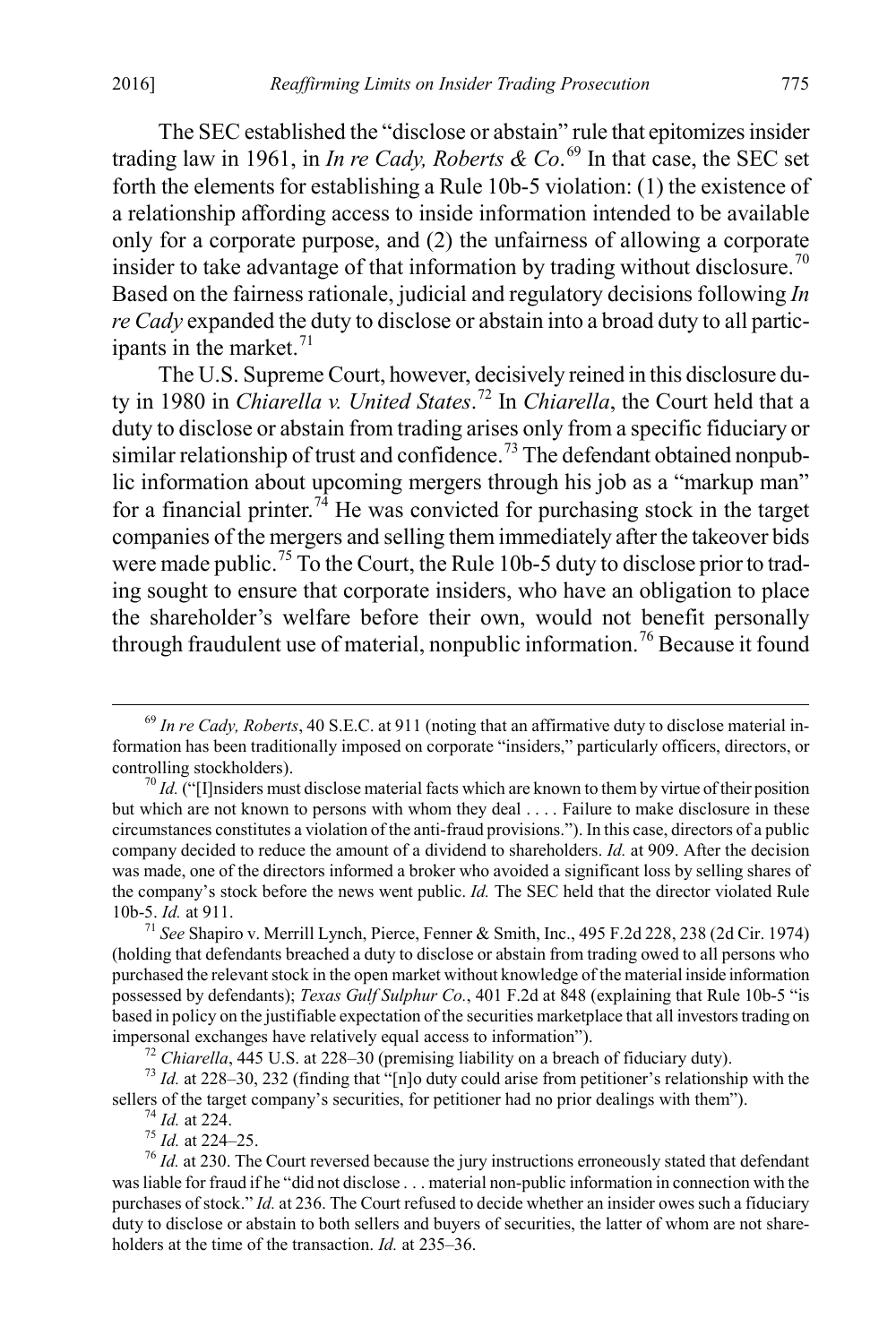The SEC established the "disclose or abstain" rule that epitomizes insider trading law in 1961, in *In re Cady, Roberts & Co*. [69](#page-11-0) In that case, the SEC set forth the elements for establishing a Rule 10b-5 violation: (1) the existence of a relationship affording access to inside information intended to be available only for a corporate purpose, and (2) the unfairness of allowing a corporate insider to take advantage of that information by trading without disclosure.<sup>[70](#page-11-1)</sup> Based on the fairness rationale, judicial and regulatory decisions following *In re Cady* expanded the duty to disclose or abstain into a broad duty to all participants in the market. $71$ 

The U.S. Supreme Court, however, decisively reined in this disclosure duty in 1980 in *Chiarella v. United States*. [72](#page-11-3) In *Chiarella*, the Court held that a duty to disclose or abstain from trading arises only from a specific fiduciary or similar relationship of trust and confidence.<sup>[73](#page-11-4)</sup> The defendant obtained nonpublic information about upcoming mergers through his job as a "markup man" for a financial printer.<sup>[74](#page-11-5)</sup> He was convicted for purchasing stock in the target companies of the mergers and selling them immediately after the takeover bids were made public.<sup>[75](#page-11-6)</sup> To the Court, the Rule 10b-5 duty to disclose prior to trading sought to ensure that corporate insiders, who have an obligation to place the shareholder's welfare before their own, would not benefit personally through fraudulent use of material, nonpublic information.<sup>[76](#page-11-7)</sup> Because it found

<span id="page-11-0"></span> <sup>69</sup> *In re Cady, Roberts*, 40 S.E.C. at 911 (noting that an affirmative duty to disclose material information has been traditionally imposed on corporate "insiders," particularly officers, directors, or controlling stockholders).<br><sup>70</sup> *Id.* ("[I]nsiders must disclose material facts which are known to them by virtue of their position

<span id="page-11-1"></span>but which are not known to persons with whom they deal . . . . Failure to make disclosure in these circumstances constitutes a violation of the anti-fraud provisions."). In this case, directors of a public company decided to reduce the amount of a dividend to shareholders. *Id.* at 909. After the decision was made, one of the directors informed a broker who avoided a significant loss by selling shares of the company's stock before the news went public. *Id.* The SEC held that the director violated Rule 10b-5. *Id.* at 911. <sup>71</sup> *See* Shapiro v. Merrill Lynch, Pierce, Fenner & Smith, Inc., 495 F.2d 228, 238 (2d Cir. 1974)

<span id="page-11-2"></span><sup>(</sup>holding that defendants breached a duty to disclose or abstain from trading owed to all persons who purchased the relevant stock in the open market without knowledge of the material inside information possessed by defendants); *Texas Gulf Sulphur Co.*, 401 F.2d at 848 (explaining that Rule 10b-5 "is based in policy on the justifiable expectation of the securities marketplace that all investors trading on impersonal exchanges have relatively equal access to information").

<span id="page-11-4"></span><span id="page-11-3"></span><sup>&</sup>lt;sup>72</sup> Chiarella, 445 U.S. at 228–30 (premising liability on a breach of fiduciary duty).<br><sup>73</sup> Id. at 228–30, 232 (finding that "[n]o duty could arise from petitioner's relationship with the sellers of the target company's securities, for petitioner had no prior dealings with them").<br><sup>74</sup> *Id.* at 224.<br><sup>75</sup> *Id.* at 224–25.<br><sup>76</sup> *Id.* at 230. The Court reversed because the jury instructions erroneously stated

<span id="page-11-7"></span><span id="page-11-6"></span><span id="page-11-5"></span>was liable for fraud if he "did not disclose . . . material non-public information in connection with the purchases of stock." *Id.* at 236. The Court refused to decide whether an insider owes such a fiduciary duty to disclose or abstain to both sellers and buyers of securities, the latter of whom are not shareholders at the time of the transaction. *Id.* at 235–36.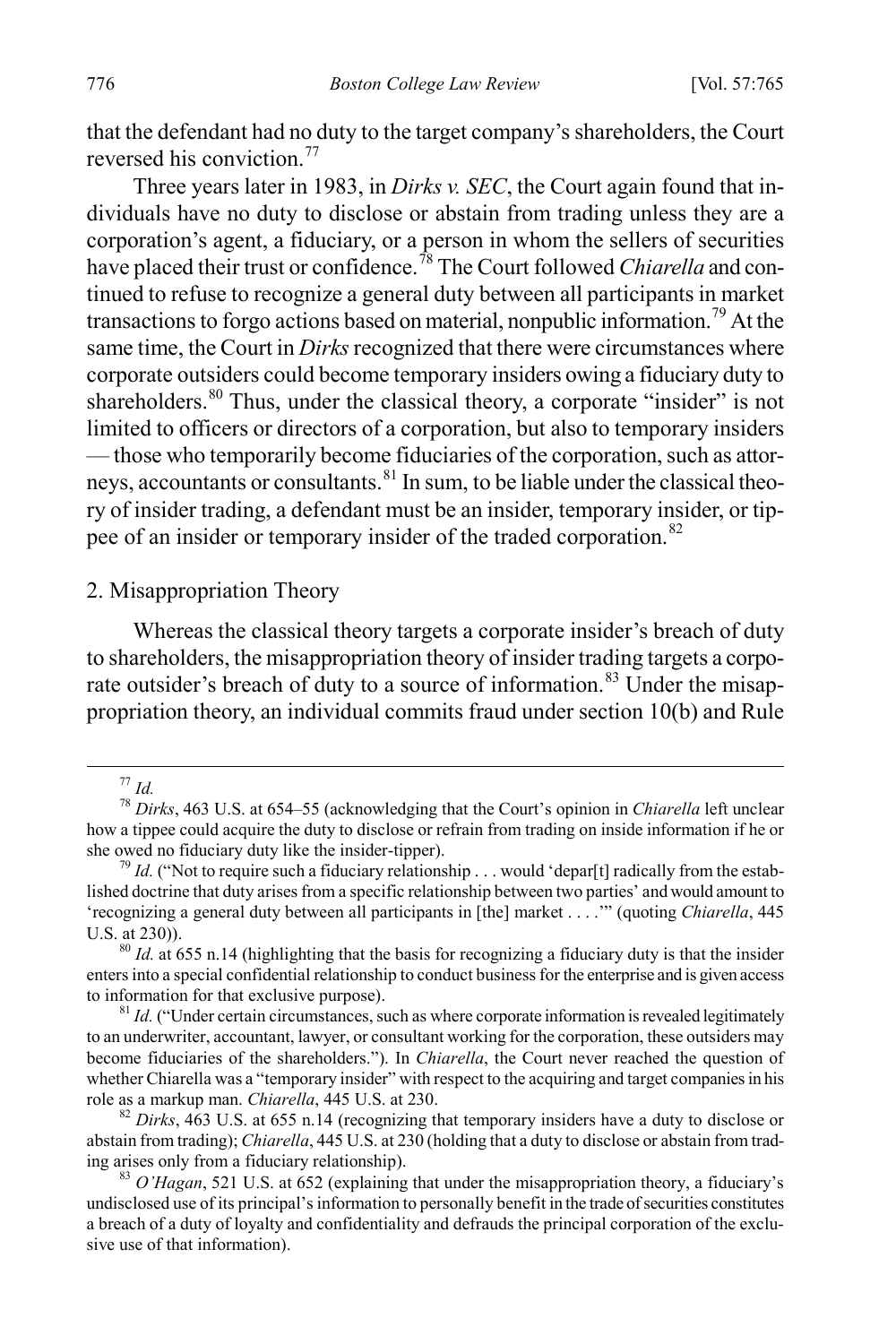that the defendant had no duty to the target company's shareholders, the Court reversed his conviction.<sup>[77](#page-12-0)</sup>

Three years later in 1983, in *Dirks v. SEC*, the Court again found that individuals have no duty to disclose or abstain from trading unless they are a corporation's agent, a fiduciary, or a person in whom the sellers of securities have placed their trust or confidence. [78](#page-12-1) The Court followed *Chiarella* and continued to refuse to recognize a general duty between all participants in market transactions to forgo actions based on material, nonpublic information.[79](#page-12-2) At the same time, the Court in *Dirks* recognized that there were circumstances where corporate outsiders could become temporary insiders owing a fiduciary duty to shareholders.<sup>[80](#page-12-3)</sup> Thus, under the classical theory, a corporate "insider" is not limited to officers or directors of a corporation, but also to temporary insiders — those who temporarily become fiduciaries of the corporation, such as attor-neys, accountants or consultants.<sup>[81](#page-12-4)</sup> In sum, to be liable under the classical theory of insider trading, a defendant must be an insider, temporary insider, or tip-pee of an insider or temporary insider of the traded corporation.<sup>[82](#page-12-5)</sup>

#### 2. Misappropriation Theory

Whereas the classical theory targets a corporate insider's breach of duty to shareholders, the misappropriation theory of insider trading targets a corporate outsider's breach of duty to a source of information.<sup>83</sup> Under the misappropriation theory, an individual commits fraud under section 10(b) and Rule

<span id="page-12-1"></span><span id="page-12-0"></span><sup>77</sup> *Id.* <sup>78</sup> *Dirks*, 463 U.S. at 654–55 (acknowledging that the Court's opinion in *Chiarella* left unclear how a tippee could acquire the duty to disclose or refrain from trading on inside information if he or she owed no fiduciary duty like the insider-tipper).<br><sup>79</sup> *Id.* ("Not to require such a fiduciary relationship . . . would 'depar[t] radically from the estab-

<span id="page-12-2"></span>lished doctrine that duty arises from a specific relationship between two parties' and would amount to 'recognizing a general duty between all participants in [the] market . . . .'" (quoting *Chiarella*, 445 U.S. at 230)). 80 *Id.* at 655 n.14 (highlighting that the basis for recognizing a fiduciary duty is that the insider

<span id="page-12-3"></span>enters into a special confidential relationship to conduct business for the enterprise and is given access to information for that exclusive purpose).<br><sup>81</sup> *Id.* ("Under certain circumstances, such as where corporate information is revealed legitimately

<span id="page-12-4"></span>to an underwriter, accountant, lawyer, or consultant working for the corporation, these outsiders may become fiduciaries of the shareholders."). In *Chiarella*, the Court never reached the question of whether Chiarella was a "temporary insider" with respect to the acquiring and target companies in his role as a markup man. *Chiarella*, 445 U.S. at 230.<br><sup>82</sup> *Dirks*, 463 U.S. at 655 n.14 (recognizing that temporary insiders have a duty to disclose or

<span id="page-12-5"></span>abstain from trading); *Chiarella*, 445 U.S. at 230 (holding that a duty to disclose or abstain from trading arises only from a fiduciary relationship). <sup>83</sup> *O'Hagan*, 521 U.S. at 652 (explaining that under the misappropriation theory, a fiduciary's

<span id="page-12-6"></span>undisclosed use of its principal's information to personally benefit in the trade of securities constitutes a breach of a duty of loyalty and confidentiality and defrauds the principal corporation of the exclusive use of that information).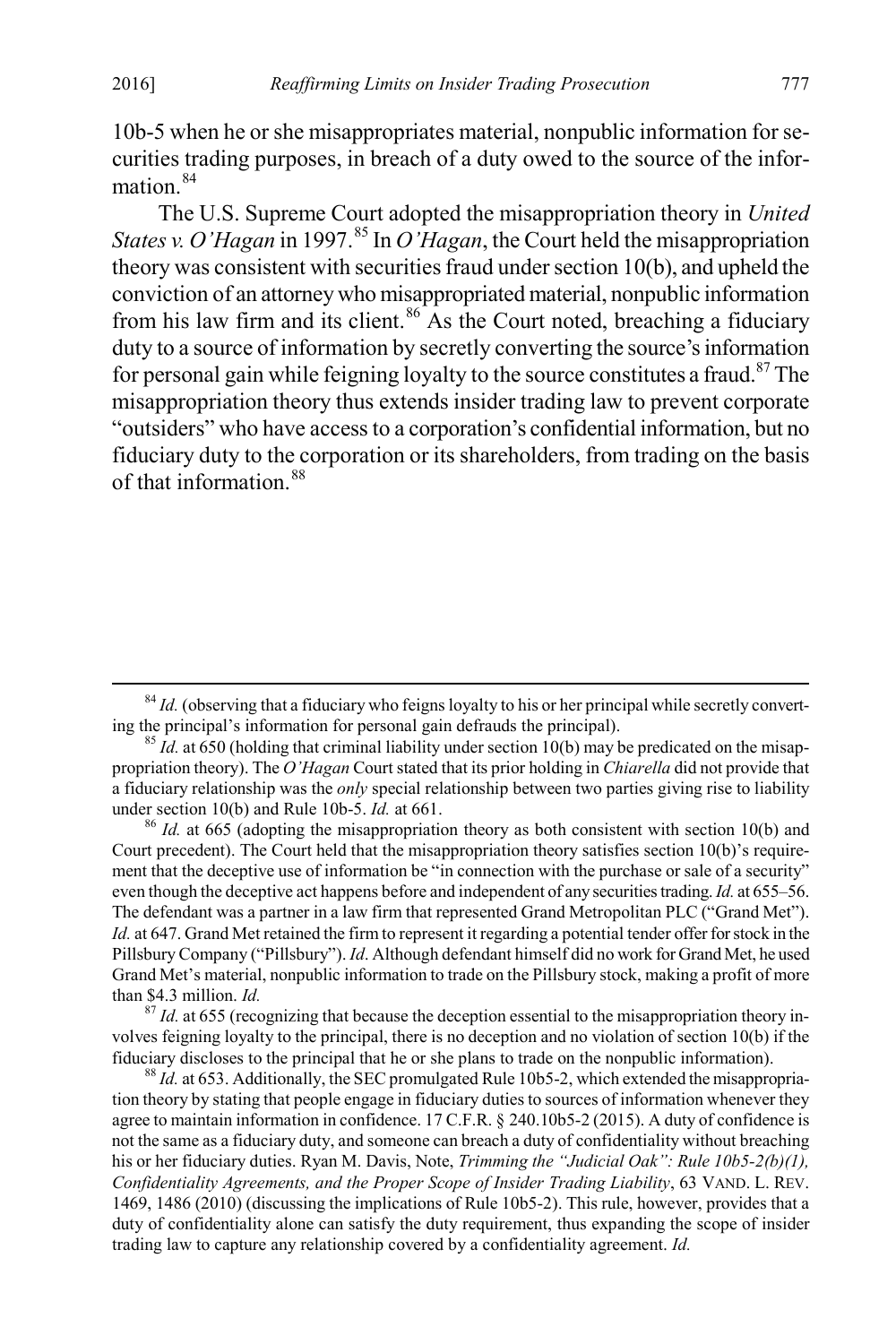10b-5 when he or she misappropriates material, nonpublic information for securities trading purposes, in breach of a duty owed to the source of the information  $84$ 

The U.S. Supreme Court adopted the misappropriation theory in *United States v. O'Hagan* in 1997. [85](#page-13-1) In *O'Hagan*, the Court held the misappropriation theory was consistent with securities fraud under section 10(b), and upheld the conviction of an attorney who misappropriated material, nonpublic information from his law firm and its client. $86$  As the Court noted, breaching a fiduciary duty to a source of information by secretly converting the source's information for personal gain while feigning loyalty to the source constitutes a fraud.<sup>[87](#page-13-3)</sup> The misappropriation theory thus extends insider trading law to prevent corporate "outsiders" who have access to a corporation's confidential information, but no fiduciary duty to the corporation or its shareholders, from trading on the basis of that information  $88$ 

<span id="page-13-2"></span><sup>86</sup> *Id.* at 665 (adopting the misappropriation theory as both consistent with section 10(b) and Court precedent). The Court held that the misappropriation theory satisfies section 10(b)'s requirement that the deceptive use of information be "in connection with the purchase or sale of a security" even though the deceptive act happens before and independent of any securities trading. *Id.* at 655–56. The defendant was a partner in a law firm that represented Grand Metropolitan PLC ("Grand Met"). *Id.* at 647. Grand Met retained the firm to represent it regarding a potential tender offer for stock in the Pillsbury Company ("Pillsbury"). *Id*. Although defendant himself did no work for Grand Met, he used Grand Met's material, nonpublic information to trade on the Pillsbury stock, making a profit of more than \$4.3 million. *Id.*<br><sup>87</sup> *Id.* at 655 (recognizing that because the deception essential to the misappropriation theory in-

<span id="page-13-3"></span>volves feigning loyalty to the principal, there is no deception and no violation of section 10(b) if the fiduciary discloses to the principal that he or she plans to trade on the nonpublic information). <sup>88</sup> *Id.* at 653. Additionally, the SEC promulgated Rule 10b5-2, which extended the misappropria-

<span id="page-13-4"></span>tion theory by stating that people engage in fiduciary duties to sources of information whenever they agree to maintain information in confidence. 17 C.F.R. § 240.10b5-2 (2015). A duty of confidence is not the same as a fiduciary duty, and someone can breach a duty of confidentiality without breaching his or her fiduciary duties. Ryan M. Davis, Note, *Trimming the "Judicial Oak": Rule 10b5-2(b)(1)*, *Confidentiality Agreements, and the Proper Scope of Insider Trading Liability*, 63 VAND. L. REV. 1469, 1486 (2010) (discussing the implications of Rule 10b5-2). This rule, however, provides that a duty of confidentiality alone can satisfy the duty requirement, thus expanding the scope of insider trading law to capture any relationship covered by a confidentiality agreement. *Id.*

<span id="page-13-0"></span> $84$  *Id.* (observing that a fiduciary who feigns loyalty to his or her principal while secretly converting the principal's information for personal gain defrauds the principal).

<span id="page-13-1"></span> $\frac{85}{1}$  *Id.* at 650 (holding that criminal liability under section 10(b) may be predicated on the misappropriation theory). The *O'Hagan* Court stated that its prior holding in *Chiarella* did not provide that a fiduciary relationship was the *only* special relationship between two parties giving rise to liability under section 10(b) and Rule 10b-5. *Id.* at 661.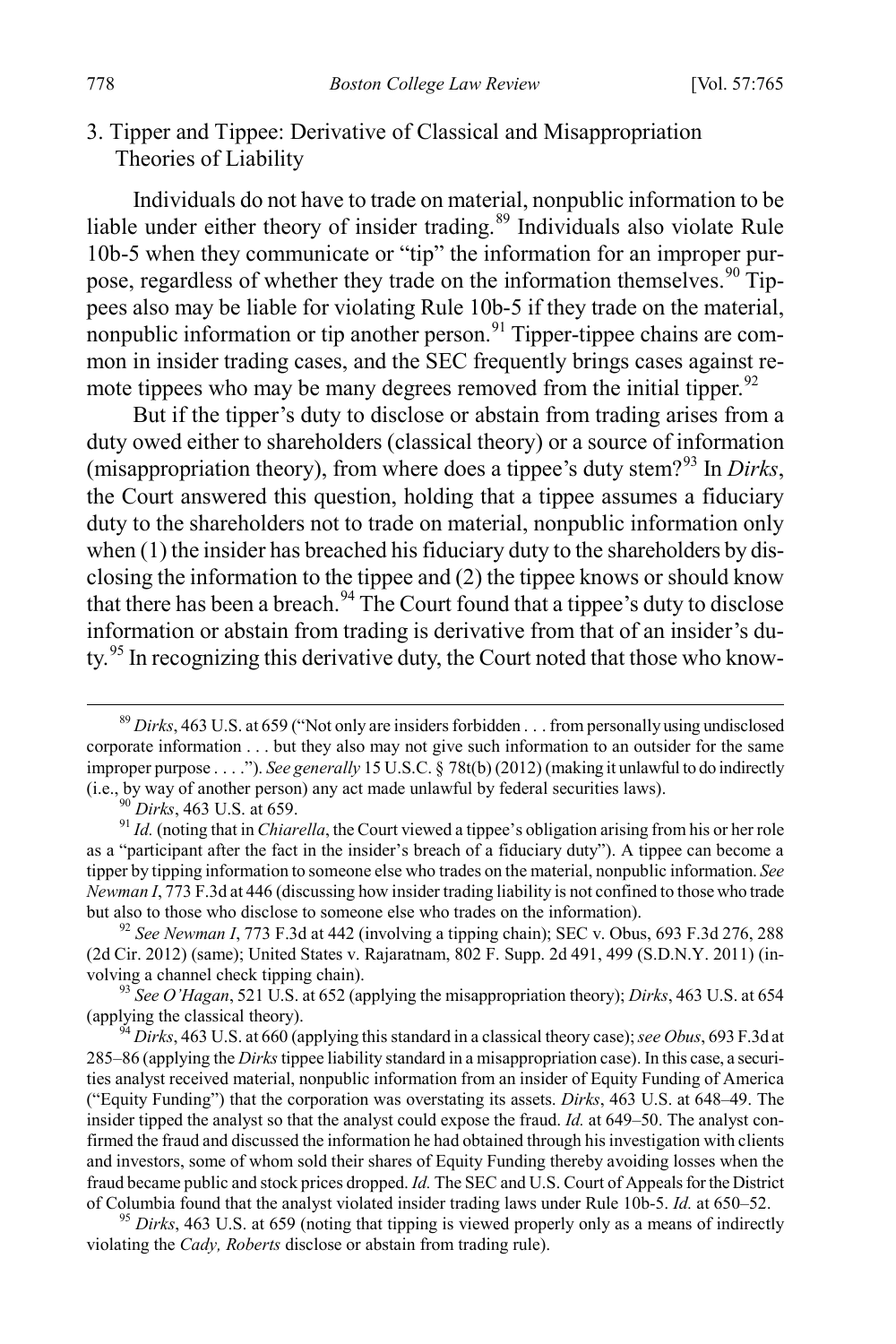3. Tipper and Tippee: Derivative of Classical and Misappropriation Theories of Liability

Individuals do not have to trade on material, nonpublic information to be liable under either theory of insider trading.<sup>[89](#page-14-0)</sup> Individuals also violate Rule 10b-5 when they communicate or "tip" the information for an improper pur-pose, regardless of whether they trade on the information themselves.<sup>[90](#page-14-1)</sup> Tippees also may be liable for violating Rule 10b-5 if they trade on the material, nonpublic information or tip another person.<sup>[91](#page-14-2)</sup> Tipper-tippee chains are common in insider trading cases, and the SEC frequently brings cases against re-mote tippees who may be many degrees removed from the initial tipper.<sup>[92](#page-14-3)</sup>

But if the tipper's duty to disclose or abstain from trading arises from a duty owed either to shareholders (classical theory) or a source of information (misappropriation theory), from where does a tippee's duty stem?<sup>[93](#page-14-4)</sup> In *Dirks*, the Court answered this question, holding that a tippee assumes a fiduciary duty to the shareholders not to trade on material, nonpublic information only when (1) the insider has breached his fiduciary duty to the shareholders by disclosing the information to the tippee and (2) the tippee knows or should know that there has been a breach.<sup>[94](#page-14-5)</sup> The Court found that a tippee's duty to disclose information or abstain from trading is derivative from that of an insider's du-ty.<sup>[95](#page-14-6)</sup> In recognizing this derivative duty, the Court noted that those who know-

<span id="page-14-3"></span>(2d Cir. 2012) (same); United States v. Rajaratnam, 802 F. Supp. 2d 491, 499 (S.D.N.Y. 2011) (in-

<span id="page-14-4"></span>volving a channel check tipping chain). <sup>93</sup> *See O'Hagan*, 521 U.S. at 652 (applying the misappropriation theory); *Dirks*, 463 U.S. at 654

<span id="page-14-5"></span><sup>94</sup> *Dirks*, 463 U.S. at 660 (applying this standard in a classical theory case); *see Obus*, 693 F.3d at 285–86 (applying the *Dirks*tippee liability standard in a misappropriation case). In this case, a securities analyst received material, nonpublic information from an insider of Equity Funding of America ("Equity Funding") that the corporation was overstating its assets. *Dirks*, 463 U.S. at 648–49. The insider tipped the analyst so that the analyst could expose the fraud. *Id.* at 649–50. The analyst confirmed the fraud and discussed the information he had obtained through his investigation with clients and investors, some of whom sold their shares of Equity Funding thereby avoiding losses when the fraud became public and stock prices dropped. *Id.* The SEC and U.S. Court of Appeals for the District

<span id="page-14-6"></span>of Columbia found that the analyst violated insider trading laws under Rule 10b-5. *Id.* at 650–52. <sup>95</sup> *Dirks*, 463 U.S. at 659 (noting that tipping is viewed properly only as a means of indirectly violating the *Cady, Roberts* disclose or abstain from trading rule).

<span id="page-14-0"></span> <sup>89</sup> *Dirks*, 463 U.S. at 659 ("Not only are insiders forbidden . . . from personally using undisclosed corporate information . . . but they also may not give such information to an outsider for the same improper purpose . . . ."). *See generally* 15 U.S.C. § 78t(b) (2012) (making it unlawful to do indirectly (i.e., by way of another person) any act made unlawful by federal securities laws).  $^{90}$  Dirks, 463 U.S. at 659.

<span id="page-14-2"></span><span id="page-14-1"></span><sup>&</sup>lt;sup>91</sup> *Id.* (noting that in *Chiarella*, the Court viewed a tippee's obligation arising from his or her role as a "participant after the fact in the insider's breach of a fiduciary duty"). A tippee can become a tipper by tipping information to someone else who trades on the material, nonpublic information. *See Newman I*, 773 F.3d at 446 (discussing how insider trading liability is not confined to those who trade but also to those who disclose to someone else who trades on the information). <sup>92</sup> *See Newman I*, 773 F.3d at 442 (involving a tipping chain); SEC v. Obus, 693 F.3d 276, 288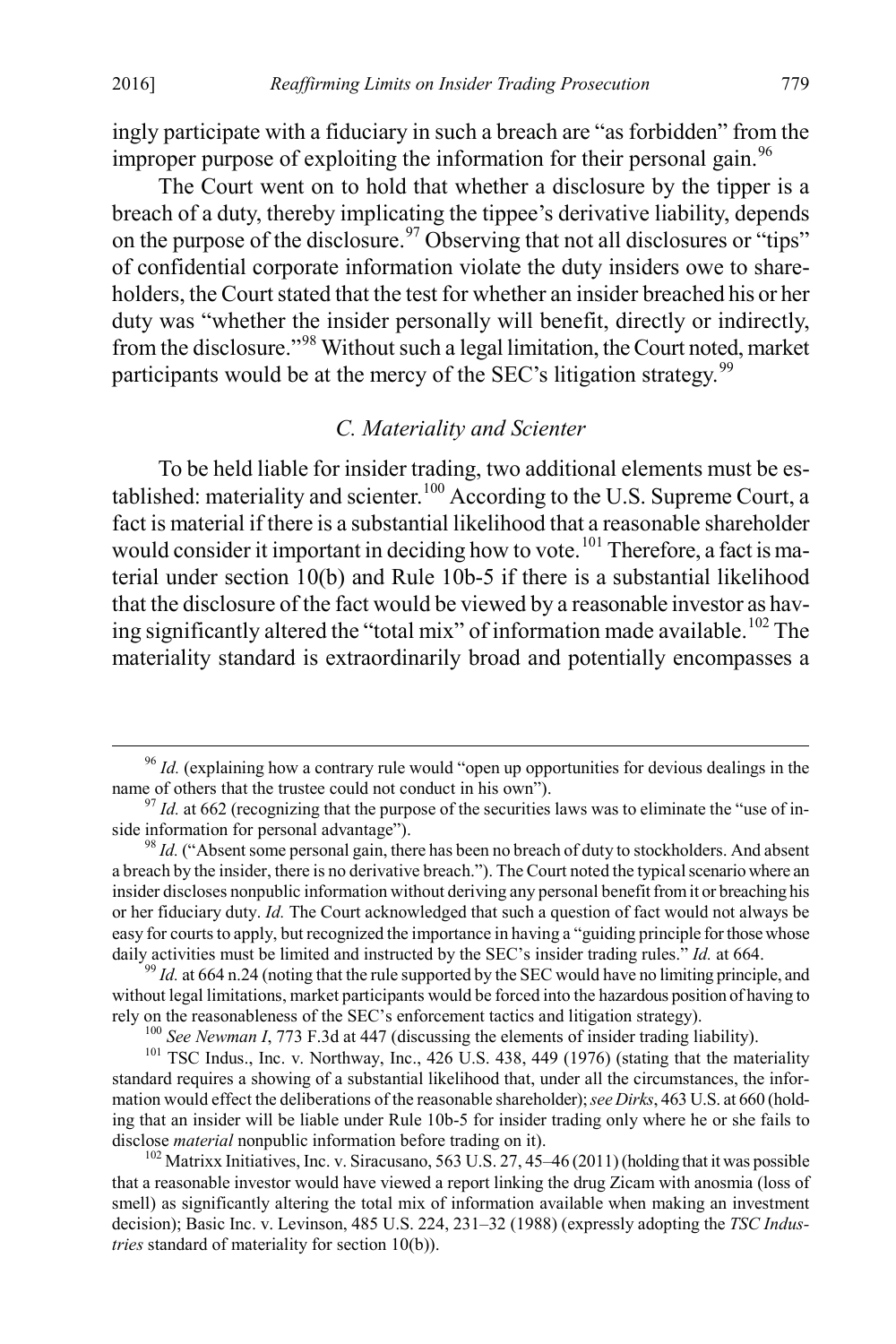ingly participate with a fiduciary in such a breach are "as forbidden" from the improper purpose of exploiting the information for their personal gain.<sup>[96](#page-15-0)</sup>

The Court went on to hold that whether a disclosure by the tipper is a breach of a duty, thereby implicating the tippee's derivative liability, depends on the purpose of the disclosure.<sup>[97](#page-15-1)</sup> Observing that not all disclosures or "tips" of confidential corporate information violate the duty insiders owe to shareholders, the Court stated that the test for whether an insider breached his or her duty was "whether the insider personally will benefit, directly or indirectly, from the disclosure."[98](#page-15-2) Without such a legal limitation, the Court noted, market participants would be at the mercy of the SEC's litigation strategy.<sup>[99](#page-15-3)</sup>

#### *C. Materiality and Scienter*

To be held liable for insider trading, two additional elements must be es-tablished: materiality and scienter.<sup>[100](#page-15-4)</sup> According to the U.S. Supreme Court, a fact is material if there is a substantial likelihood that a reasonable shareholder would consider it important in deciding how to vote.<sup>[101](#page-15-5)</sup> Therefore, a fact is material under section 10(b) and Rule 10b-5 if there is a substantial likelihood that the disclosure of the fact would be viewed by a reasonable investor as hav-ing significantly altered the "total mix" of information made available.<sup>[102](#page-15-6)</sup> The materiality standard is extraordinarily broad and potentially encompasses a

<span id="page-15-0"></span> <sup>96</sup> *Id.* (explaining how a contrary rule would "open up opportunities for devious dealings in the name of others that the trustee could not conduct in his own").<br><sup>97</sup> *Id.* at 662 (recognizing that the purpose of the securities laws was to eliminate the "use of in-

<span id="page-15-1"></span>side information for personal advantage"). <sup>98</sup> *Id.* ("Absent some personal gain, there has been no breach of duty to stockholders. And absent

<span id="page-15-2"></span>a breach by the insider, there is no derivative breach."). The Court noted the typical scenario where an insider discloses nonpublic information without deriving any personal benefit from it or breaching his or her fiduciary duty. *Id.* The Court acknowledged that such a question of fact would not always be easy for courts to apply, but recognized the importance in having a "guiding principle for those whose daily activities must be limited and instructed by the SEC's insider trading rules." *Id.* at 664. <sup>99</sup> *Id.* at 664 n.24 (noting that the rule supported by the SEC would have no limiting principle, and

<span id="page-15-3"></span>without legal limitations, market participants would be forced into the hazardous position of having to rely on the reasonableness of the SEC's enforcement tactics and litigation strategy).

<span id="page-15-5"></span><span id="page-15-4"></span><sup>&</sup>lt;sup>100</sup> See Newman I, 773 F.3d at 447 (discussing the elements of insider trading liability).<br><sup>101</sup> TSC Indus., Inc. v. Northway, Inc., 426 U.S. 438, 449 (1976) (stating that the materiality standard requires a showing of a substantial likelihood that, under all the circumstances, the information would effect the deliberations of the reasonable shareholder); *see Dirks*, 463 U.S. at 660 (holding that an insider will be liable under Rule 10b-5 for insider trading only where he or she fails to disclose *material* nonpublic information before trading on it).<br><sup>102</sup> Matrixx Initiatives, Inc. v. Siracusano, 563 U.S. 27, 45–46 (2011) (holding that it was possible

<span id="page-15-6"></span>that a reasonable investor would have viewed a report linking the drug Zicam with anosmia (loss of smell) as significantly altering the total mix of information available when making an investment decision); Basic Inc. v. Levinson, 485 U.S. 224, 231–32 (1988) (expressly adopting the *TSC Industries* standard of materiality for section 10(b)).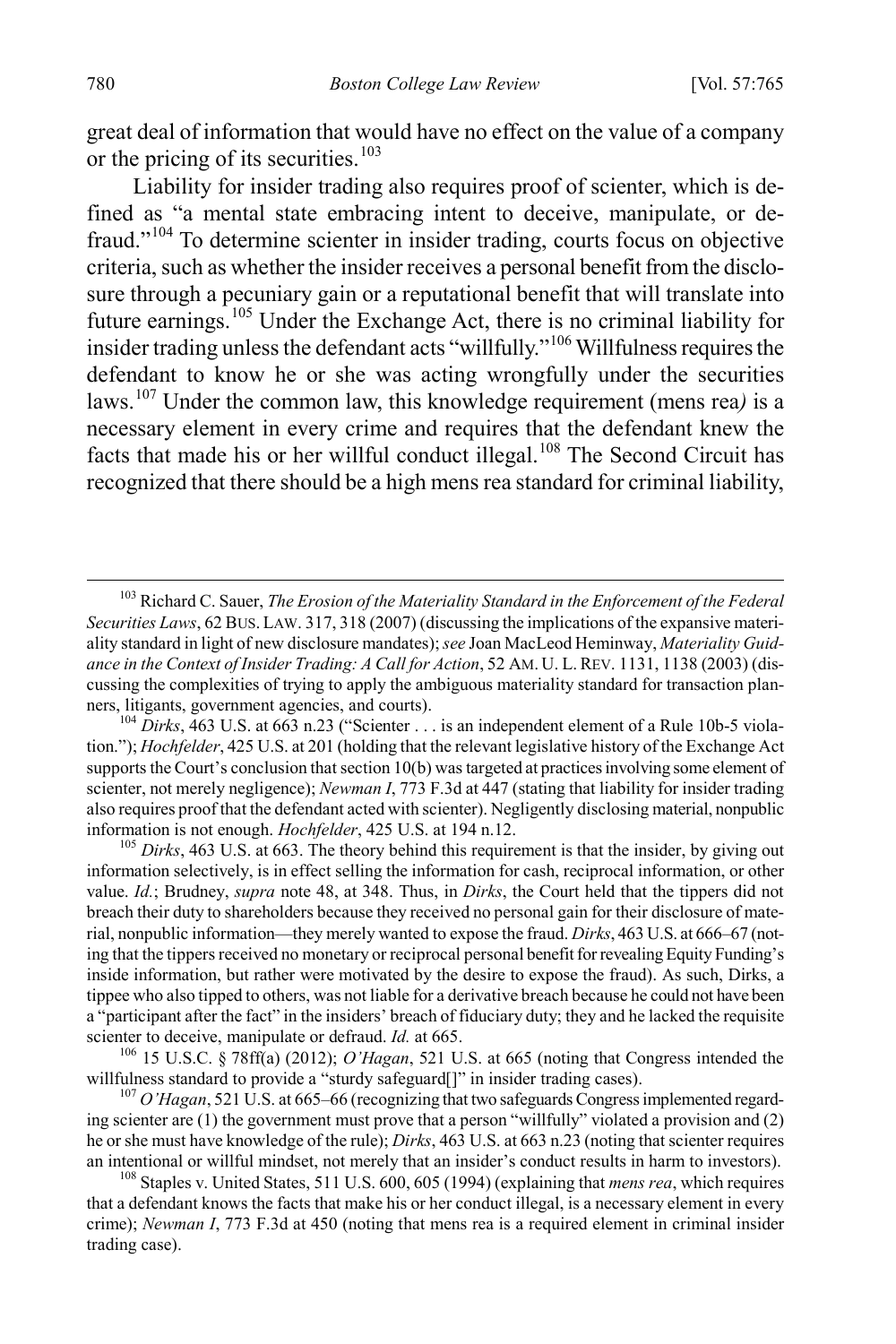great deal of information that would have no effect on the value of a company or the pricing of its securities.<sup>[103](#page-16-0)</sup>

Liability for insider trading also requires proof of scienter, which is defined as "a mental state embracing intent to deceive, manipulate, or defraud."[104](#page-16-1) To determine scienter in insider trading, courts focus on objective criteria, such as whether the insider receives a personal benefit from the disclosure through a pecuniary gain or a reputational benefit that will translate into future earnings.[105](#page-16-2) Under the Exchange Act, there is no criminal liability for insider trading unless the defendant acts "willfully."[106](#page-16-3) Willfulness requires the defendant to know he or she was acting wrongfully under the securities laws.[107](#page-16-4) Under the common law, this knowledge requirement (mens rea*)* is a necessary element in every crime and requires that the defendant knew the facts that made his or her willful conduct illegal.<sup>[108](#page-16-5)</sup> The Second Circuit has recognized that there should be a high mens rea standard for criminal liability,

<span id="page-16-3"></span>willfulness standard to provide a "sturdy safeguard[]" in insider trading cases).<br><sup>107</sup> *O'Hagan*, 521 U.S. at 665–66 (recognizing that two safeguards Congress implemented regard-

<span id="page-16-4"></span>ing scienter are (1) the government must prove that a person "willfully" violated a provision and (2) he or she must have knowledge of the rule); *Dirks*, 463 U.S. at 663 n.23 (noting that scienter requires an intentional or willful mindset, not merely that an insider's conduct results in harm to investors). <sup>108</sup> Staples v. United States, 511 U.S. 600, 605 (1994) (explaining that *mens rea*, which requires

<span id="page-16-5"></span>that a defendant knows the facts that make his or her conduct illegal, is a necessary element in every crime); *Newman I*, 773 F.3d at 450 (noting that mens rea is a required element in criminal insider trading case).

<span id="page-16-0"></span> <sup>103</sup> Richard C. Sauer, *The Erosion of the Materiality Standard in the Enforcement of the Federal Securities Laws*, 62 BUS. LAW. 317, 318 (2007) (discussing the implications of the expansive materiality standard in light of new disclosure mandates); *see* Joan MacLeod Heminway, *Materiality Guidance in the Context of Insider Trading: A Call for Action*, 52 AM. U. L.REV. 1131, 1138 (2003) (discussing the complexities of trying to apply the ambiguous materiality standard for transaction planners, litigants, government agencies, and courts).<br><sup>104</sup> *Dirks*, 463 U.S. at 663 n.23 ("Scienter . . . is an independent element of a Rule 10b-5 viola-

<span id="page-16-1"></span>tion."); *Hochfelder*, 425 U.S. at 201 (holding that the relevant legislative history of the Exchange Act supports the Court's conclusion that section 10(b) was targeted at practices involving some element of scienter, not merely negligence); *Newman I*, 773 F.3d at 447 (stating that liability for insider trading also requires proof that the defendant acted with scienter). Negligently disclosing material, nonpublic information is not enough. *Hochfelder*, 425 U.S. at 194 n.12.<br><sup>105</sup> *Dirks*, 463 U.S. at 663. The theory behind this requirement is that the insider, by giving out

<span id="page-16-2"></span>information selectively, is in effect selling the information for cash, reciprocal information, or other value. *Id.*; Brudney, *supra* note 48, at 348. Thus, in *Dirks*, the Court held that the tippers did not breach their duty to shareholders because they received no personal gain for their disclosure of material, nonpublic information—they merely wanted to expose the fraud. *Dirks*, 463 U.S. at 666–67 (noting that the tippers received no monetary or reciprocal personal benefit for revealing Equity Funding's inside information, but rather were motivated by the desire to expose the fraud). As such, Dirks, a tippee who also tipped to others, was not liable for a derivative breach because he could not have been a "participant after the fact" in the insiders' breach of fiduciary duty; they and he lacked the requisite scienter to deceive, manipulate or defraud. *Id.* at 665.<br><sup>106</sup> 15 U.S.C. § 78ff(a) (2012); *O'Hagan*, 521 U.S. at 665 (noting that Congress intended the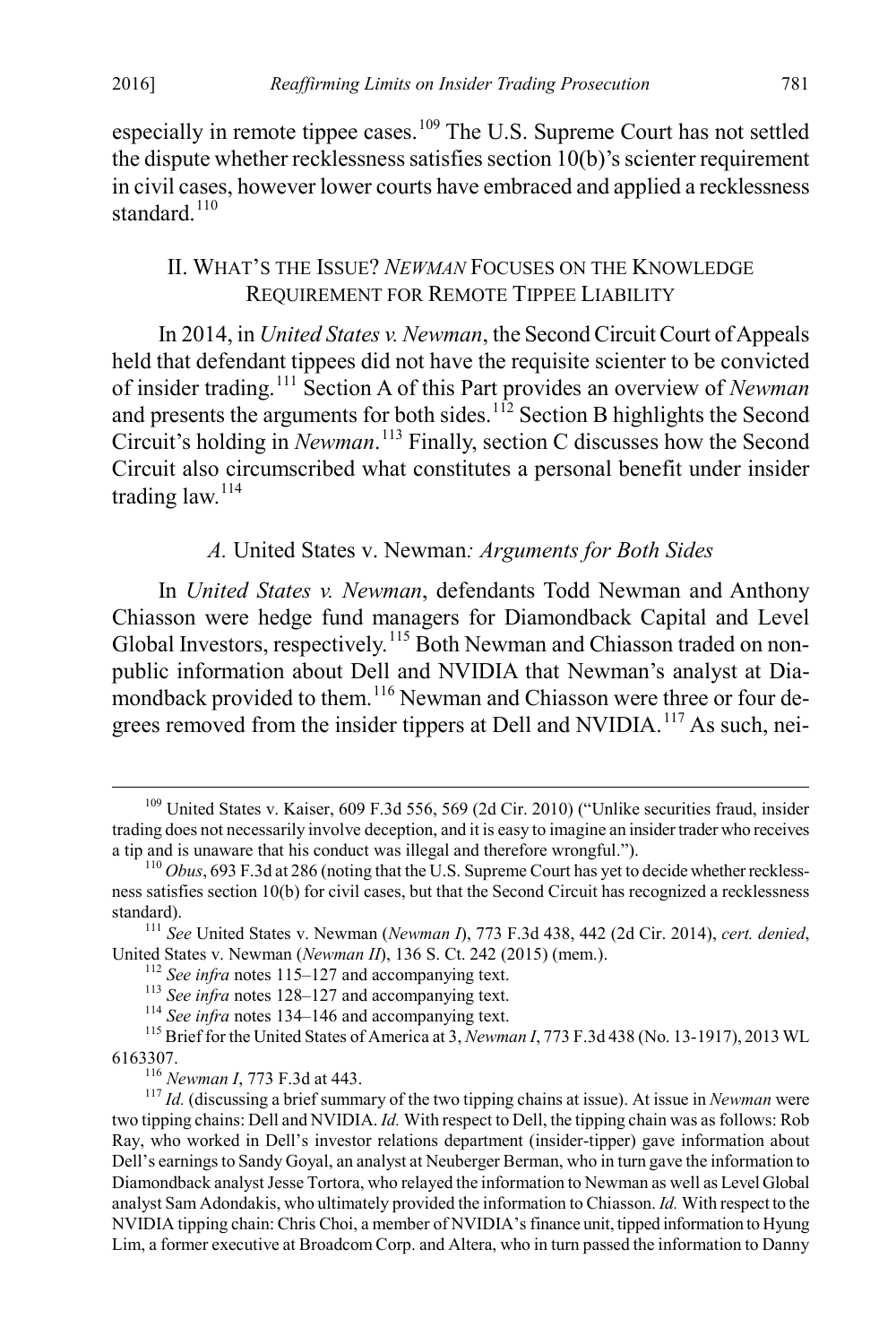especially in remote tippee cases.<sup>[109](#page-17-0)</sup> The U.S. Supreme Court has not settled the dispute whether recklessness satisfies section 10(b)'s scienter requirement in civil cases, however lower courts have embraced and applied a recklessness standard<sup>[110](#page-17-1)</sup>

#### II. WHAT'S THE ISSUE? *NEWMAN* FOCUSES ON THE KNOWLEDGE REQUIREMENT FOR REMOTE TIPPEE LIABILITY

In 2014, in *United States v. Newman*, the Second Circuit Court of Appeals held that defendant tippees did not have the requisite scienter to be convicted of insider trading.[111](#page-17-2) Section A of this Part provides an overview of *Newman* and presents the arguments for both sides.<sup>[112](#page-17-3)</sup> Section B highlights the Second Circuit's holding in *Newman*. [113](#page-17-4) Finally, section C discusses how the Second Circuit also circumscribed what constitutes a personal benefit under insider trading  $law<sup>114</sup>$  $law<sup>114</sup>$  $law<sup>114</sup>$ 

### *A.* United States v. Newman*: Arguments for Both Sides*

In *United States v. Newman*, defendants Todd Newman and Anthony Chiasson were hedge fund managers for Diamondback Capital and Level Global Investors, respectively.<sup>[115](#page-17-6)</sup> Both Newman and Chiasson traded on nonpublic information about Dell and NVIDIA that Newman's analyst at Dia-mondback provided to them.<sup>[116](#page-17-7)</sup> Newman and Chiasson were three or four de-grees removed from the insider tippers at Dell and NVIDIA.<sup>[117](#page-17-8)</sup> As such, nei-

<span id="page-17-0"></span><sup>&</sup>lt;sup>109</sup> United States v. Kaiser, 609 F.3d 556, 569 (2d Cir. 2010) ("Unlike securities fraud, insider trading does not necessarily involve deception, and it is easy to imagine an insider trader who receives a tip and is unaware that his conduct was illegal and therefore wrongful.").

<span id="page-17-1"></span> $110$  *Obus*, 693 F.3d at 286 (noting that the U.S. Supreme Court has yet to decide whether recklessness satisfies section 10(b) for civil cases, but that the Second Circuit has recognized a recklessness

<span id="page-17-2"></span>standard).<br><sup>111</sup> *See* United States v. Newman (*Newman I*), 773 F.3d 438, 442 (2d Cir. 2014), *cert. denied*,<br>United States v. Newman (*Newman II*), 136 S. Ct. 242 (2015) (mem.).

<span id="page-17-4"></span><span id="page-17-3"></span><sup>&</sup>lt;sup>112</sup> See infra notes 115–127 and accompanying text.<br><sup>113</sup> See infra notes 128–127 and accompanying text.<br><sup>114</sup> See infra notes 134–146 and accompanying text.<br><sup>115</sup> Brief for the United States of America at 3, *Newman I*,

<span id="page-17-8"></span><span id="page-17-7"></span><span id="page-17-6"></span><span id="page-17-5"></span><sup>6163307.</sup> <sup>116</sup> *Newman I*, 773 F.3d at 443. <sup>117</sup> *Id.* (discussing a brief summary of the two tipping chains at issue). At issue in *Newman* were two tipping chains: Dell and NVIDIA. *Id.* With respect to Dell, the tipping chain was as follows: Rob Ray, who worked in Dell's investor relations department (insider-tipper) gave information about Dell's earnings to Sandy Goyal, an analyst at Neuberger Berman, who in turn gave the information to Diamondback analyst Jesse Tortora, who relayed the information to Newman as well as Level Global analyst Sam Adondakis, who ultimately provided the information to Chiasson. *Id.* With respect to the NVIDIA tipping chain: Chris Choi, a member of NVIDIA's finance unit, tipped information to Hyung Lim, a former executive at Broadcom Corp. and Altera, who in turn passed the information to Danny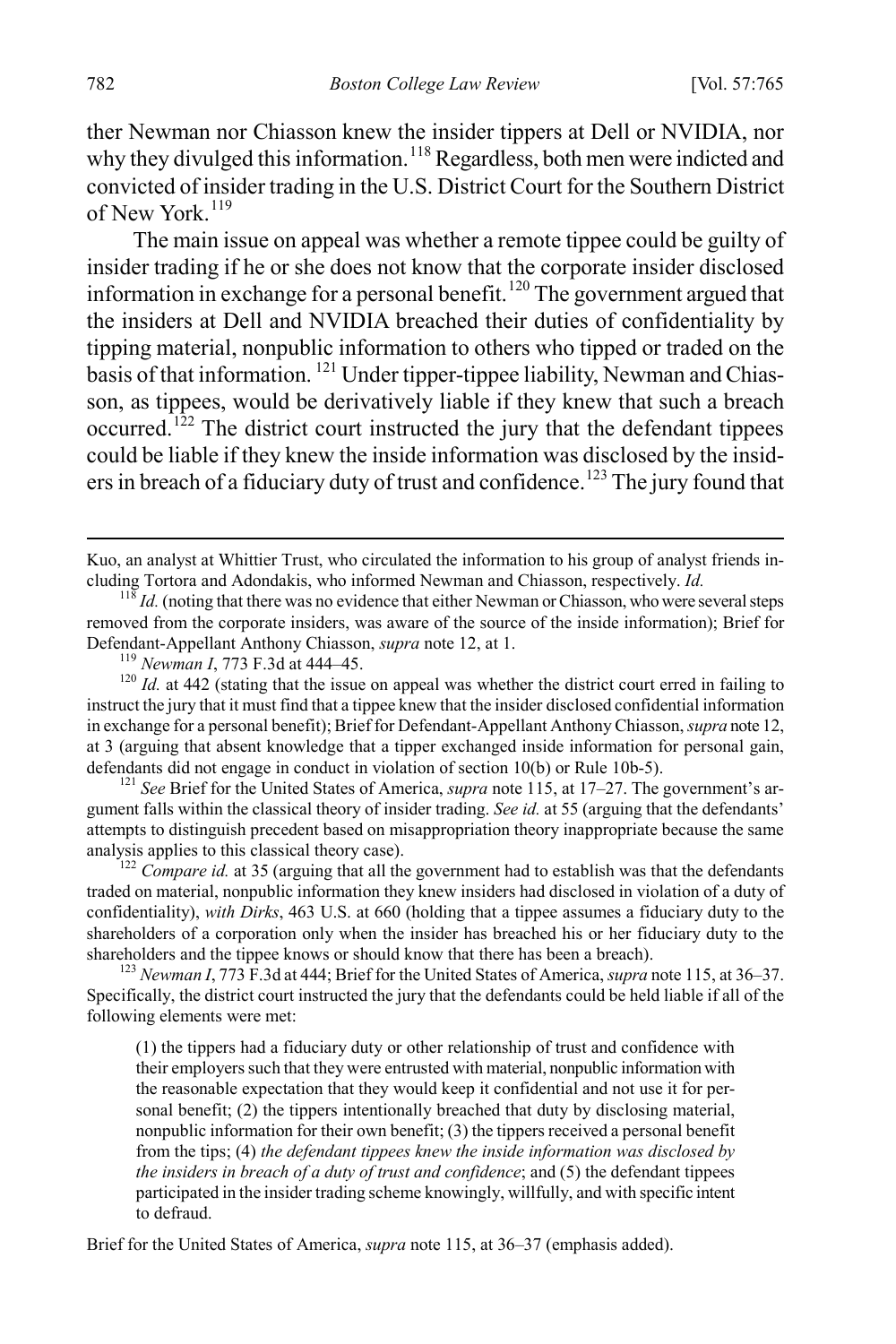ther Newman nor Chiasson knew the insider tippers at Dell or NVIDIA, nor why they divulged this information.<sup>[118](#page-18-0)</sup> Regardless, both men were indicted and convicted of insider trading in the U.S. District Court for the Southern District of New York. [119](#page-18-1)

The main issue on appeal was whether a remote tippee could be guilty of insider trading if he or she does not know that the corporate insider disclosed information in exchange for a personal benefit.<sup>[120](#page-18-2)</sup> The government argued that the insiders at Dell and NVIDIA breached their duties of confidentiality by tipping material, nonpublic information to others who tipped or traded on the  $\frac{1}{2}$  basis of that information. <sup>[121](#page-18-3)</sup> Under tipper-tippee liability, Newman and Chiasson, as tippees, would be derivatively liable if they knew that such a breach occurred.<sup>122</sup> The district court instructed the jury that the defendant tippees could be liable if they knew the inside information was disclosed by the insid-ers in breach of a fiduciary duty of trust and confidence.<sup>[123](#page-18-5)</sup> The jury found that

<span id="page-18-3"></span>gument falls within the classical theory of insider trading. *See id.* at 55 (arguing that the defendants' attempts to distinguish precedent based on misappropriation theory inappropriate because the same analysis applies to this classical theory case). <sup>122</sup> *Compare id.* at 35 (arguing that all the government had to establish was that the defendants

<span id="page-18-4"></span>traded on material, nonpublic information they knew insiders had disclosed in violation of a duty of confidentiality), *with Dirks*, 463 U.S. at 660 (holding that a tippee assumes a fiduciary duty to the shareholders of a corporation only when the insider has breached his or her fiduciary duty to the shareholders and the tippee knows or should know that there has been a breach).<br><sup>123</sup> *Newman I*, 773 F.3d at 444; Brief for the United States of America, *supra* note 115, at 36–37.

<span id="page-18-5"></span>Specifically, the district court instructed the jury that the defendants could be held liable if all of the following elements were met:

(1) the tippers had a fiduciary duty or other relationship of trust and confidence with their employers such that they were entrusted with material, nonpublic information with the reasonable expectation that they would keep it confidential and not use it for personal benefit; (2) the tippers intentionally breached that duty by disclosing material, nonpublic information for their own benefit; (3) the tippers received a personal benefit from the tips; (4) *the defendant tippees knew the inside information was disclosed by the insiders in breach of a duty of trust and confidence*; and (5) the defendant tippees participated in the insider trading scheme knowingly, willfully, and with specific intent to defraud.

Brief for the United States of America, *supra* note 115, at 36–37 (emphasis added).

Kuo, an analyst at Whittier Trust, who circulated the information to his group of analyst friends in-<br>cluding Tortora and Adondakis, who informed Newman and Chiasson, respectively. *Id.* 

<span id="page-18-0"></span> $\frac{118}{118}$  *Id.* (noting that there was no evidence that either Newman or Chiasson, who were several steps removed from the corporate insiders, was aware of the source of the inside information); Brief for Defendant-Appellant Anthony Chiasson, *supra* note 12, at 1.<br><sup>119</sup> *Newman I*, 773 F.3d at 444–45.<br><sup>120</sup> *Id.* at 442 (stating that the issue on appeal was whether the district court erred in failing to

<span id="page-18-2"></span><span id="page-18-1"></span>instruct the jury that it must find that a tippee knew that the insider disclosed confidential information in exchange for a personal benefit); Brief for Defendant-Appellant Anthony Chiasson, *supra* note 12, at 3 (arguing that absent knowledge that a tipper exchanged inside information for personal gain, defendants did not engage in conduct in violation of section 10(b) or Rule 10b-5).<br><sup>121</sup> *See* Brief for the United States of America, *supra* note 115, at 17–27. The government's ar-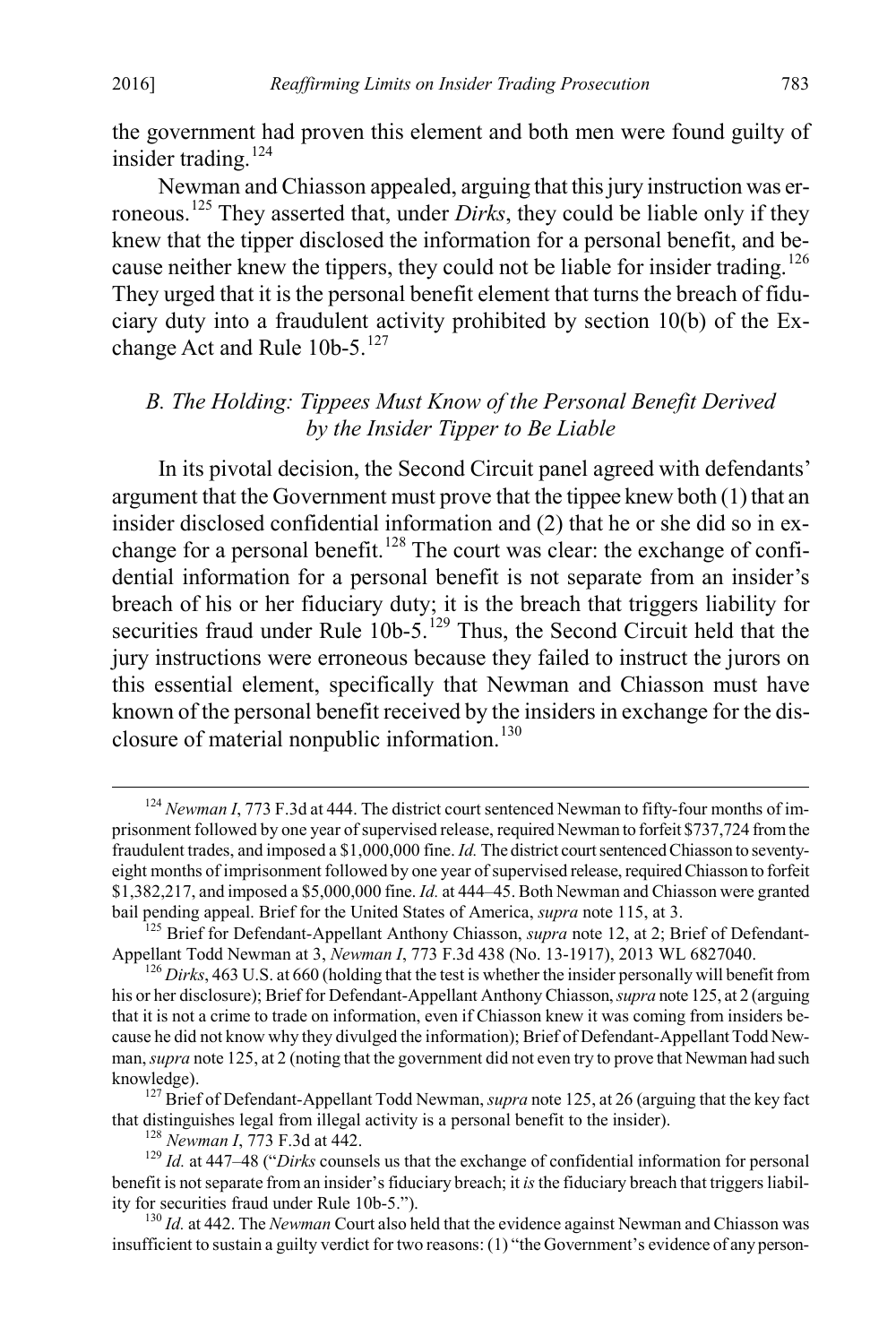the government had proven this element and both men were found guilty of insider trading.<sup>[124](#page-19-0)</sup>

Newman and Chiasson appealed, arguing that this jury instruction was erroneous.[125](#page-19-1) They asserted that, under *Dirks*, they could be liable only if they knew that the tipper disclosed the information for a personal benefit, and be-cause neither knew the tippers, they could not be liable for insider trading.<sup>[126](#page-19-2)</sup> They urged that it is the personal benefit element that turns the breach of fiduciary duty into a fraudulent activity prohibited by section 10(b) of the Ex-change Act and Rule 10b-5.<sup>[127](#page-19-3)</sup>

#### *B. The Holding: Tippees Must Know of the Personal Benefit Derived by the Insider Tipper to Be Liable*

In its pivotal decision, the Second Circuit panel agreed with defendants' argument that the Government must prove that the tippee knew both (1) that an insider disclosed confidential information and (2) that he or she did so in exchange for a personal benefit.<sup>128</sup> The court was clear: the exchange of confidential information for a personal benefit is not separate from an insider's breach of his or her fiduciary duty; it is the breach that triggers liability for securities fraud under Rule  $10b-5$ .<sup>[129](#page-19-5)</sup> Thus, the Second Circuit held that the jury instructions were erroneous because they failed to instruct the jurors on this essential element, specifically that Newman and Chiasson must have known of the personal benefit received by the insiders in exchange for the disclosure of material nonpublic information. $130$ 

<span id="page-19-0"></span><sup>&</sup>lt;sup>124</sup> *Newman I*, 773 F.3d at 444. The district court sentenced Newman to fifty-four months of imprisonment followed by one year of supervised release, required Newman to forfeit \$737,724 from the fraudulent trades, and imposed a \$1,000,000 fine. *Id.* The district court sentenced Chiasson to seventyeight months of imprisonment followed by one year of supervised release, required Chiasson to forfeit \$1,382,217, and imposed a \$5,000,000 fine. *Id.* at 444–45. Both Newman and Chiasson were granted

<span id="page-19-1"></span>bail pending appeal. Brief for the United States of America, *supra* note 115, at 3.<br><sup>125</sup> Brief for Defendant-Appellant Anthony Chiasson, *supra* note 12, at 2; Brief of Defendant-<br>Appellant Todd Newman at 3, *Newman I*,

<span id="page-19-2"></span> $A<sup>126</sup>$  *Dirks*, 463 U.S. at 660 (holding that the test is whether the insider personally will benefit from his or her disclosure); Brief for Defendant-Appellant Anthony Chiasson, *supra* note 125, at 2 (arguing that it is not a crime to trade on information, even if Chiasson knew it was coming from insiders because he did not know why they divulged the information); Brief of Defendant-Appellant Todd Newman, *supra* note 125, at 2 (noting that the government did not even try to prove that Newman had such

<span id="page-19-3"></span>knowledge).<br><sup>127</sup> Brief of Defendant-Appellant Todd Newman, *supra* note 125, at 26 (arguing that the key fact that distinguishes legal from illegal activity is a personal benefit to the insider).

<span id="page-19-5"></span><span id="page-19-4"></span><sup>&</sup>lt;sup>128</sup> Newman I, 773 F.3d at 442.<br><sup>129</sup> Id. at 447–48 ("Dirks counsels us that the exchange of confidential information for personal benefit is not separate from an insider's fiduciary breach; it *is*the fiduciary breach that triggers liability for securities fraud under Rule 10b-5."). <sup>130</sup> *Id.* at 442. The *Newman* Court also held that the evidence against Newman and Chiasson was

<span id="page-19-6"></span>insufficient to sustain a guilty verdict for two reasons: (1) "the Government's evidence of any person-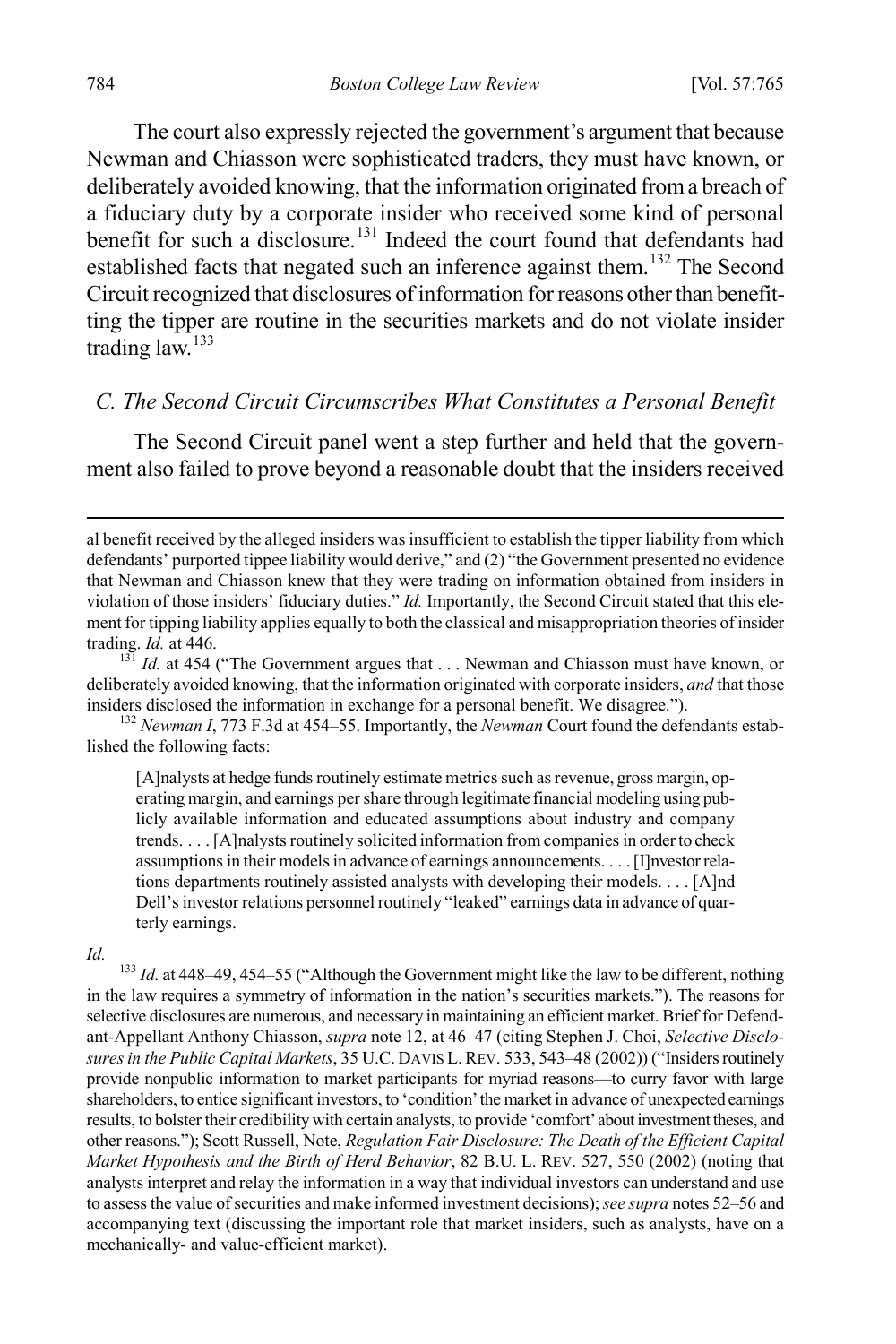The court also expressly rejected the government's argument that because Newman and Chiasson were sophisticated traders, they must have known, or deliberately avoided knowing, that the information originated from a breach of a fiduciary duty by a corporate insider who received some kind of personal benefit for such a disclosure.<sup>[131](#page-20-0)</sup> Indeed the court found that defendants had established facts that negated such an inference against them.<sup>132</sup> The Second Circuit recognized that disclosures of information for reasons other than benefitting the tipper are routine in the securities markets and do not violate insider trading law.[133](#page-20-2)

#### *C. The Second Circuit Circumscribes What Constitutes a Personal Benefit*

The Second Circuit panel went a step further and held that the government also failed to prove beyond a reasonable doubt that the insiders received

<span id="page-20-1"></span>lished the following facts:

[A]nalysts at hedge funds routinely estimate metrics such as revenue, gross margin, operating margin, and earnings per share through legitimate financial modeling using publicly available information and educated assumptions about industry and company trends. . . . [A]nalysts routinely solicited information from companies in order to check assumptions in their models in advance of earnings announcements. . . . [I]nvestor relations departments routinely assisted analysts with developing their models. . . . [A]nd Dell's investor relations personnel routinely "leaked" earnings data in advance of quarterly earnings.

<span id="page-20-2"></span>*Id.* <sup>133</sup> *Id.* at 448–49, 454–55 ("Although the Government might like the law to be different, nothing in the law requires a symmetry of information in the nation's securities markets."). The reasons for selective disclosures are numerous, and necessary in maintaining an efficient market. Brief for Defendant-Appellant Anthony Chiasson, *supra* note 12, at 46–47 (citing Stephen J. Choi, *Selective Disclosures in the Public Capital Markets*, 35 U.C. DAVIS L. REV. 533, 543–48 (2002)) ("Insiders routinely provide nonpublic information to market participants for myriad reasons—to curry favor with large shareholders, to entice significant investors, to 'condition' the market in advance of unexpected earnings results, to bolster their credibility with certain analysts, to provide 'comfort' about investment theses, and other reasons."); Scott Russell, Note, *Regulation Fair Disclosure: The Death of the Efficient Capital Market Hypothesis and the Birth of Herd Behavior*, 82 B.U. L. REV. 527, 550 (2002) (noting that analysts interpret and relay the information in a way that individual investors can understand and use to assess the value of securities and make informed investment decisions); *see supra* notes 52–56 and accompanying text (discussing the important role that market insiders, such as analysts, have on a mechanically- and value-efficient market).

al benefit received by the alleged insiders was insufficient to establish the tipper liability from which defendants' purported tippee liability would derive," and (2) "the Government presented no evidence that Newman and Chiasson knew that they were trading on information obtained from insiders in violation of those insiders' fiduciary duties." *Id.* Importantly, the Second Circuit stated that this element for tipping liability applies equally to both the classical and misappropriation theories of insider trading. *Id.* at 446.<br><sup>131</sup> *Id.* at 454 ("The Government argues that . . . Newman and Chiasson must have known, or

<span id="page-20-0"></span>deliberately avoided knowing, that the information originated with corporate insiders, *and* that those insiders disclosed the information in exchange for a personal benefit. We disagree."). <sup>132</sup> *Newman I*, 773 F.3d at 454–55. Importantly, the *Newman* Court found the defendants estab-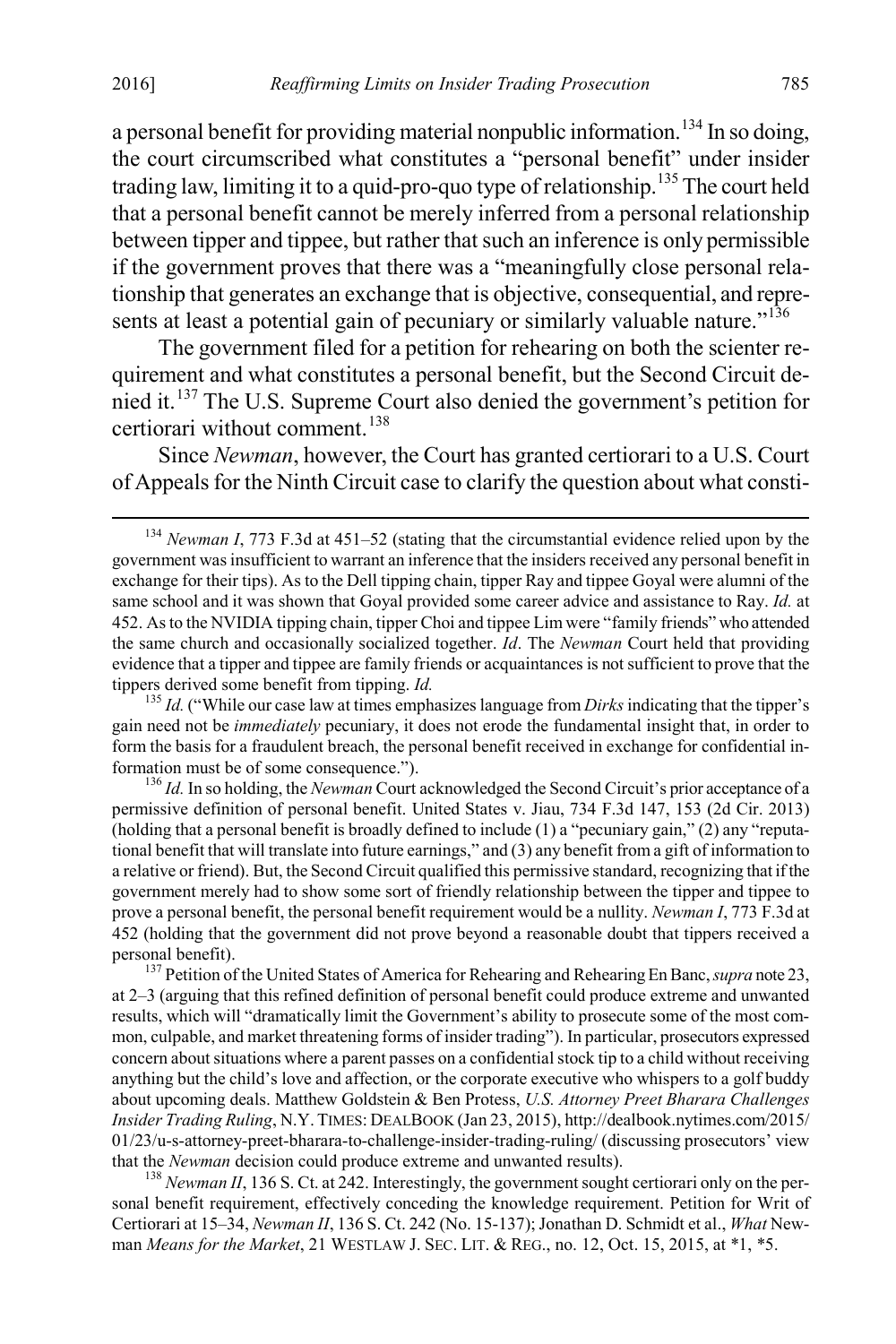a personal benefit for providing material nonpublic information.<sup>[134](#page-21-0)</sup> In so doing, the court circumscribed what constitutes a "personal benefit" under insider trading law, limiting it to a quid-pro-quo type of relationship.<sup>[135](#page-21-1)</sup> The court held that a personal benefit cannot be merely inferred from a personal relationship between tipper and tippee, but rather that such an inference is only permissible if the government proves that there was a "meaningfully close personal relationship that generates an exchange that is objective, consequential, and repre-sents at least a potential gain of pecuniary or similarly valuable nature."<sup>[136](#page-21-2)</sup>

The government filed for a petition for rehearing on both the scienter requirement and what constitutes a personal benefit, but the Second Circuit denied it.[137](#page-21-3) The U.S. Supreme Court also denied the government's petition for certiorari without comment<sup>[138](#page-21-4)</sup>

Since *Newman*, however, the Court has granted certiorari to a U.S. Court of Appeals for the Ninth Circuit case to clarify the question about what consti-

<span id="page-21-1"></span> $\frac{135}{135}$  *Id.* ("While our case law at times emphasizes language from *Dirks* indicating that the tipper's gain need not be *immediately* pecuniary, it does not erode the fundamental insight that, in order to form the basis for a fraudulent breach, the personal benefit received in exchange for confidential information must be of some consequence."). <sup>136</sup> *Id.* In so holding, the *Newman* Court acknowledged the Second Circuit's prior acceptance of a

<span id="page-21-2"></span>permissive definition of personal benefit. United States v. Jiau, 734 F.3d 147, 153 (2d Cir. 2013) (holding that a personal benefit is broadly defined to include (1) a "pecuniary gain," (2) any "reputational benefit that will translate into future earnings," and (3) any benefit from a gift of information to a relative or friend). But, the Second Circuit qualified this permissive standard, recognizing that if the government merely had to show some sort of friendly relationship between the tipper and tippee to prove a personal benefit, the personal benefit requirement would be a nullity. *Newman I*, 773 F.3d at 452 (holding that the government did not prove beyond a reasonable doubt that tippers received a personal benefit). <sup>137</sup> Petition of the United States of America for Rehearing and Rehearing En Banc, *supra* note 23,

<span id="page-21-3"></span>at 2–3 (arguing that this refined definition of personal benefit could produce extreme and unwanted results, which will "dramatically limit the Government's ability to prosecute some of the most common, culpable, and market threatening forms of insider trading"). In particular, prosecutors expressed concern about situations where a parent passes on a confidential stock tip to a child without receiving anything but the child's love and affection, or the corporate executive who whispers to a golf buddy about upcoming deals. Matthew Goldstein & Ben Protess, *U.S. Attorney Preet Bharara Challenges Insider Trading Ruling*, N.Y. TIMES: DEALBOOK (Jan 23, 2015), http://dealbook.nytimes.com/2015/ 01/23/u-s-attorney-preet-bharara-to-challenge-insider-trading-ruling/ (discussing prosecutors' view that the *Newman* decision could produce extreme and unwanted results).<br><sup>138</sup> *Newman II*, 136 S. Ct. at 242. Interestingly, the government sought certiorari only on the per-

<span id="page-21-4"></span>sonal benefit requirement, effectively conceding the knowledge requirement. Petition for Writ of Certiorari at 15–34, *Newman II*, 136 S. Ct. 242 (No. 15-137); Jonathan D. Schmidt et al., *What* Newman *Means for the Market*, 21 WESTLAW J. SEC. LIT. & REG., no. 12, Oct. 15, 2015, at \*1, \*5.

<span id="page-21-0"></span> <sup>134</sup> *Newman I*, 773 F.3d at 451–52 (stating that the circumstantial evidence relied upon by the government was insufficient to warrant an inference that the insiders received any personal benefit in exchange for their tips). As to the Dell tipping chain, tipper Ray and tippee Goyal were alumni of the same school and it was shown that Goyal provided some career advice and assistance to Ray. *Id.* at 452. As to the NVIDIA tipping chain, tipper Choi and tippee Lim were "family friends" who attended the same church and occasionally socialized together. *Id*. The *Newman* Court held that providing evidence that a tipper and tippee are family friends or acquaintances is not sufficient to prove that the tippers derived some benefit from tipping.  $Id$ .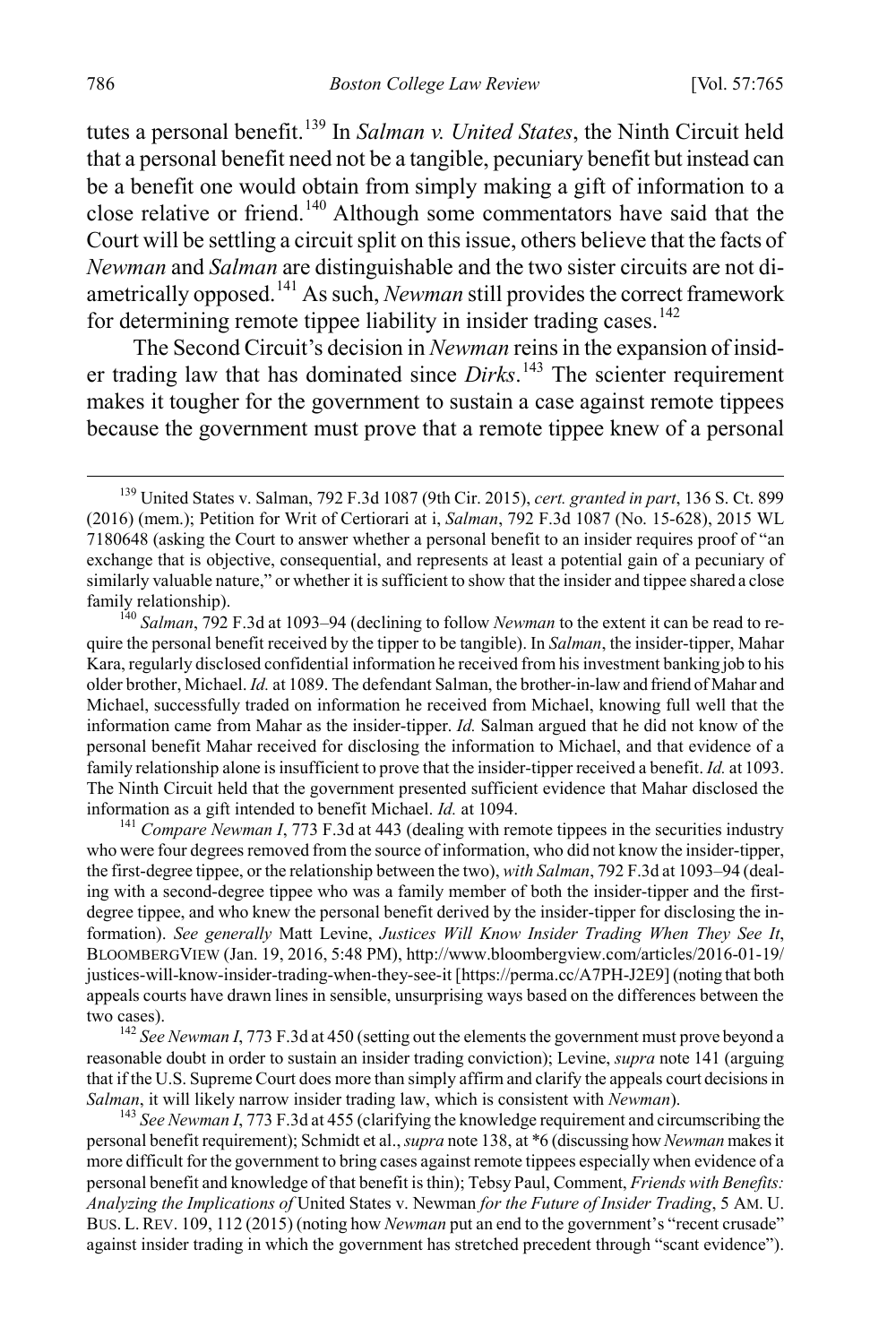tutes a personal benefit.<sup>[139](#page-22-0)</sup> In *Salman v. United States*, the Ninth Circuit held that a personal benefit need not be a tangible, pecuniary benefit but instead can be a benefit one would obtain from simply making a gift of information to a close relative or friend.[140](#page-22-1) Although some commentators have said that the Court will be settling a circuit split on this issue, others believe that the facts of *Newman* and *Salman* are distinguishable and the two sister circuits are not diametrically opposed.[141](#page-22-2) As such, *Newman* still provides the correct framework for determining remote tippee liability in insider trading cases.<sup>[142](#page-22-3)</sup>

The Second Circuit's decision in *Newman* reins in the expansion of insider trading law that has dominated since *Dirks*.<sup>[143](#page-22-4)</sup> The scienter requirement makes it tougher for the government to sustain a case against remote tippees because the government must prove that a remote tippee knew of a personal

<span id="page-22-2"></span><sup>141</sup> Compare Newman I, 773 F.3d at 443 (dealing with remote tippees in the securities industry who were four degrees removed from the source of information, who did not know the insider-tipper, the first-degree tippee, or the relationship between the two), *with Salman*, 792 F.3d at 1093–94 (dealing with a second-degree tippee who was a family member of both the insider-tipper and the firstdegree tippee, and who knew the personal benefit derived by the insider-tipper for disclosing the information). *See generally* Matt Levine, *Justices Will Know Insider Trading When They See It*, BLOOMBERGVIEW (Jan. 19, 2016, 5:48 PM), http://www.bloombergview.com/articles/2016-01-19/ justices-will-know-insider-trading-when-they-see-it [https://perma.cc/A7PH-J2E9] (noting that both appeals courts have drawn lines in sensible, unsurprising ways based on the differences between the two cases). <sup>142</sup> *See Newman I*, 773 F.3d at 450 (setting out the elements the government must prove beyond a

<span id="page-22-3"></span>reasonable doubt in order to sustain an insider trading conviction); Levine, *supra* note 141 (arguing that if the U.S. Supreme Court does more than simply affirm and clarify the appeals court decisions in *Salman*, it will likely narrow insider trading law, which is consistent with *Newman*). <sup>143</sup> *See Newman I*, 773 F.3d at 455 (clarifying the knowledge requirement and circumscribing the

<span id="page-22-4"></span>personal benefit requirement); Schmidt et al., *supra* note 138, at \*6 (discussing how *Newman* makes it more difficult for the government to bring cases against remote tippees especially when evidence of a personal benefit and knowledge of that benefit is thin); Tebsy Paul, Comment, *Friends with Benefits: Analyzing the Implications of* United States v. Newman *for the Future of Insider Trading*, 5 AM. U. BUS. L. REV. 109, 112 (2015) (noting how *Newman* put an end to the government's "recent crusade" against insider trading in which the government has stretched precedent through "scant evidence").

<span id="page-22-0"></span> <sup>139</sup> United States v. Salman, 792 F.3d 1087 (9th Cir. 2015), *cert. granted in part*, 136 S. Ct. 899 (2016) (mem.); Petition for Writ of Certiorari at i, *Salman*, 792 F.3d 1087 (No. 15-628), 2015 WL 7180648 (asking the Court to answer whether a personal benefit to an insider requires proof of "an exchange that is objective, consequential, and represents at least a potential gain of a pecuniary of similarly valuable nature," or whether it is sufficient to show that the insider and tippee shared a close family relationship). <sup>140</sup> *Salman*, 792 F.3d at 1093–94 (declining to follow *Newman* to the extent it can be read to re-

<span id="page-22-1"></span>quire the personal benefit received by the tipper to be tangible). In *Salman*, the insider-tipper, Mahar Kara, regularly disclosed confidential information he received from his investment banking job to his older brother, Michael. *Id.* at 1089. The defendant Salman, the brother-in-law and friend of Mahar and Michael, successfully traded on information he received from Michael, knowing full well that the information came from Mahar as the insider-tipper. *Id.* Salman argued that he did not know of the personal benefit Mahar received for disclosing the information to Michael, and that evidence of a family relationship alone is insufficient to prove that the insider-tipper received a benefit. *Id.* at 1093. The Ninth Circuit held that the government presented sufficient evidence that Mahar disclosed the information as a gift intended to benefit Michael. *Id.* at 1094.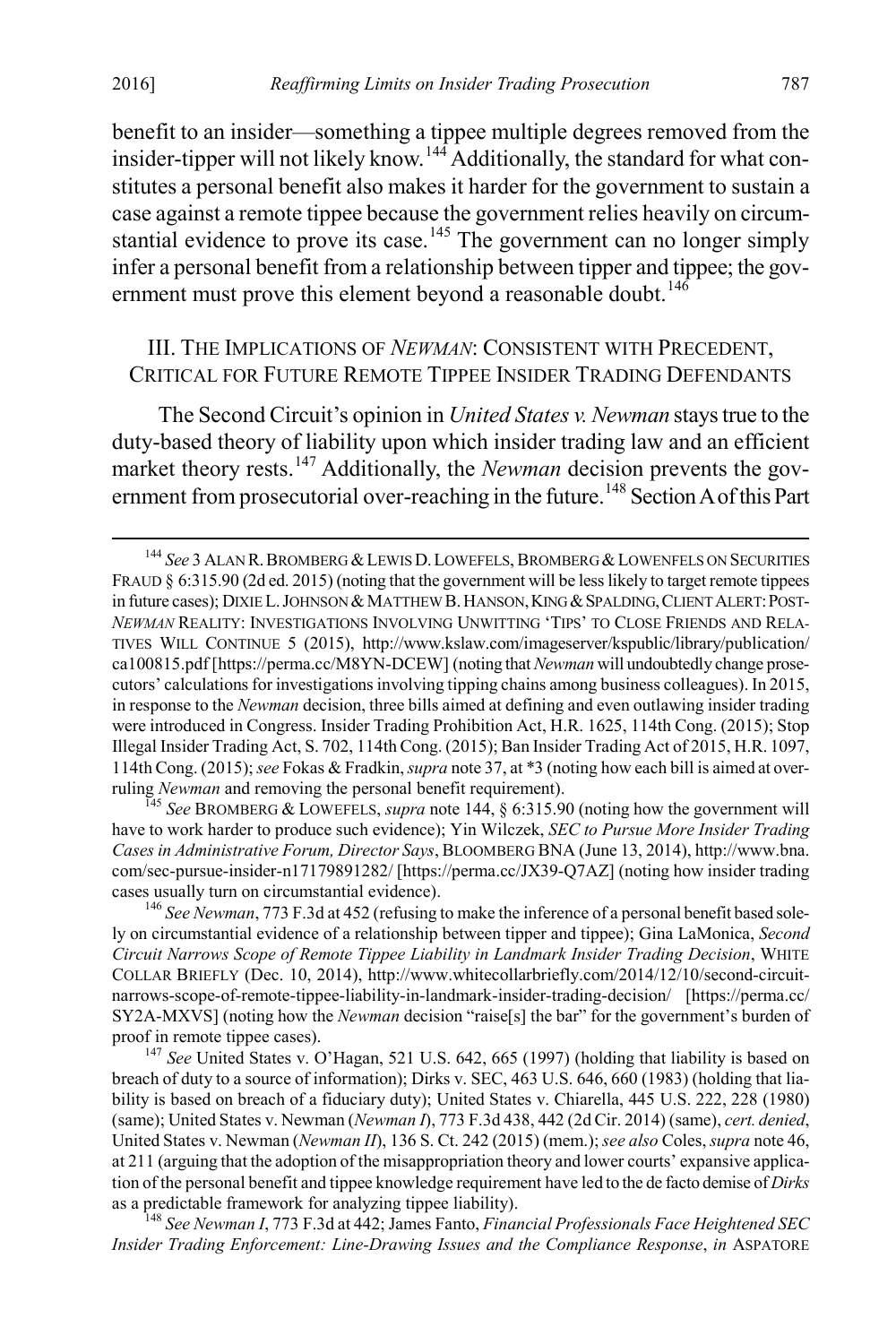benefit to an insider—something a tippee multiple degrees removed from the insider-tipper will not likely know.<sup>144</sup> Additionally, the standard for what constitutes a personal benefit also makes it harder for the government to sustain a case against a remote tippee because the government relies heavily on circum-stantial evidence to prove its case.<sup>[145](#page-23-1)</sup> The government can no longer simply infer a personal benefit from a relationship between tipper and tippee; the gov-ernment must prove this element beyond a reasonable doubt.<sup>[146](#page-23-2)</sup>

#### III. THE IMPLICATIONS OF *NEWMAN*: CONSISTENT WITH PRECEDENT, CRITICAL FOR FUTURE REMOTE TIPPEE INSIDER TRADING DEFENDANTS

The Second Circuit's opinion in *United States v. Newman* stays true to the duty-based theory of liability upon which insider trading law and an efficient market theory rests.<sup>[147](#page-23-3)</sup> Additionally, the *Newman* decision prevents the gov-ernment from prosecutorial over-reaching in the future.<sup>[148](#page-23-4)</sup> Section A of this Part

<span id="page-23-1"></span>have to work harder to produce such evidence); Yin Wilczek, *SEC to Pursue More Insider Trading Cases in Administrative Forum, Director Says*, BLOOMBERG BNA (June 13, 2014), http://www.bna. com/sec-pursue-insider-n17179891282/ [https://perma.cc/JX39-Q7AZ] (noting how insider trading cases usually turn on circumstantial evidence). <sup>146</sup> *See Newman*, 773 F.3d at 452 (refusing to make the inference of a personal benefit based sole-

<span id="page-23-0"></span><sup>&</sup>lt;sup>144</sup> See 3 ALAN R. BROMBERG & LEWIS D. LOWEFELS, BROMBERG & LOWENFELS ON SECURITIES FRAUD § 6:315.90 (2d ed. 2015) (noting that the government will be less likely to target remote tippees in future cases); DIXIE L. JOHNSON & MATTHEW B. HANSON, KING & SPALDING, CLIENT ALERT: POST-*NEWMAN* REALITY: INVESTIGATIONS INVOLVING UNWITTING 'TIPS' TO CLOSE FRIENDS AND RELA-TIVES WILL CONTINUE 5 (2015), http://www.kslaw.com/imageserver/kspublic/library/publication/ ca100815.pdf [https://perma.cc/M8YN-DCEW] (noting that *Newman* will undoubtedly change prosecutors' calculations for investigations involving tipping chains among business colleagues). In 2015, in response to the *Newman* decision, three bills aimed at defining and even outlawing insider trading were introduced in Congress. Insider Trading Prohibition Act, H.R. 1625, 114th Cong. (2015); Stop Illegal Insider Trading Act, S. 702, 114th Cong. (2015); Ban Insider Trading Act of 2015, H.R. 1097, 114th Cong. (2015); *see* Fokas & Fradkin, *supra* note 37, at \*3 (noting how each bill is aimed at overruling *Newman* and removing the personal benefit requirement). <sup>145</sup> *See* BROMBERG & LOWEFELS, *supra* note 144, § 6:315.90 (noting how the government will

<span id="page-23-2"></span>ly on circumstantial evidence of a relationship between tipper and tippee); Gina LaMonica, *Second Circuit Narrows Scope of Remote Tippee Liability in Landmark Insider Trading Decision*, WHITE COLLAR BRIEFLY (Dec. 10, 2014), http://www.whitecollarbriefly.com/2014/12/10/second-circuitnarrows-scope-of-remote-tippee-liability-in-landmark-insider-trading-decision/ [https://perma.cc/ SY2A-MXVS] (noting how the *Newman* decision "raise[s] the bar" for the government's burden of proof in remote tippee cases).<br><sup>147</sup> *See* United States v. O'Hagan, 521 U.S. 642, 665 (1997) (holding that liability is based on

<span id="page-23-3"></span>breach of duty to a source of information); Dirks v. SEC, 463 U.S. 646, 660 (1983) (holding that liability is based on breach of a fiduciary duty); United States v. Chiarella, 445 U.S. 222, 228 (1980) (same); United States v. Newman (*Newman I*), 773 F.3d 438, 442 (2d Cir. 2014) (same), *cert. denied*, United States v. Newman (*Newman II*), 136 S. Ct. 242 (2015) (mem.); *see also* Coles, *supra* note 46, at 211 (arguing that the adoption of the misappropriation theory and lower courts' expansive application of the personal benefit and tippee knowledge requirement have led to the de facto demise of *Dirks* as a predictable framework for analyzing tippee liability). <sup>148</sup> *See Newman I*, 773 F.3d at 442; James Fanto, *Financial Professionals Face Heightened SEC* 

<span id="page-23-4"></span>*Insider Trading Enforcement: Line-Drawing Issues and the Compliance Response*, *in* ASPATORE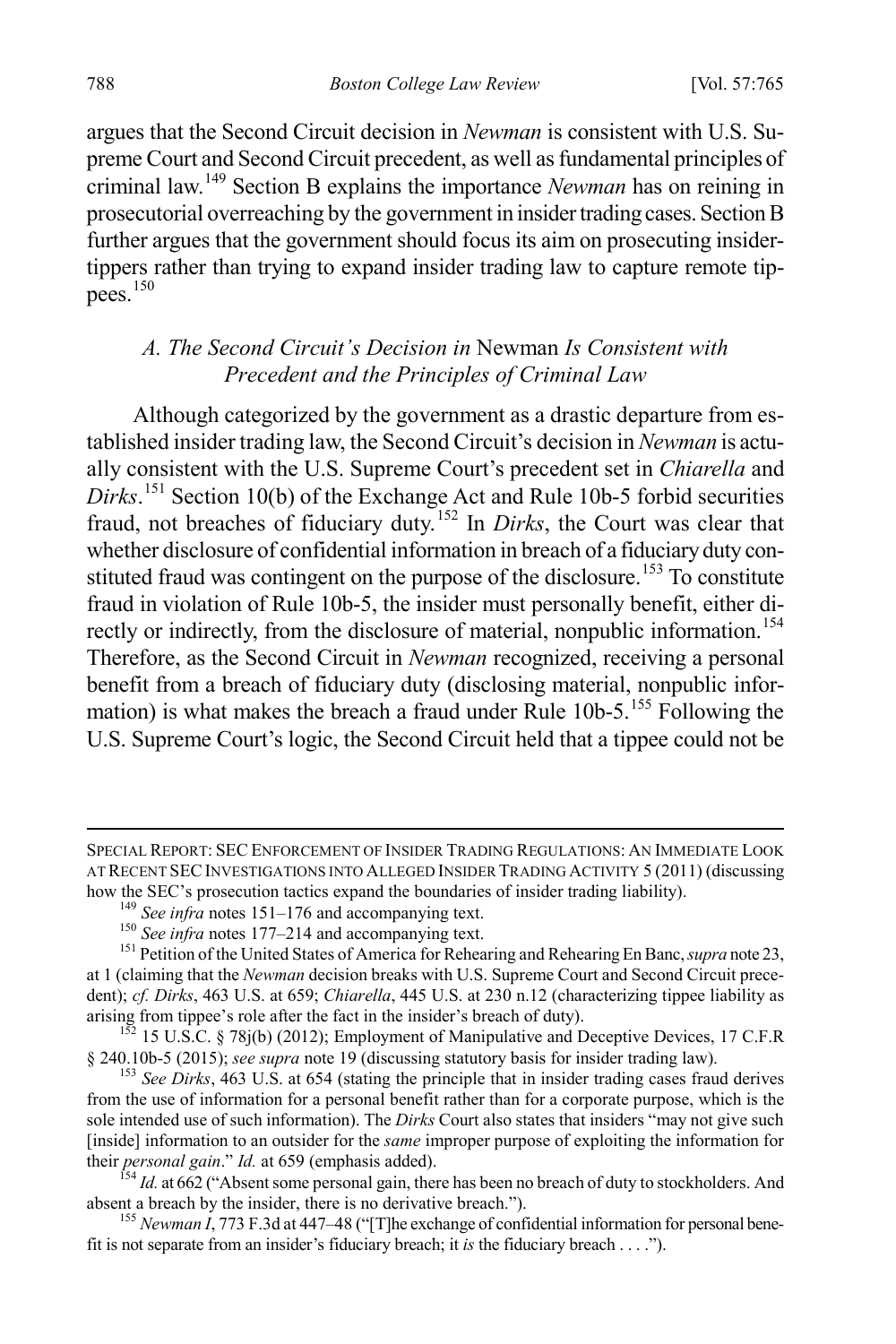argues that the Second Circuit decision in *Newman* is consistent with U.S. Supreme Court and Second Circuit precedent, as well as fundamental principles of criminal law.[149](#page-24-0) Section B explains the importance *Newman* has on reining in prosecutorial overreaching by the government in insider trading cases. Section B further argues that the government should focus its aim on prosecuting insidertippers rather than trying to expand insider trading law to capture remote tip $pees.$ <sup>[150](#page-24-1)</sup>

#### *A. The Second Circuit's Decision in* Newman *Is Consistent with Precedent and the Principles of Criminal Law*

Although categorized by the government as a drastic departure from established insider trading law, the Second Circuit's decision in *Newman* is actually consistent with the U.S. Supreme Court's precedent set in *Chiarella* and *Dirks*. [151](#page-24-2) Section 10(b) of the Exchange Act and Rule 10b-5 forbid securities fraud, not breaches of fiduciary duty.[152](#page-24-3) In *Dirks*, the Court was clear that whether disclosure of confidential information in breach of a fiduciary duty con-stituted fraud was contingent on the purpose of the disclosure.<sup>[153](#page-24-4)</sup> To constitute fraud in violation of Rule 10b-5, the insider must personally benefit, either di-rectly or indirectly, from the disclosure of material, nonpublic information.<sup>[154](#page-24-5)</sup> Therefore, as the Second Circuit in *Newman* recognized, receiving a personal benefit from a breach of fiduciary duty (disclosing material, nonpublic information) is what makes the breach a fraud under Rule  $10b-5$ .<sup>[155](#page-24-6)</sup> Following the U.S. Supreme Court's logic, the Second Circuit held that a tippee could not be

<span id="page-24-6"></span><sup>155</sup> *Newman I*, 773 F.3d at 447–48 ("[T]he exchange of confidential information for personal benefit is not separate from an insider's fiduciary breach; it *is* the fiduciary breach . . . .").

SPECIAL REPORT: SECENFORCEMENT OF INSIDER TRADING REGULATIONS: AN IMMEDIATE LOOK AT RECENT SEC INVESTIGATIONS INTO ALLEGED INSIDER TRADING ACTIVITY 5 (2011) (discussing how the SEC's prosecution tactics expand the boundaries of insider trading liability).

<span id="page-24-2"></span><span id="page-24-1"></span><span id="page-24-0"></span><sup>&</sup>lt;sup>149</sup> See infra notes 151–176 and accompanying text.<br><sup>150</sup> See infra notes 177–214 and accompanying text.<br><sup>151</sup> Petition of the United States of America for Rehearing and Rehearing En Banc, *supra* note 23, at 1 (claiming that the *Newman* decision breaks with U.S. Supreme Court and Second Circuit precedent); *cf. Dirks*, 463 U.S. at 659; *Chiarella*, 445 U.S. at 230 n.12 (characterizing tippee liability as

<span id="page-24-3"></span>arising from tippee's role after the fact in the insider's breach of duty).<br>
<sup>152</sup> 15 U.S.C. § 78j(b) (2012); Employment of Manipulative and Deceptive Devices, 17 C.F.R<br>
§ 240.10b-5 (2015); *see supra* note 19 (discussing

<span id="page-24-4"></span><sup>&</sup>lt;sup>153</sup> See Dirks, 463 U.S. at 654 (stating the principle that in insider trading cases fraud derives from the use of information for a personal benefit rather than for a corporate purpose, which is the sole intended use of such information). The *Dirks* Court also states that insiders "may not give such [inside] information to an outsider for the *same* improper purpose of exploiting the information for

<span id="page-24-5"></span><sup>&</sup>lt;sup>154</sup> *Id.* at 662 ("Absent some personal gain, there has been no breach of duty to stockholders. And absent a breach by the insider, there is no derivative breach.").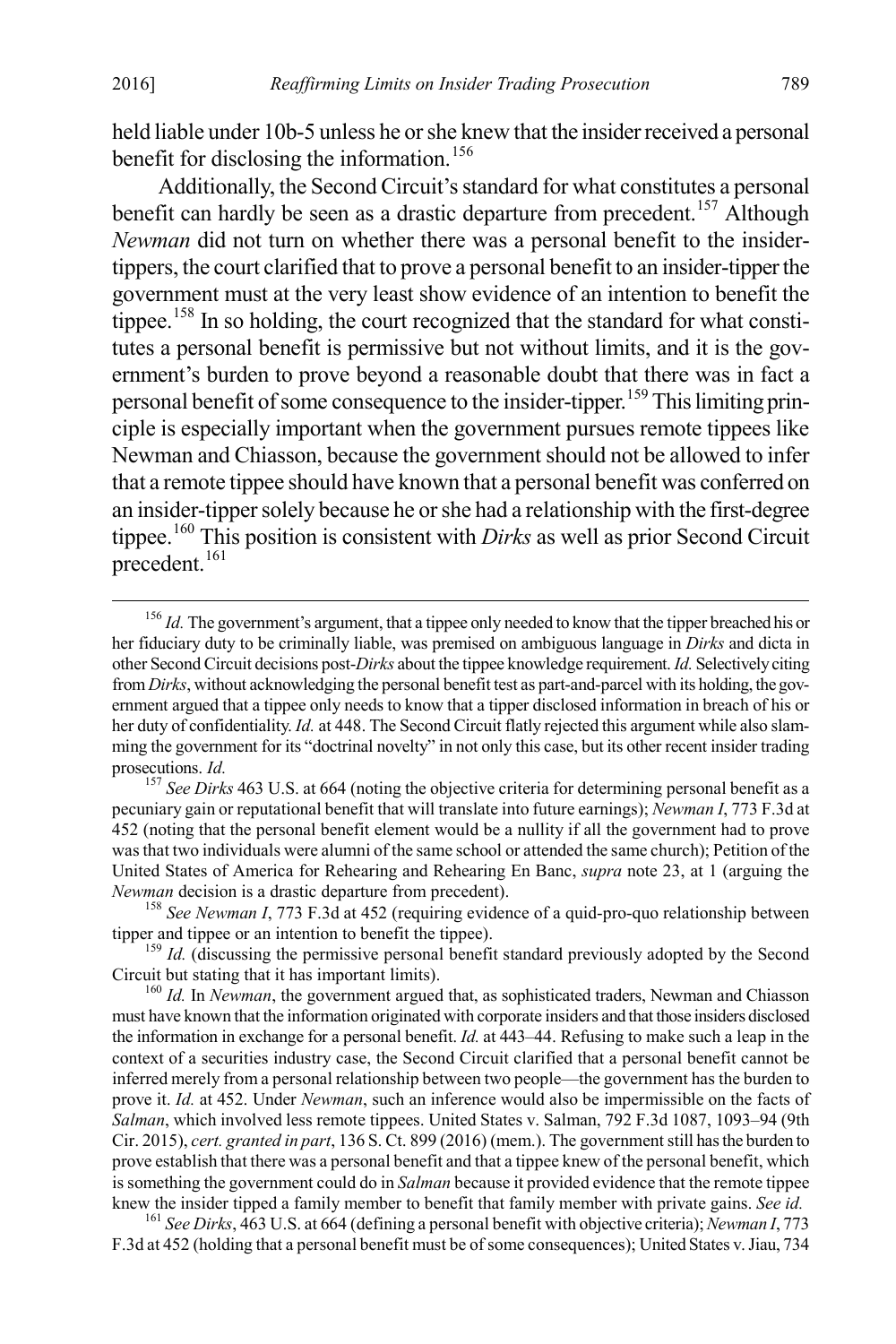held liable under 10b-5 unless he or she knew that the insider received a personal benefit for disclosing the information.<sup>[156](#page-25-0)</sup>

Additionally, the Second Circuit's standard for what constitutes a personal benefit can hardly be seen as a drastic departure from precedent.<sup>[157](#page-25-1)</sup> Although *Newman* did not turn on whether there was a personal benefit to the insidertippers, the court clarified that to prove a personal benefit to an insider-tipperthe government must at the very least show evidence of an intention to benefit the tippee.<sup>[158](#page-25-2)</sup> In so holding, the court recognized that the standard for what constitutes a personal benefit is permissive but not without limits, and it is the government's burden to prove beyond a reasonable doubt that there was in fact a personal benefit of some consequence to the insider-tipper.[159](#page-25-3) This limiting principle is especially important when the government pursues remote tippees like Newman and Chiasson, because the government should not be allowed to infer that a remote tippee should have known that a personal benefit was conferred on an insider-tipper solely because he or she had a relationship with the first-degree tippee.[160](#page-25-4) This position is consistent with *Dirks* as well as prior Second Circuit precedent. [161](#page-25-5)

<span id="page-25-5"></span>F.3d at 452 (holding that a personal benefit must be of some consequences); United States v. Jiau, 734

<span id="page-25-0"></span><sup>&</sup>lt;sup>156</sup> *Id.* The government's argument, that a tippee only needed to know that the tipper breached his or her fiduciary duty to be criminally liable, was premised on ambiguous language in *Dirks* and dicta in other Second Circuit decisions post-*Dirks* about the tippee knowledge requirement. *Id.* Selectively citing from *Dirks*, without acknowledging the personal benefit test as part-and-parcel with its holding, the government argued that a tippee only needs to know that a tipper disclosed information in breach of his or her duty of confidentiality. *Id.* at 448. The Second Circuit flatly rejected this argument while also slamming the government for its "doctrinal novelty" in not only this case, but its other recent insider trading prosecutions. *Id.* 

<span id="page-25-1"></span><sup>&</sup>lt;sup>157</sup> *See Dirks* 463 U.S. at 664 (noting the objective criteria for determining personal benefit as a pecuniary gain or reputational benefit that will translate into future earnings); *Newman I*, 773 F.3d at 452 (noting that the personal benefit element would be a nullity if all the government had to prove was that two individuals were alumni of the same school or attended the same church); Petition of the United States of America for Rehearing and Rehearing En Banc, *supra* note 23, at 1 (arguing the

<span id="page-25-2"></span>*Newman decision is a drastic departure from precedent).*<br><sup>158</sup> *See Newman I*, 773 F.3d at 452 (requiring evidence of a quid-pro-quo relationship between tipper and tippee or an intention to benefit the tippee).

<span id="page-25-3"></span> $t_{159}$  *Id.* (discussing the permissive personal benefit standard previously adopted by the Second Circuit but stating that it has important limits). <sup>160</sup> *Id.* In *Newman*, the government argued that, as sophisticated traders, Newman and Chiasson

<span id="page-25-4"></span>must have known that the information originated with corporate insiders and that those insiders disclosed the information in exchange for a personal benefit. *Id.* at 443–44. Refusing to make such a leap in the context of a securities industry case, the Second Circuit clarified that a personal benefit cannot be inferred merely from a personal relationship between two people—the government has the burden to prove it. *Id.* at 452. Under *Newman*, such an inference would also be impermissible on the facts of *Salman*, which involved less remote tippees. United States v. Salman, 792 F.3d 1087, 1093–94 (9th Cir. 2015), *cert. granted in part*, 136 S. Ct. 899 (2016) (mem.). The government still has the burden to prove establish that there was a personal benefit and that a tippee knew of the personal benefit, which is something the government could do in *Salman* because it provided evidence that the remote tippee knew the insider tipped a family member to benefit that family member with private gains. See id.<br><sup>161</sup> See Dirks, 463 U.S. at 664 (defining a personal benefit with objective criteria); Newman I, 773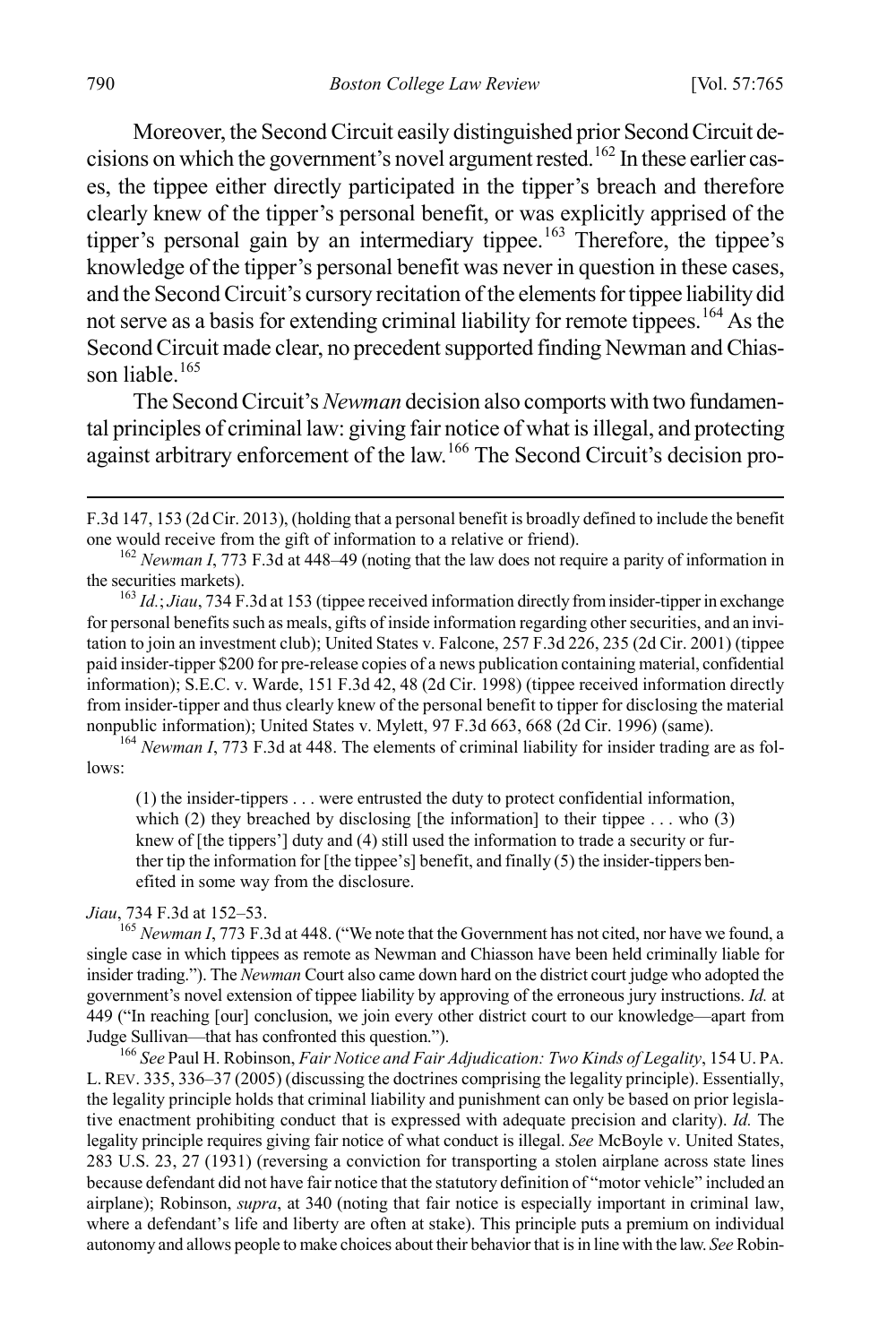Moreover, the Second Circuit easily distinguished prior Second Circuit de-cisions on which the government's novel argument rested.<sup>[162](#page-26-0)</sup> In these earlier cases, the tippee either directly participated in the tipper's breach and therefore clearly knew of the tipper's personal benefit, or was explicitly apprised of the tipper's personal gain by an intermediary tippee.<sup>[163](#page-26-1)</sup> Therefore, the tippee's knowledge of the tipper's personal benefit was never in question in these cases, and the Second Circuit's cursory recitation of the elements for tippee liability did not serve as a basis for extending criminal liability for remote tippees.<sup>[164](#page-26-2)</sup> As the Second Circuit made clear, no precedent supported finding Newman and Chiasson liable. $165$ 

The Second Circuit's *Newman* decision also comports with two fundamental principles of criminal law: giving fair notice of what is illegal, and protecting against arbitrary enforcement of the law.[166](#page-26-4) The Second Circuit's decision pro-

<span id="page-26-2"></span>lows:

(1) the insider-tippers . . . were entrusted the duty to protect confidential information, which (2) they breached by disclosing [the information] to their tippee ... who  $(3)$ knew of [the tippers'] duty and (4) still used the information to trade a security or further tip the information for [the tippee's] benefit, and finally (5) the insider-tippers benefited in some way from the disclosure.

<span id="page-26-3"></span>*Jiau*, 734 F.3d at 152–53.<br><sup>165</sup> *Newman I*, 773 F.3d at 448. ("We note that the Government has not cited, nor have we found, a single case in which tippees as remote as Newman and Chiasson have been held criminally liable for insider trading."). The *Newman* Court also came down hard on the district court judge who adopted the government's novel extension of tippee liability by approving of the erroneous jury instructions. *Id.* at 449 ("In reaching [our] conclusion, we join every other district court to our knowledge—apart from

<span id="page-26-4"></span><sup>166</sup> See Paul H. Robinson, *Fair Notice and Fair Adjudication: Two Kinds of Legality*, 154 U. PA. L. REV. 335, 336–37 (2005) (discussing the doctrines comprising the legality principle). Essentially, the legality principle holds that criminal liability and punishment can only be based on prior legislative enactment prohibiting conduct that is expressed with adequate precision and clarity). *Id.* The legality principle requires giving fair notice of what conduct is illegal. *See* McBoyle v. United States, 283 U.S. 23, 27 (1931) (reversing a conviction for transporting a stolen airplane across state lines because defendant did not have fair notice that the statutory definition of "motor vehicle" included an airplane); Robinson, *supra*, at 340 (noting that fair notice is especially important in criminal law, where a defendant's life and liberty are often at stake). This principle puts a premium on individual autonomy and allows people to make choices about their behavior that is in line with the law. *See* Robin-

F.3d 147, 153 (2d Cir. 2013), (holding that a personal benefit is broadly defined to include the benefit

<span id="page-26-0"></span>one would receive from the gift of information to a relative or friend).<br><sup>162</sup> *Newman I*, 773 F.3d at 448–49 (noting that the law does not require a parity of information in the securities markets).

<span id="page-26-1"></span><sup>&</sup>lt;sup>163</sup> *Id.*; *Jiau*, 734 F.3d at 153 (tippee received information directly from insider-tipper in exchange for personal benefits such as meals, gifts of inside information regarding other securities, and an invitation to join an investment club); United States v. Falcone, 257 F.3d 226, 235 (2d Cir. 2001) (tippee paid insider-tipper \$200 for pre-release copies of a news publication containing material, confidential information); S.E.C. v. Warde, 151 F.3d 42, 48 (2d Cir. 1998) (tippee received information directly from insider-tipper and thus clearly knew of the personal benefit to tipper for disclosing the material nonpublic information); United States v. Mylett, 97 F.3d 663, 668 (2d Cir. 1996) (same). <sup>164</sup> *Newman I*, 773 F.3d at 448. The elements of criminal liability for insider trading are as fol-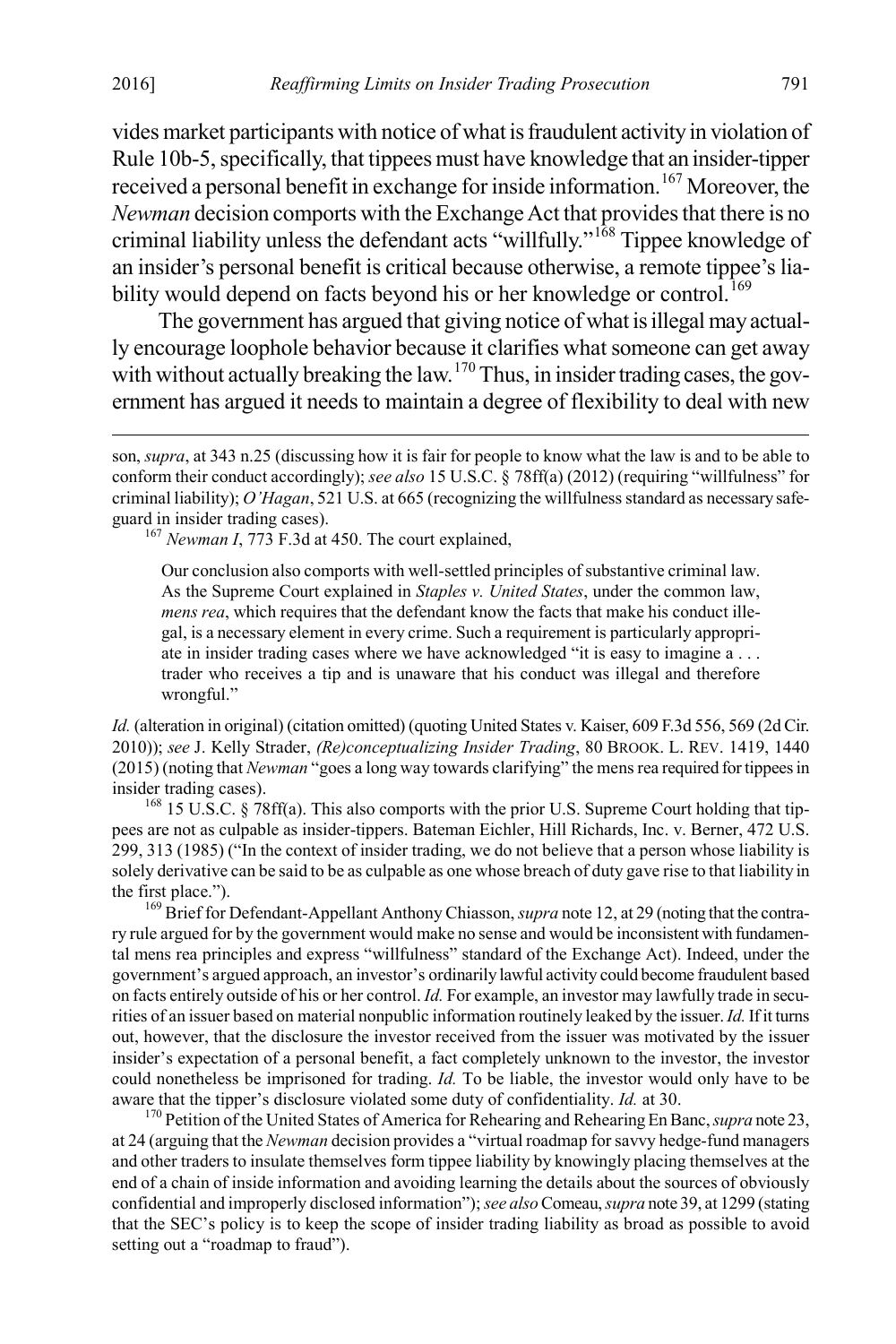vides market participants with notice of what is fraudulent activity in violation of Rule 10b-5, specifically, that tippees must have knowledge that an insider-tipper received a personal benefit in exchange for inside information.<sup>[167](#page-27-0)</sup> Moreover, the *Newman* decision comports with the Exchange Act that provides that there is no criminal liability unless the defendant acts "willfully."[168](#page-27-1) Tippee knowledge of an insider's personal benefit is critical because otherwise, a remote tippee's lia-bility would depend on facts beyond his or her knowledge or control.<sup>[169](#page-27-2)</sup>

The government has argued that giving notice of what is illegal may actually encourage loophole behavior because it clarifies what someone can get away with without actually breaking the law.<sup>[170](#page-27-3)</sup> Thus, in insider trading cases, the government has argued it needs to maintain a degree of flexibility to deal with new

Our conclusion also comports with well-settled principles of substantive criminal law. As the Supreme Court explained in *Staples v. United States*, under the common law, *mens rea*, which requires that the defendant know the facts that make his conduct illegal, is a necessary element in every crime. Such a requirement is particularly appropriate in insider trading cases where we have acknowledged "it is easy to imagine a . . . trader who receives a tip and is unaware that his conduct was illegal and therefore wrongful."

*Id.* (alteration in original) (citation omitted) (quoting United States v. Kaiser, 609 F.3d 556, 569 (2d Cir. 2010)); *see* J. Kelly Strader, *(Re)conceptualizing Insider Trading*, 80 BROOK. L. REV. 1419, 1440 (2015) (noting that *Newman* "goes a long way towards clarifying" the mens rea required for tippees in insider trading cases).<br><sup>168</sup> 15 U.S.C. § 78ff(a). This also comports with the prior U.S. Supreme Court holding that tip-

<span id="page-27-1"></span>pees are not as culpable as insider-tippers. Bateman Eichler, Hill Richards, Inc. v. Berner, 472 U.S. 299, 313 (1985) ("In the context of insider trading, we do not believe that a person whose liability is solely derivative can be said to be as culpable as one whose breach of duty gave rise to that liability in

<span id="page-27-2"></span>the first place.").<br><sup>169</sup> Brief for Defendant-Appellant Anthony Chiasson, *supra* note 12, at 29 (noting that the contrary rule argued for by the government would make no sense and would be inconsistent with fundamental mens rea principles and express "willfulness" standard of the Exchange Act). Indeed, under the government's argued approach, an investor's ordinarily lawful activity could become fraudulent based on facts entirely outside of his or her control. *Id.* For example, an investor may lawfully trade in securities of an issuer based on material nonpublic information routinely leaked by the issuer. *Id.*If it turns out, however, that the disclosure the investor received from the issuer was motivated by the issuer insider's expectation of a personal benefit, a fact completely unknown to the investor, the investor could nonetheless be imprisoned for trading. *Id.* To be liable, the investor would only have to be aware that the tipper's disclosure violated some duty of confidentiality. *Id.* at 30.<br><sup>170</sup> Petition of the United States of America for Rehearing and Rehearing En Banc, *supra* note 23,

<span id="page-27-3"></span>at 24 (arguing that the *Newman* decision provides a "virtual roadmap for savvy hedge-fund managers and other traders to insulate themselves form tippee liability by knowingly placing themselves at the end of a chain of inside information and avoiding learning the details about the sources of obviously confidential and improperly disclosed information"); *see also*Comeau, *supra* note 39, at 1299 (stating that the SEC's policy is to keep the scope of insider trading liability as broad as possible to avoid setting out a "roadmap to fraud").

<span id="page-27-0"></span>son, *supra*, at 343 n.25 (discussing how it is fair for people to know what the law is and to be able to conform their conduct accordingly); *see also* 15 U.S.C. § 78ff(a) (2012) (requiring "willfulness" for criminal liability); *O'Hagan*, 521 U.S. at 665 (recognizing the willfulness standard as necessary safeguard in insider trading cases).<br><sup>167</sup> *Newman I*, 773 F.3d at 450. The court explained,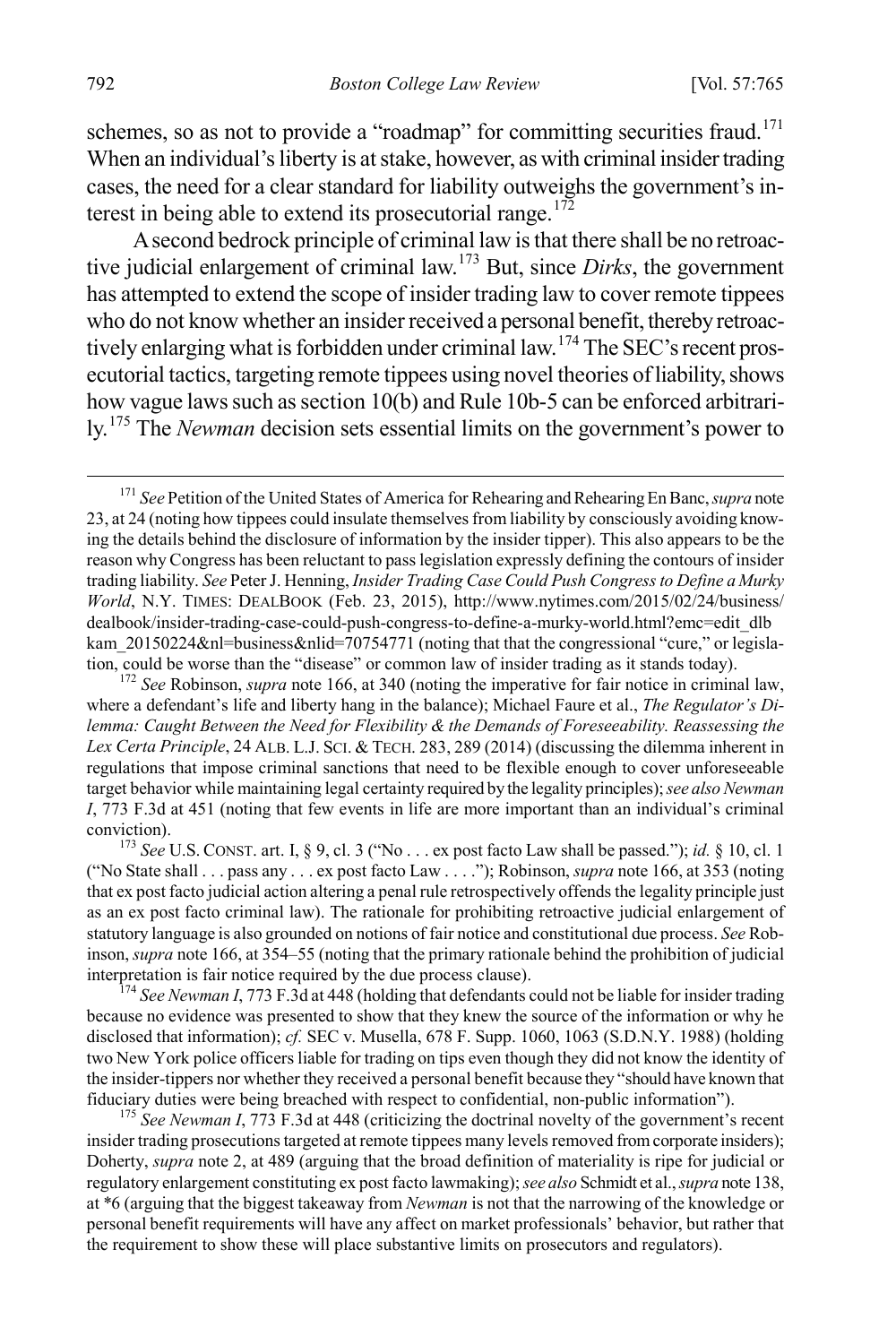schemes, so as not to provide a "roadmap" for committing securities fraud.<sup>[171](#page-28-0)</sup> When an individual's liberty is at stake, however, as with criminal insider trading cases, the need for a clear standard for liability outweighs the government's in-terest in being able to extend its prosecutorial range.<sup>[172](#page-28-1)</sup>

A second bedrock principle of criminal law is that there shall be no retroactive judicial enlargement of criminal law.[173](#page-28-2) But, since *Dirks*, the government has attempted to extend the scope of insider trading law to cover remote tippees who do not know whether an insider received a personal benefit, thereby retroac-tively enlarging what is forbidden under criminal law.<sup>[174](#page-28-3)</sup> The SEC's recent prosecutorial tactics, targeting remote tippees using novel theories of liability, shows how vague laws such as section 10(b) and Rule 10b-5 can be enforced arbitrarily.[175](#page-28-4) The *Newman* decision sets essential limits on the government's power to

<span id="page-28-1"></span>where a defendant's life and liberty hang in the balance); Michael Faure et al., *The Regulator's Dilemma: Caught Between the Need for Flexibility & the Demands of Foreseeability. Reassessing the Lex Certa Principle*, 24 ALB. L.J. SCI. & TECH. 283, 289 (2014) (discussing the dilemma inherent in regulations that impose criminal sanctions that need to be flexible enough to cover unforeseeable target behavior while maintaining legal certainty required by the legality principles); *see also Newman I*, 773 F.3d at 451 (noting that few events in life are more important than an individual's criminal conviction). <sup>173</sup> *See* U.S. CONST. art. I, § 9, cl. 3 ("No . . . ex post facto Law shall be passed."); *id.* § 10, cl. <sup>1</sup>

<span id="page-28-2"></span>("No State shall . . . pass any . . . ex post facto Law . . . ."); Robinson, *supra* note 166, at 353 (noting that ex post facto judicial action altering a penal rule retrospectively offends the legality principle just as an ex post facto criminal law). The rationale for prohibiting retroactive judicial enlargement of statutory language is also grounded on notions of fair notice and constitutional due process. *See* Robinson, *supra* note 166, at 354–55 (noting that the primary rationale behind the prohibition of judicial

<span id="page-28-3"></span> $174$  *See Newman I*, 773 F.3d at 448 (holding that defendants could not be liable for insider trading because no evidence was presented to show that they knew the source of the information or why he disclosed that information); *cf.* SEC v. Musella, 678 F. Supp. 1060, 1063 (S.D.N.Y. 1988) (holding two New York police officers liable for trading on tips even though they did not know the identity of the insider-tippers nor whether they received a personal benefit because they "should have known that fiduciary duties were being breached with respect to confidential, non-public information"). <sup>175</sup> *See Newman I*, 773 F.3d at 448 (criticizing the doctrinal novelty of the government's recent

<span id="page-28-4"></span>insider trading prosecutions targeted at remote tippees many levels removed from corporate insiders); Doherty, *supra* note 2, at 489 (arguing that the broad definition of materiality is ripe for judicial or regulatory enlargement constituting ex post facto lawmaking); *see also* Schmidt et al., *supra* note 138, at \*6 (arguing that the biggest takeaway from *Newman* is not that the narrowing of the knowledge or personal benefit requirements will have any affect on market professionals' behavior, but rather that the requirement to show these will place substantive limits on prosecutors and regulators).

<span id="page-28-0"></span> <sup>171</sup> *See* Petition of the United States of America for Rehearing and Rehearing En Banc, *supra* note 23, at 24 (noting how tippees could insulate themselves from liability by consciously avoiding knowing the details behind the disclosure of information by the insider tipper). This also appears to be the reason why Congress has been reluctant to pass legislation expressly defining the contours of insider trading liability. *See* Peter J. Henning, *Insider Trading Case Could Push Congress to Define a Murky World*, N.Y. TIMES: DEALBOOK (Feb. 23, 2015), http://www.nytimes.com/2015/02/24/business/ dealbook/insider-trading-case-could-push-congress-to-define-a-murky-world.html?emc=edit\_dlb kam\_20150224&nl=business&nlid=70754771 (noting that that the congressional "cure," or legislation, could be worse than the "disease" or common law of insider trading as it stands today). <sup>172</sup> *See* Robinson, *supra* note 166, at 340 (noting the imperative for fair notice in criminal law,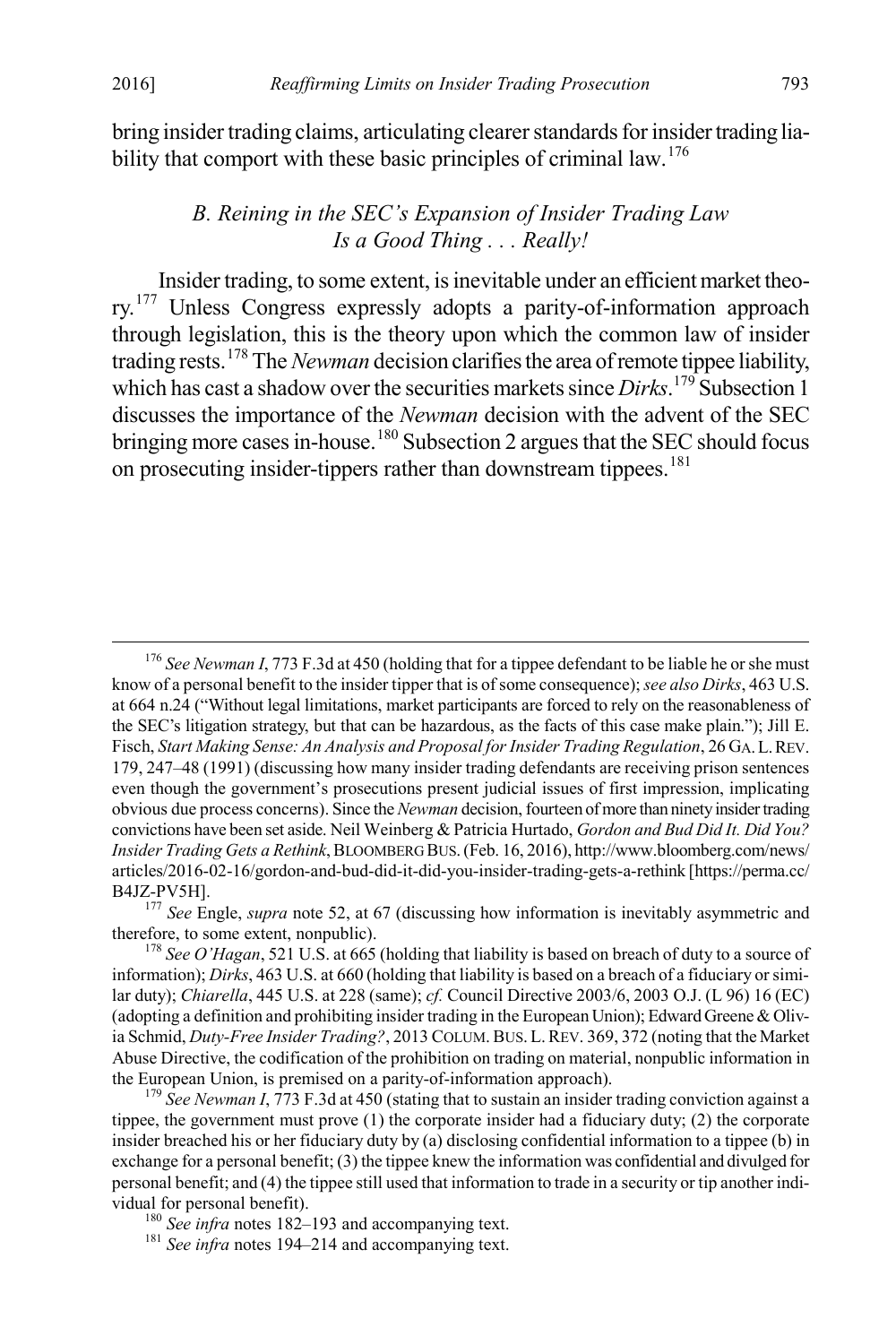bring insider trading claims, articulating clearer standards for insider trading lia-bility that comport with these basic principles of criminal law.<sup>[176](#page-29-0)</sup>

#### *B. Reining in the SEC's Expansion of Insider Trading Law Is a Good Thing . . . Really!*

Insider trading, to some extent, is inevitable under an efficient market theo-ry.<sup>[177](#page-29-1)</sup> Unless Congress expressly adopts a parity-of-information approach through legislation, this is the theory upon which the common law of insider trading rests.[178](#page-29-2) The *Newman* decision clarifiesthe area of remote tippee liability, which has cast a shadow over the securities markets since *Dirks*. [179](#page-29-3) Subsection 1 discusses the importance of the *Newman* decision with the advent of the SEC bringing more cases in-house.<sup>[180](#page-29-4)</sup> Subsection 2 argues that the SEC should focus on prosecuting insider-tippers rather than downstream tippees.<sup>[181](#page-29-5)</sup>

<span id="page-29-0"></span> <sup>176</sup> *See Newman I*, 773 F.3d at 450 (holding that for a tippee defendant to be liable he or she must know of a personal benefit to the insider tipper that is of some consequence); *see also Dirks*, 463 U.S. at 664 n.24 ("Without legal limitations, market participants are forced to rely on the reasonableness of the SEC's litigation strategy, but that can be hazardous, as the facts of this case make plain."); Jill E. Fisch, *Start Making Sense: An Analysis and Proposal for Insider Trading Regulation*, 26 GA.L.REV. 179, 247–48 (1991) (discussing how many insider trading defendants are receiving prison sentences even though the government's prosecutions present judicial issues of first impression, implicating obvious due process concerns). Since the *Newman* decision, fourteen of more than ninety insider trading convictions have been set aside. Neil Weinberg & Patricia Hurtado, *Gordon and Bud Did It. Did You? Insider Trading Gets a Rethink*, BLOOMBERG BUS. (Feb. 16, 2016), http://www.bloomberg.com/news/ articles/2016-02-16/gordon-and-bud-did-it-did-you-insider-trading-gets-a-rethink [https://perma.cc/

<span id="page-29-1"></span>B4JZ-PV5H].<br><sup>177</sup> *See* Engle, *supra* note 52, at 67 (discussing how information is inevitably asymmetric and therefore, to some extent, nonpublic).

<span id="page-29-2"></span> $178$  *See O'Hagan*, 521 U.S. at 665 (holding that liability is based on breach of duty to a source of information); *Dirks*, 463 U.S. at 660 (holding that liability is based on a breach of a fiduciary or similar duty); *Chiarella*, 445 U.S. at 228 (same); *cf.* Council Directive 2003/6, 2003 O.J. (L 96) 16 (EC) (adopting a definition and prohibiting insider trading in the European Union); Edward Greene & Olivia Schmid, *Duty-Free Insider Trading?*, 2013 COLUM. BUS. L. REV. 369, 372 (noting that the Market Abuse Directive, the codification of the prohibition on trading on material, nonpublic information in the European Union, is premised on a parity-of-information approach).<br><sup>179</sup> *See Newman I*, 773 F.3d at 450 (stating that to sustain an insider trading conviction against a

<span id="page-29-3"></span>tippee, the government must prove (1) the corporate insider had a fiduciary duty; (2) the corporate insider breached his or her fiduciary duty by (a) disclosing confidential information to a tippee (b) in exchange for a personal benefit; (3) the tippee knew the information was confidential and divulged for personal benefit; and (4) the tippee still used that information to trade in a security or tip another individual for personal benefit).<br><sup>180</sup> *See infra* notes 182–193 and accompanying text.<br><sup>181</sup> *See infra* notes 194–214 and accompanying text.

<span id="page-29-5"></span><span id="page-29-4"></span>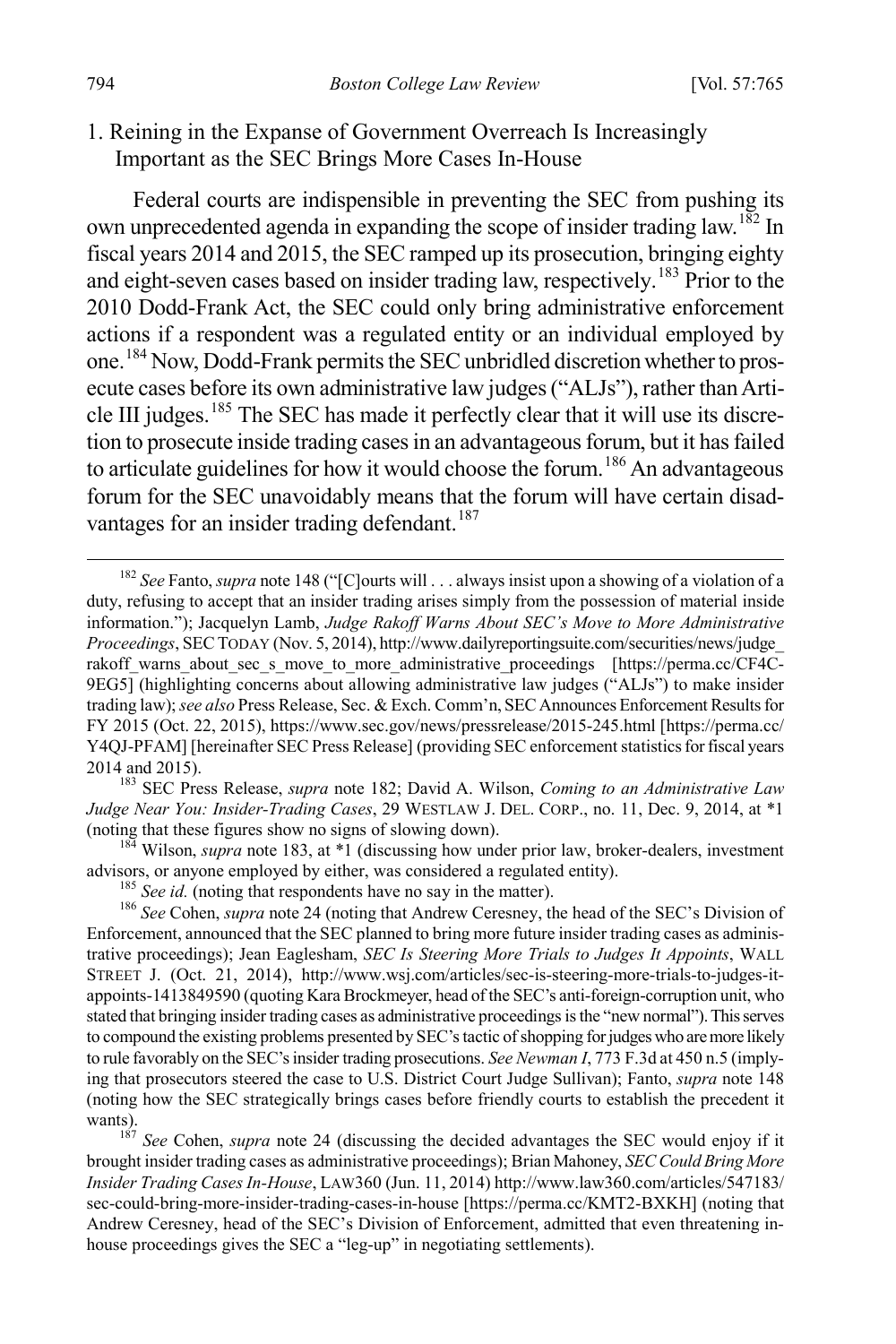1. Reining in the Expanse of Government Overreach Is Increasingly Important as the SEC Brings More Cases In-House

Federal courts are indispensible in preventing the SEC from pushing its own unprecedented agenda in expanding the scope of insider trading law.<sup>[182](#page-30-0)</sup> In fiscal years 2014 and 2015, the SEC ramped up its prosecution, bringing eighty and eight-seven cases based on insider trading law, respectively. [183](#page-30-1) Prior to the 2010 Dodd-Frank Act, the SEC could only bring administrative enforcement actions if a respondent was a regulated entity or an individual employed by one.[184](#page-30-2) Now, Dodd-Frank permits the SEC unbridled discretion whether to prosecute cases before its own administrative law judges("ALJs"), rather than Article III judges.<sup>185</sup> The SEC has made it perfectly clear that it will use its discretion to prosecute inside trading cases in an advantageous forum, but it has failed to articulate guidelines for how it would choose the forum.<sup>[186](#page-30-4)</sup> An advantageous forum for the SEC unavoidably means that the forum will have certain disad-vantages for an insider trading defendant.<sup>[187](#page-30-5)</sup>

<span id="page-30-1"></span><sup>183</sup> SEC Press Release, *supra* note 182; David A. Wilson, *Coming to an Administrative Law Judge Near You: Insider-Trading Cases*, 29 WESTLAW J. DEL. CORP., no. 11, Dec. 9, 2014, at \*1

<span id="page-30-2"></span>(noting that these figures show no signs of slowing down).<br><sup>184</sup> Wilson, *supra* note 183, at \*1 (discussing how under prior law, broker-dealers, investment advisors, or anyone employed by either, was considered a regulate

<span id="page-30-4"></span><span id="page-30-3"></span><sup>185</sup> See id. (noting that respondents have no say in the matter).<br><sup>186</sup> See Cohen, *supra* note 24 (noting that Andrew Ceresney, the head of the SEC's Division of Enforcement, announced that the SEC planned to bring more future insider trading cases as administrative proceedings); Jean Eaglesham, *SEC Is Steering More Trials to Judges It Appoints*, WALL STREET J. (Oct. 21, 2014), http://www.wsj.com/articles/sec-is-steering-more-trials-to-judges-itappoints-1413849590 (quoting Kara Brockmeyer, head of the SEC's anti-foreign-corruption unit, who stated that bringing insider trading cases as administrative proceedings is the "new normal"). This serves to compound the existing problems presented by SEC's tactic of shopping for judges who are more likely to rule favorably on the SEC's insider trading prosecutions. *See Newman I*, 773 F.3d at 450 n.5 (implying that prosecutors steered the case to U.S. District Court Judge Sullivan); Fanto, *supra* note 148 (noting how the SEC strategically brings cases before friendly courts to establish the precedent it wants).<br><sup>187</sup> *See* Cohen, *supra* note 24 (discussing the decided advantages the SEC would enjoy if it

<span id="page-30-5"></span>brought insider trading cases as administrative proceedings); Brian Mahoney, *SEC Could Bring More Insider Trading Cases In-House*, LAW360 (Jun. 11, 2014) http://www.law360.com/articles/547183/ sec-could-bring-more-insider-trading-cases-in-house [https://perma.cc/KMT2-BXKH] (noting that Andrew Ceresney, head of the SEC's Division of Enforcement, admitted that even threatening inhouse proceedings gives the SEC a "leg-up" in negotiating settlements).

<span id="page-30-0"></span> <sup>182</sup> *See* Fanto, *supra* note 148 ("[C]ourts will . . . always insist upon a showing of a violation of a duty, refusing to accept that an insider trading arises simply from the possession of material inside information."); Jacquelyn Lamb, *Judge Rakoff Warns About SEC's Move to More Administrative Proceedings*, SECTODAY (Nov. 5, 2014), http://www.dailyreportingsuite.com/securities/news/judge\_ rakoff warns about sec s move to more administrative proceedings [https://perma.cc/CF4C-9EG5] (highlighting concerns about allowing administrative law judges ("ALJs") to make insider trading law); *see also* Press Release, Sec. & Exch. Comm'n, SEC Announces Enforcement Results for FY 2015 (Oct. 22, 2015), https://www.sec.gov/news/pressrelease/2015-245.html [https://perma.cc/ Y4QJ-PFAM] [hereinafter SEC Press Release] (providing SEC enforcement statistics for fiscal years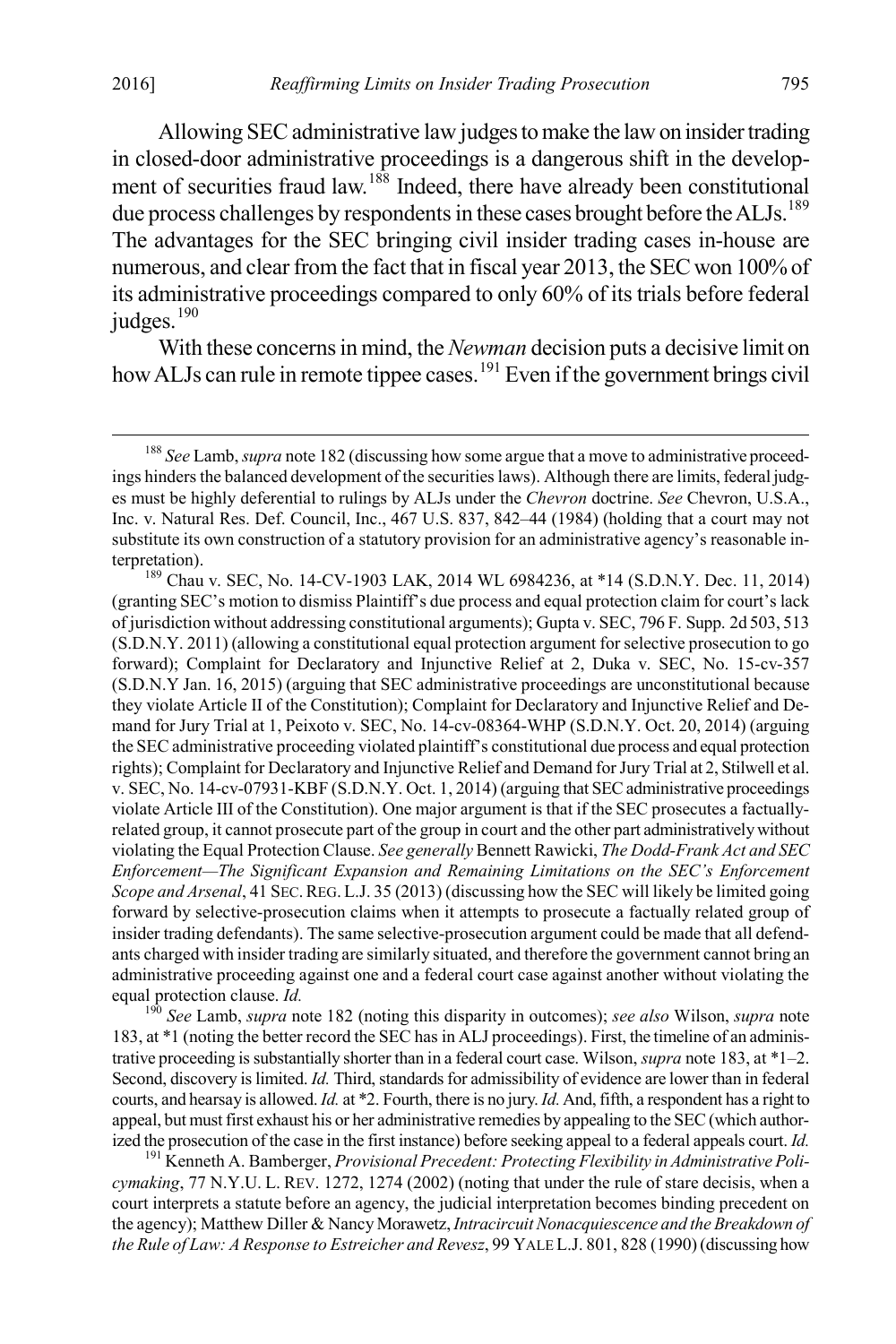Allowing SEC administrative law judges to make the law on insider trading in closed-door administrative proceedings is a dangerous shift in the develop-ment of securities fraud law.<sup>[188](#page-31-0)</sup> Indeed, there have already been constitutional due process challenges by respondents in these cases brought before the ALJs.<sup>[189](#page-31-1)</sup> The advantages for the SEC bringing civil insider trading cases in-house are numerous, and clear from the fact that in fiscal year 2013, the SEC won 100% of its administrative proceedings compared to only 60% of its trials before federal judges.<sup>[190](#page-31-2)</sup>

With these concerns in mind, the *Newman* decision puts a decisive limit on how ALJs can rule in remote tippee cases.<sup>[191](#page-31-3)</sup> Even if the government brings civil

<span id="page-31-2"></span><sup>190</sup> See Lamb, *supra* note 182 (noting this disparity in outcomes); *see also* Wilson, *supra* note 183, at \*1 (noting the better record the SEC has in ALJ proceedings). First, the timeline of an administrative proceeding is substantially shorter than in a federal court case. Wilson, *supra* note 183, at \*1–2. Second, discovery is limited. *Id.* Third, standards for admissibility of evidence are lower than in federal courts, and hearsay is allowed. *Id.* at \*2. Fourth, there is no jury. *Id.*And, fifth, a respondent has a right to appeal, but must first exhaust his or her administrative remedies by appealing to the SEC (which authorized the prosecution of the case in the first instance) before seeking appeal to a federal appeals court. *Id.* <sup>191</sup> Kenneth A. Bamberger, *Provisional Precedent: Protecting Flexibility in Administrative Poli-*

<span id="page-31-3"></span>*cymaking*, 77 N.Y.U. L. REV. 1272, 1274 (2002) (noting that under the rule of stare decisis, when a court interprets a statute before an agency, the judicial interpretation becomes binding precedent on the agency); Matthew Diller & Nancy Morawetz, *Intracircuit Nonacquiescence and the Breakdown of the Rule of Law: A Response to Estreicher and Revesz*, 99 YALE L.J. 801, 828 (1990) (discussing how

<span id="page-31-0"></span> <sup>188</sup> *See* Lamb, *supra* note 182 (discussing how some argue that a move to administrative proceedings hinders the balanced development of the securities laws). Although there are limits, federal judges must be highly deferential to rulings by ALJs under the *Chevron* doctrine. *See* Chevron, U.S.A., Inc. v. Natural Res. Def. Council, Inc., 467 U.S. 837, 842–44 (1984) (holding that a court may not substitute its own construction of a statutory provision for an administrative agency's reasonable interpretation).

<span id="page-31-1"></span><sup>&</sup>lt;sup>189</sup> Chau v. SEC, No. 14-CV-1903 LAK, 2014 WL 6984236, at \*14 (S.D.N.Y. Dec. 11, 2014) (granting SEC's motion to dismiss Plaintiff's due process and equal protection claim for court's lack of jurisdiction without addressing constitutional arguments); Gupta v. SEC, 796 F. Supp. 2d 503, 513 (S.D.N.Y. 2011) (allowing a constitutional equal protection argument for selective prosecution to go forward); Complaint for Declaratory and Injunctive Relief at 2, Duka v. SEC, No. 15-cv-357 (S.D.N.Y Jan. 16, 2015) (arguing that SEC administrative proceedings are unconstitutional because they violate Article II of the Constitution); Complaint for Declaratory and Injunctive Relief and Demand for Jury Trial at 1, Peixoto v. SEC, No. 14-cv-08364-WHP (S.D.N.Y. Oct. 20, 2014) (arguing the SEC administrative proceeding violated plaintiff's constitutional due process and equal protection rights); Complaint for Declaratory and Injunctive Relief and Demand for Jury Trial at 2, Stilwell et al. v. SEC, No. 14-cv-07931-KBF (S.D.N.Y. Oct. 1, 2014) (arguing that SEC administrative proceedings violate Article III of the Constitution). One major argument is that if the SEC prosecutes a factuallyrelated group, it cannot prosecute part of the group in court and the other part administratively without violating the Equal Protection Clause. *See generally* Bennett Rawicki, *The Dodd-Frank Act and SEC Enforcement—The Significant Expansion and Remaining Limitations on the SEC's Enforcement Scope and Arsenal*, 41 SEC.REG. L.J. 35 (2013) (discussing how the SEC will likely be limited going forward by selective-prosecution claims when it attempts to prosecute a factually related group of insider trading defendants). The same selective-prosecution argument could be made that all defendants charged with insider trading are similarly situated, and therefore the government cannot bring an administrative proceeding against one and a federal court case against another without violating the equal protection clause. *Id*.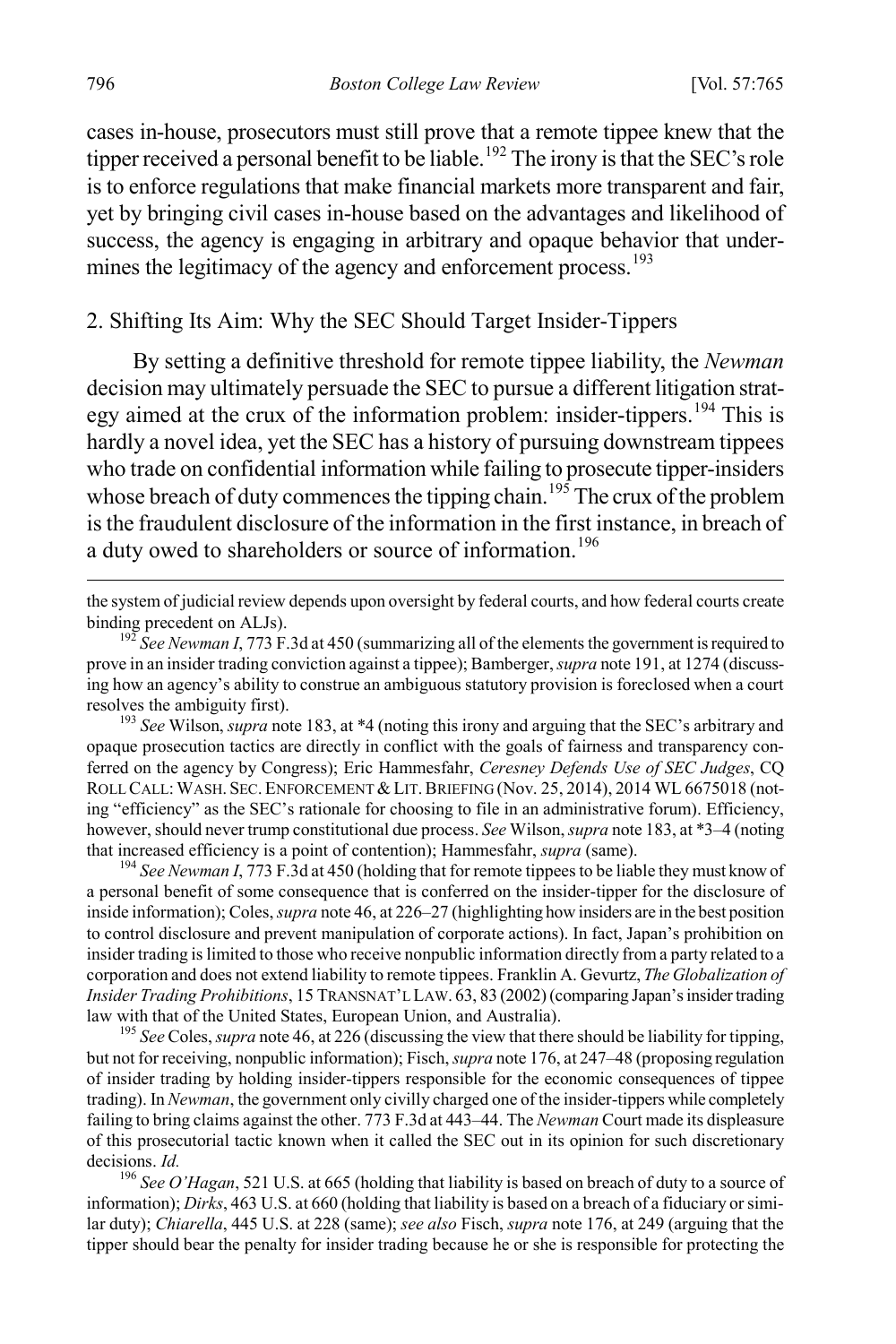cases in-house, prosecutors must still prove that a remote tippee knew that the tipper received a personal benefit to be liable.<sup>[192](#page-32-0)</sup> The irony is that the SEC's role is to enforce regulations that make financial markets more transparent and fair, yet by bringing civil cases in-house based on the advantages and likelihood of success, the agency is engaging in arbitrary and opaque behavior that under-mines the legitimacy of the agency and enforcement process.<sup>[193](#page-32-1)</sup>

#### 2. Shifting Its Aim: Why the SEC Should Target Insider-Tippers

By setting a definitive threshold for remote tippee liability, the *Newman*  decision may ultimately persuade the SEC to pursue a different litigation strat-egy aimed at the crux of the information problem: insider-tippers.<sup>[194](#page-32-2)</sup> This is hardly a novel idea, yet the SEC has a history of pursuing downstream tippees who trade on confidential information while failing to prosecute tipper-insiders whose breach of duty commences the tipping chain.<sup>[195](#page-32-3)</sup> The crux of the problem is the fraudulent disclosure of the information in the first instance, in breach of a duty owed to shareholders or source of information.<sup>[196](#page-32-4)</sup>

 the system of judicial review depends upon oversight by federal courts, and how federal courts create binding precedent on ALJs). <sup>192</sup> *See Newman I*, 773 F.3d at 450 (summarizing all of the elements the government is required to

<span id="page-32-1"></span>opaque prosecution tactics are directly in conflict with the goals of fairness and transparency conferred on the agency by Congress); Eric Hammesfahr, *Ceresney Defends Use of SEC Judges*, CQ ROLL CALL: WASH. SEC. ENFORCEMENT & LIT. BRIEFING (Nov. 25, 2014), 2014 WL 6675018 (noting "efficiency" as the SEC's rationale for choosing to file in an administrative forum). Efficiency, however, should never trump constitutional due process. *See* Wilson, *supra* note 183, at \*3–4 (noting that increased efficiency is a point of contention); Hammesfahr, *supra* (same).<br><sup>194</sup> *See Newman I*, 773 F.3d at 450 (holding that for remote tippees to be liable they must know of

<span id="page-32-2"></span>a personal benefit of some consequence that is conferred on the insider-tipper for the disclosure of inside information); Coles, *supra* note 46, at 226–27 (highlighting how insiders are in the best position to control disclosure and prevent manipulation of corporate actions). In fact, Japan's prohibition on insider trading is limited to those who receive nonpublic information directly from a party related to a corporation and does not extend liability to remote tippees. Franklin A. Gevurtz, *The Globalization of Insider Trading Prohibitions*, 15 TRANSNAT'L LAW. 63, 83 (2002) (comparing Japan's insider trading law with that of the United States, European Union, and Australia). <sup>195</sup> *See* Coles, *supra* note 46, at 226 (discussing the view that there should be liability for tipping,

<span id="page-32-3"></span>but not for receiving, nonpublic information); Fisch, *supra* note 176, at 247–48 (proposing regulation of insider trading by holding insider-tippers responsible for the economic consequences of tippee trading). In *Newman*, the government only civilly charged one of the insider-tippers while completely failing to bring claims against the other. 773 F.3d at 443–44. The *Newman* Court made its displeasure of this prosecutorial tactic known when it called the SEC out in its opinion for such discretionary decisions. *Id.* 196 *See O'Hagan*, 521 U.S. at 665 (holding that liability is based on breach of duty to a source of

<span id="page-32-4"></span>information); *Dirks*, 463 U.S. at 660 (holding that liability is based on a breach of a fiduciary or similar duty); *Chiarella*, 445 U.S. at 228 (same); *see also* Fisch, *supra* note 176, at 249 (arguing that the tipper should bear the penalty for insider trading because he or she is responsible for protecting the

<span id="page-32-0"></span>prove in an insider trading conviction against a tippee); Bamberger, *supra* note 191, at 1274 (discussing how an agency's ability to construe an ambiguous statutory provision is foreclosed when a court resolves the ambiguity first). <sup>193</sup> *See* Wilson, *supra* note 183, at \*4 (noting this irony and arguing that the SEC's arbitrary and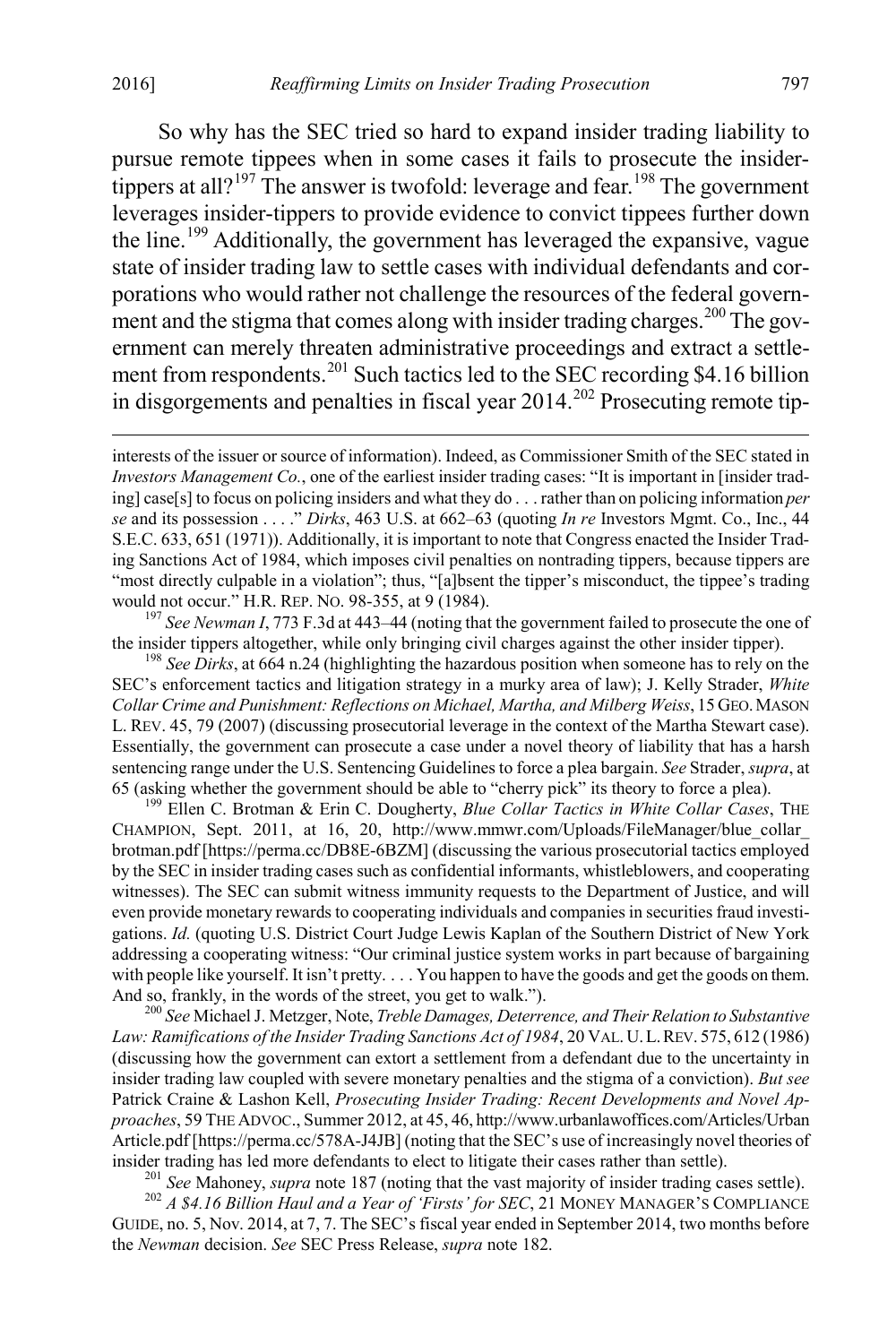So why has the SEC tried so hard to expand insider trading liability to pursue remote tippees when in some cases it fails to prosecute the insider-tippers at all?<sup>[197](#page-33-0)</sup> The answer is twofold: leverage and fear.<sup>[198](#page-33-1)</sup> The government leverages insider-tippers to provide evidence to convict tippees further down the line.[199](#page-33-2) Additionally, the government has leveraged the expansive, vague state of insider trading law to settle cases with individual defendants and corporations who would rather not challenge the resources of the federal govern-ment and the stigma that comes along with insider trading charges.<sup>[200](#page-33-3)</sup> The government can merely threaten administrative proceedings and extract a settle-ment from respondents.<sup>[201](#page-33-4)</sup> Such tactics led to the SEC recording \$4.16 billion in disgorgements and penalties in fiscal year  $2014.<sup>202</sup>$  Prosecuting remote tip-

<span id="page-33-0"></span>the insider tippers altogether, while only bringing civil charges against the other insider tipper). <sup>198</sup> *See Dirks*, at 664 n.24 (highlighting the hazardous position when someone has to rely on the

<span id="page-33-1"></span>SEC's enforcement tactics and litigation strategy in a murky area of law); J. Kelly Strader, *White Collar Crime and Punishment: Reflections on Michael, Martha, and Milberg Weiss*, 15 GEO.MASON L. REV. 45, 79 (2007) (discussing prosecutorial leverage in the context of the Martha Stewart case). Essentially, the government can prosecute a case under a novel theory of liability that has a harsh sentencing range under the U.S. Sentencing Guidelines to force a plea bargain. *See* Strader, *supra*, at 65 (asking whether the government should be able to "cherry pick" its theory to force a plea). <sup>199</sup> Ellen C. Brotman & Erin C. Dougherty, *Blue Collar Tactics in White Collar Cases*, THE

<span id="page-33-2"></span>CHAMPION, Sept. 2011, at 16, 20, http://www.mmwr.com/Uploads/FileManager/blue\_collar\_ brotman.pdf [https://perma.cc/DB8E-6BZM] (discussing the various prosecutorial tactics employed by the SEC in insider trading cases such as confidential informants, whistleblowers, and cooperating witnesses). The SEC can submit witness immunity requests to the Department of Justice, and will even provide monetary rewards to cooperating individuals and companies in securities fraud investigations. *Id.* (quoting U.S. District Court Judge Lewis Kaplan of the Southern District of New York addressing a cooperating witness: "Our criminal justice system works in part because of bargaining with people like yourself. It isn't pretty. . . . You happen to have the goods and get the goods on them. And so, frankly, in the words of the street, you get to walk."). <sup>200</sup> *See* Michael J. Metzger, Note, *Treble Damages, Deterrence, and Their Relation to Substantive* 

<span id="page-33-3"></span>*Law: Ramifications of the Insider Trading Sanctions Act of 1984*, 20 VAL. U.L.REV. 575, 612 (1986) (discussing how the government can extort a settlement from a defendant due to the uncertainty in insider trading law coupled with severe monetary penalties and the stigma of a conviction). *But see* Patrick Craine & Lashon Kell, *Prosecuting Insider Trading: Recent Developments and Novel Approaches*, 59 THE ADVOC., Summer 2012, at 45, 46, http://www.urbanlawoffices.com/Articles/Urban Article.pdf [https://perma.cc/578A-J4JB] (noting that the SEC's use of increasingly novel theories of

<span id="page-33-5"></span><span id="page-33-4"></span>insider trading has led more defendants to elect to litigate their cases rather than settle).<br><sup>201</sup> See Mahoney, *supra* note 187 (noting that the vast majority of insider trading cases settle).<br><sup>202</sup> A \$4.16 Billion Haul GUIDE, no. 5, Nov. 2014, at 7, 7. The SEC's fiscal year ended in September 2014, two months before the *Newman* decision. *See* SEC Press Release, *supra* note 182.

interests of the issuer or source of information). Indeed, as Commissioner Smith of the SEC stated in *Investors Management Co.*, one of the earliest insider trading cases: "It is important in [insider trading] case[s] to focus on policing insiders and what they do . . . rather than on policing information *per se* and its possession . . . ." *Dirks*, 463 U.S. at 662–63 (quoting *In re* Investors Mgmt. Co., Inc., 44 S.E.C. 633, 651 (1971)). Additionally, it is important to note that Congress enacted the Insider Trading Sanctions Act of 1984, which imposes civil penalties on nontrading tippers, because tippers are "most directly culpable in a violation"; thus, "[a]bsent the tipper's misconduct, the tippee's trading would not occur." H.R. REP. No. 98-355, at 9 (1984).<br><sup>197</sup> *See Newman I*, 773 F.3d at 443–44 (noting that the government failed to prosecute the one of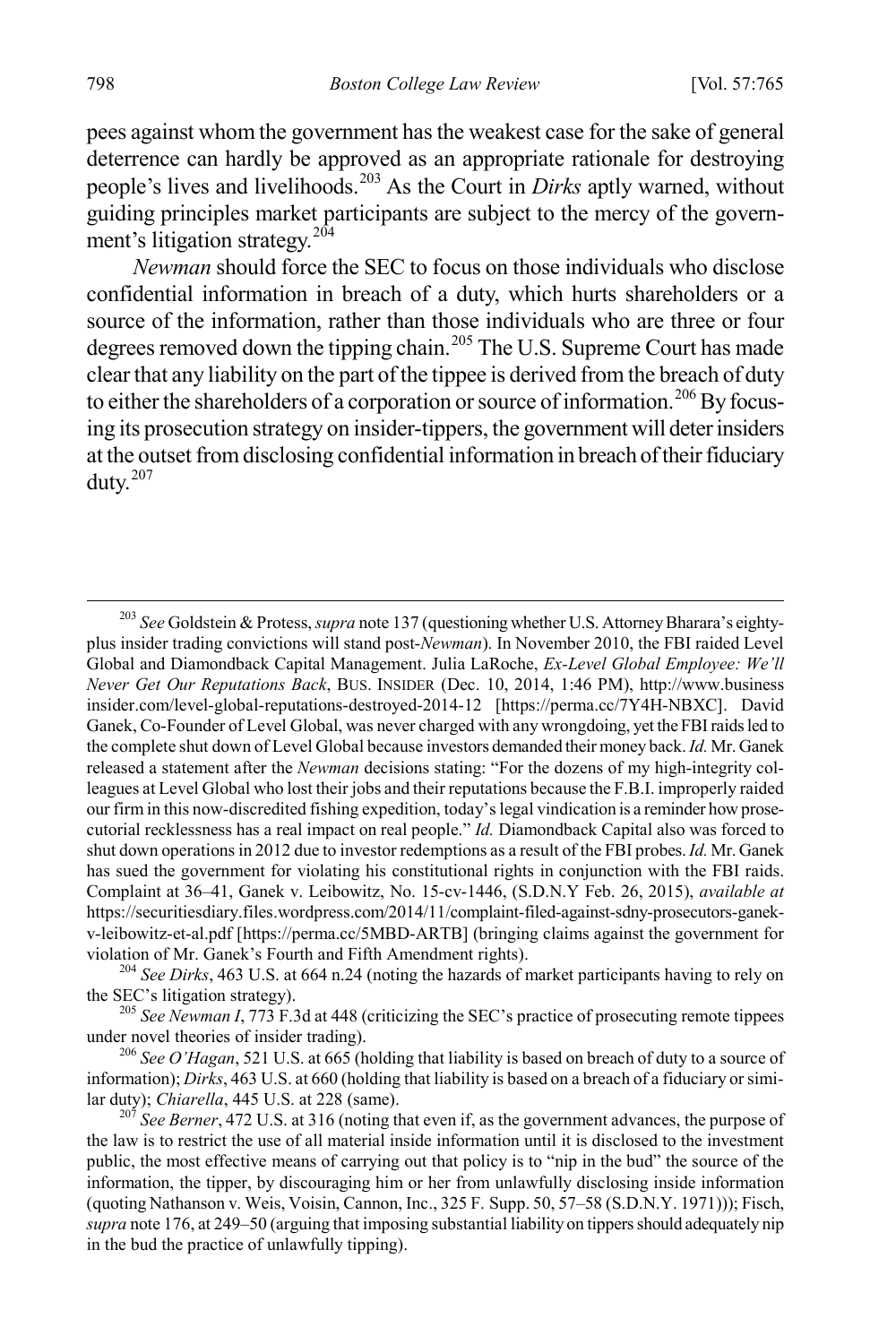pees against whom the government has the weakest case for the sake of general deterrence can hardly be approved as an appropriate rationale for destroying people's lives and livelihoods.[203](#page-34-0) As the Court in *Dirks* aptly warned, without guiding principles market participants are subject to the mercy of the govern-ment's litigation strategy.<sup>[204](#page-34-1)</sup>

*Newman* should force the SEC to focus on those individuals who disclose confidential information in breach of a duty, which hurts shareholders or a source of the information, rather than those individuals who are three or four degrees removed down the tipping chain.<sup>[205](#page-34-2)</sup> The U.S. Supreme Court has made clear that any liability on the part of the tippee is derived from the breach of duty to either the shareholders of a corporation or source of information.<sup>[206](#page-34-3)</sup>By focusing its prosecution strategy on insider-tippers, the government will deter insiders at the outset from disclosing confidential information in breach of their fiduciary duty.[207](#page-34-4)

<span id="page-34-1"></span>violation of Mr. Ganek's Fourth and Fifth Amendment rights).<br><sup>204</sup> *See Dirks*, 463 U.S. at 664 n.24 (noting the hazards of market participants having to rely on the SEC's litigation strategy).

<span id="page-34-2"></span><sup>205</sup> *See Newman I*, 773 F.3d at 448 (criticizing the SEC's practice of prosecuting remote tippees under novel theories of insider trading).

<span id="page-34-3"></span><sup>206</sup> See O'Hagan, 521 U.S. at 665 (holding that liability is based on breach of duty to a source of information); *Dirks*, 463 U.S. at 660 (holding that liability is based on a breach of a fiduciary or similar duty); *Chiarella*, 445 U.S. at 228 (same). <sup>207</sup> *See Berner*, 472 U.S. at 316 (noting that even if, as the government advances, the purpose of

<span id="page-34-0"></span> <sup>203</sup> *See* Goldstein & Protess, *supra* note 137 (questioning whether U.S. Attorney Bharara's eightyplus insider trading convictions will stand post-*Newman*). In November 2010, the FBI raided Level Global and Diamondback Capital Management. Julia LaRoche, *Ex-Level Global Employee: We'll Never Get Our Reputations Back*, BUS. INSIDER (Dec. 10, 2014, 1:46 PM), http://www.business insider.com/level-global-reputations-destroyed-2014-12 [https://perma.cc/7Y4H-NBXC]. David Ganek, Co-Founder of Level Global, was never charged with any wrongdoing, yet the FBI raids led to the complete shut down of Level Global because investors demanded their money back. *Id.* Mr. Ganek released a statement after the *Newman* decisions stating: "For the dozens of my high-integrity colleagues at Level Global who lost their jobs and their reputations because the F.B.I. improperly raided our firm in this now-discredited fishing expedition, today's legal vindication is a reminder how prosecutorial recklessness has a real impact on real people." *Id.* Diamondback Capital also was forced to shut down operations in 2012 due to investor redemptions as a result of the FBI probes. *Id.* Mr. Ganek has sued the government for violating his constitutional rights in conjunction with the FBI raids. Complaint at 36–41, Ganek v. Leibowitz, No. 15-cv-1446, (S.D.N.Y Feb. 26, 2015), *available at*  https://securitiesdiary.files.wordpress.com/2014/11/complaint-filed-against-sdny-prosecutors-ganekv-leibowitz-et-al.pdf [https://perma.cc/5MBD-ARTB] (bringing claims against the government for

<span id="page-34-4"></span>the law is to restrict the use of all material inside information until it is disclosed to the investment public, the most effective means of carrying out that policy is to "nip in the bud" the source of the information, the tipper, by discouraging him or her from unlawfully disclosing inside information (quoting Nathanson v. Weis, Voisin, Cannon, Inc., 325 F. Supp. 50, 57–58 (S.D.N.Y. 1971))); Fisch, *supra* note 176, at 249–50 (arguing that imposing substantial liability on tippers should adequately nip in the bud the practice of unlawfully tipping).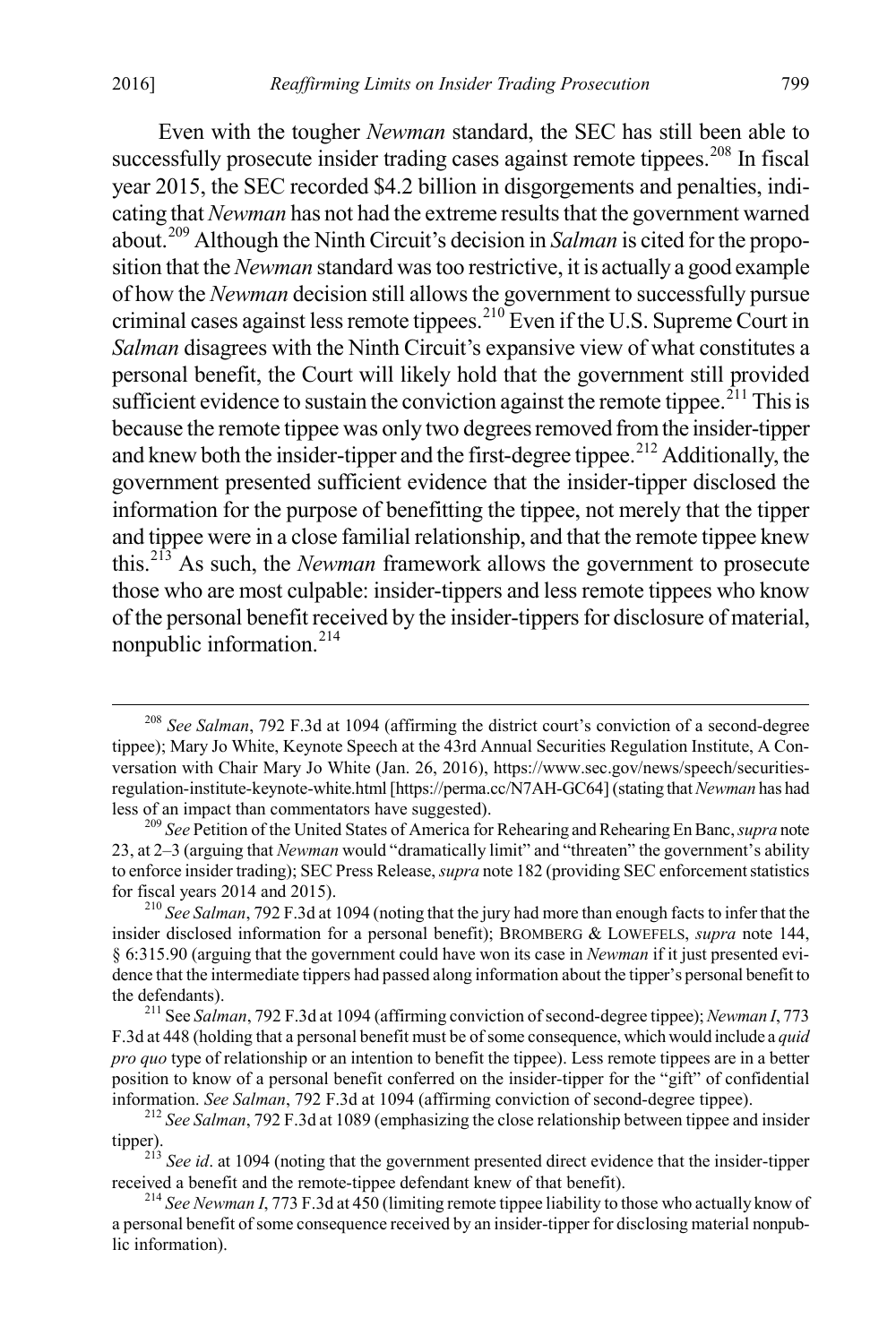Even with the tougher *Newman* standard, the SEC has still been able to successfully prosecute insider trading cases against remote tippees.<sup>[208](#page-35-0)</sup> In fiscal year 2015, the SEC recorded \$4.2 billion in disgorgements and penalties, indicating that *Newman* has not had the extreme results that the government warned about. [209](#page-35-1) Although the Ninth Circuit's decision in *Salman* is cited for the proposition that the *Newman* standard wastoo restrictive, it is actually a good example of how the *Newman* decision still allows the government to successfully pursue criminal cases against less remote tippees.[210](#page-35-2) Even if the U.S. Supreme Court in *Salman* disagrees with the Ninth Circuit's expansive view of what constitutes a personal benefit, the Court will likely hold that the government still provided sufficient evidence to sustain the conviction against the remote tippee.<sup> $211$ </sup> This is because the remote tippee was only two degrees removed from the insider-tipper and knew both the insider-tipper and the first-degree tippee.<sup>[212](#page-35-4)</sup> Additionally, the government presented sufficient evidence that the insider-tipper disclosed the information for the purpose of benefitting the tippee, not merely that the tipper and tippee were in a close familial relationship, and that the remote tippee knew this.[213](#page-35-5) As such, the *Newman* framework allows the government to prosecute those who are most culpable: insider-tippers and less remote tippees who know of the personal benefit received by the insider-tippers for disclosure of material, nonpublic information.[214](#page-35-6)

<span id="page-35-0"></span> <sup>208</sup> *See Salman*, 792 F.3d at 1094 (affirming the district court's conviction of a second-degree tippee); Mary Jo White, Keynote Speech at the 43rd Annual Securities Regulation Institute, A Conversation with Chair Mary Jo White (Jan. 26, 2016), https://www.sec.gov/news/speech/securitiesregulation-institute-keynote-white.html [https://perma.cc/N7AH-GC64] (stating that *Newman* has had less of an impact than commentators have suggested). <sup>209</sup> *See* Petition of the United States of America for Rehearing and Rehearing En Banc, *supra* note

<span id="page-35-1"></span><sup>23,</sup> at 2–3 (arguing that *Newman* would "dramatically limit" and "threaten" the government's ability to enforce insider trading); SEC Press Release, *supra* note 182 (providing SEC enforcement statistics for fiscal years 2014 and 2015). <sup>210</sup> *See Salman*, 792 F.3d at 1094 (noting that the jury had more than enough facts to infer that the

<span id="page-35-2"></span>insider disclosed information for a personal benefit); BROMBERG & LOWEFELS, *supra* note 144, § 6:315.90 (arguing that the government could have won its case in *Newman* if it just presented evidence that the intermediate tippers had passed along information about the tipper's personal benefit to the defendants). <sup>211</sup> See *Salman*, 792 F.3d at 1094 (affirming conviction of second-degree tippee); *Newman I*, 773

<span id="page-35-3"></span>F.3d at 448 (holding that a personal benefit must be of some consequence, which would include a *quid pro quo* type of relationship or an intention to benefit the tippee). Less remote tippees are in a better position to know of a personal benefit conferred on the insider-tipper for the "gift" of confidential information. *See Salman*, 792 F.3d at 1094 (affirming conviction of second-degree tippee). <sup>212</sup> *See Salman*, 792 F.3d at 1089 (emphasizing the close relationship between tippee and insider

<span id="page-35-5"></span><span id="page-35-4"></span>tipper).<br><sup>213</sup> *See id*. at 1094 (noting that the government presented direct evidence that the insider-tipper received a benefit and the remote-tippee defendant knew of that benefit).

<span id="page-35-6"></span><sup>&</sup>lt;sup>214</sup> *See Newman I*, 773 F.3d at 450 (limiting remote tippee liability to those who actually know of a personal benefit of some consequence received by an insider-tipper for disclosing material nonpublic information).